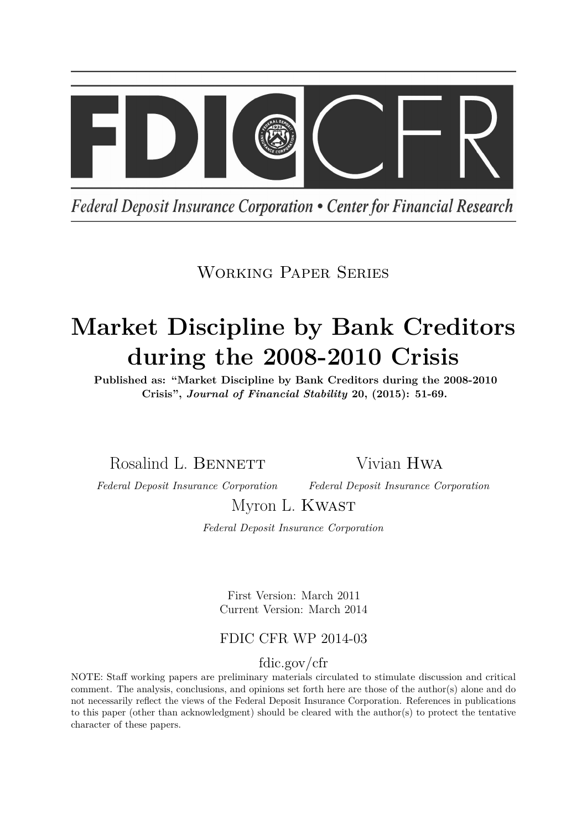

Federal Deposit Insurance Corporation • Center for Financial Research

Working Paper Series

# **Market Discipline by Bank Creditors during the 2008-2010 Crisis**

**Published as: "Market Discipline by Bank Creditors during the 2008-2010 Crisis",** *Journal of Financial Stability* **20, (2015): 51-69.**

Rosalind L. BENNETT

Vivian Hwa

*Federal Deposit Insurance Corporation*

*Federal Deposit Insurance Corporation*

Myron L. KWAST

*Federal Deposit Insurance Corporation*

First Version: March 2011 Current Version: March 2014

# FDIC CFR WP 2014-03

fdic.gov/cfr

NOTE: Staff working papers are preliminary materials circulated to stimulate discussion and critical comment. The analysis, conclusions, and opinions set forth here are those of the author(s) alone and do not necessarily reflect the views of the Federal Deposit Insurance Corporation. References in publications to this paper (other than acknowledgment) should be cleared with the author(s) to protect the tentative character of these papers.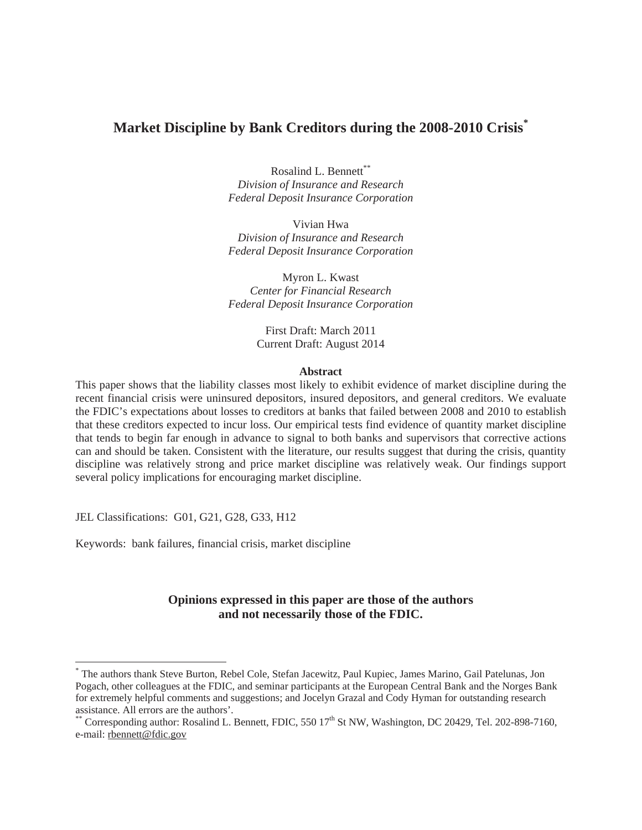# **Market Discipline by Bank Creditors during the 2008-2010 Crisis\***

Rosalind L. Bennett\*\* *Division of Insurance and Research Federal Deposit Insurance Corporation* 

Vivian Hwa *Division of Insurance and Research Federal Deposit Insurance Corporation* 

Myron L. Kwast *Center for Financial Research Federal Deposit Insurance Corporation* 

> First Draft: March 2011 Current Draft: August 2014

#### **Abstract**

This paper shows that the liability classes most likely to exhibit evidence of market discipline during the recent financial crisis were uninsured depositors, insured depositors, and general creditors. We evaluate the FDIC's expectations about losses to creditors at banks that failed between 2008 and 2010 to establish that these creditors expected to incur loss. Our empirical tests find evidence of quantity market discipline that tends to begin far enough in advance to signal to both banks and supervisors that corrective actions can and should be taken. Consistent with the literature, our results suggest that during the crisis, quantity discipline was relatively strong and price market discipline was relatively weak. Our findings support several policy implications for encouraging market discipline.

JEL Classifications: G01, G21, G28, G33, H12

Keywords: bank failures, financial crisis, market discipline

# **Opinions expressed in this paper are those of the authors and not necessarily those of the FDIC.**

<sup>\*</sup> The authors thank Steve Burton, Rebel Cole, Stefan Jacewitz, Paul Kupiec, James Marino, Gail Patelunas, Jon Pogach, other colleagues at the FDIC, and seminar participants at the European Central Bank and the Norges Bank for extremely helpful comments and suggestions; and Jocelyn Grazal and Cody Hyman for outstanding research assistance. All errors are the authors'.

Corresponding author: Rosalind L. Bennett, FDIC, 550  $17<sup>th</sup>$  St NW, Washington, DC 20429, Tel. 202-898-7160, e-mail: rbennett@fdic.gov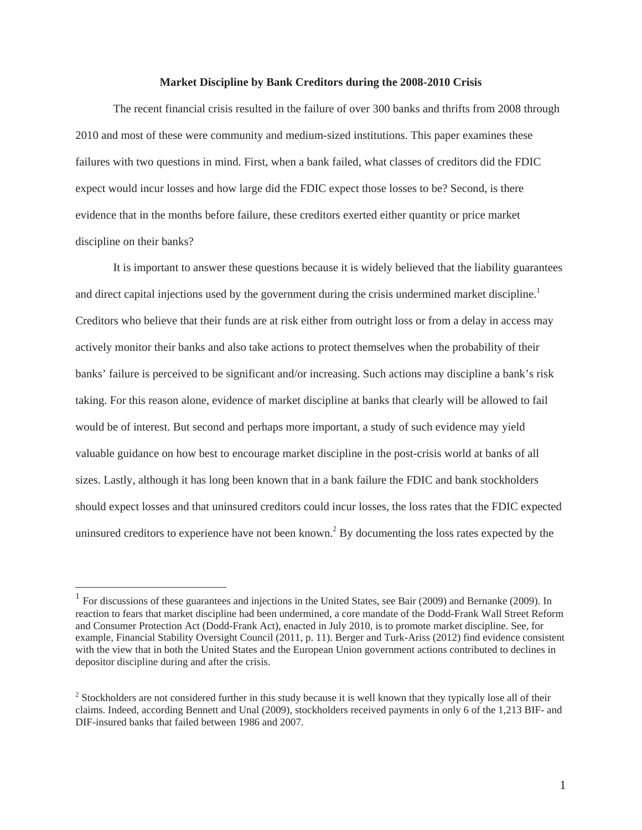#### **Market Discipline by Bank Creditors during the 2008-2010 Crisis**

The recent financial crisis resulted in the failure of over 300 banks and thrifts from 2008 through 2010 and most of these were community and medium-sized institutions. This paper examines these failures with two questions in mind. First, when a bank failed, what classes of creditors did the FDIC expect would incur losses and how large did the FDIC expect those losses to be? Second, is there evidence that in the months before failure, these creditors exerted either quantity or price market discipline on their banks?

It is important to answer these questions because it is widely believed that the liability guarantees and direct capital injections used by the government during the crisis undermined market discipline.<sup>1</sup> Creditors who believe that their funds are at risk either from outright loss or from a delay in access may actively monitor their banks and also take actions to protect themselves when the probability of their banks' failure is perceived to be significant and/or increasing. Such actions may discipline a bank's risk taking. For this reason alone, evidence of market discipline at banks that clearly will be allowed to fail would be of interest. But second and perhaps more important, a study of such evidence may yield valuable guidance on how best to encourage market discipline in the post-crisis world at banks of all sizes. Lastly, although it has long been known that in a bank failure the FDIC and bank stockholders should expect losses and that uninsured creditors could incur losses, the loss rates that the FDIC expected uninsured creditors to experience have not been known.<sup>2</sup> By documenting the loss rates expected by the

 $1$  For discussions of these guarantees and injections in the United States, see Bair (2009) and Bernanke (2009). In reaction to fears that market discipline had been undermined, a core mandate of the Dodd-Frank Wall Street Reform and Consumer Protection Act (Dodd-Frank Act), enacted in July 2010, is to promote market discipline. See, for example, Financial Stability Oversight Council (2011, p. 11). Berger and Turk-Ariss (2012) find evidence consistent with the view that in both the United States and the European Union government actions contributed to declines in depositor discipline during and after the crisis.

 $2^{2}$  Stockholders are not considered further in this study because it is well known that they typically lose all of their claims. Indeed, according Bennett and Unal (2009), stockholders received payments in only 6 of the 1,213 BIF- and DIF-insured banks that failed between 1986 and 2007.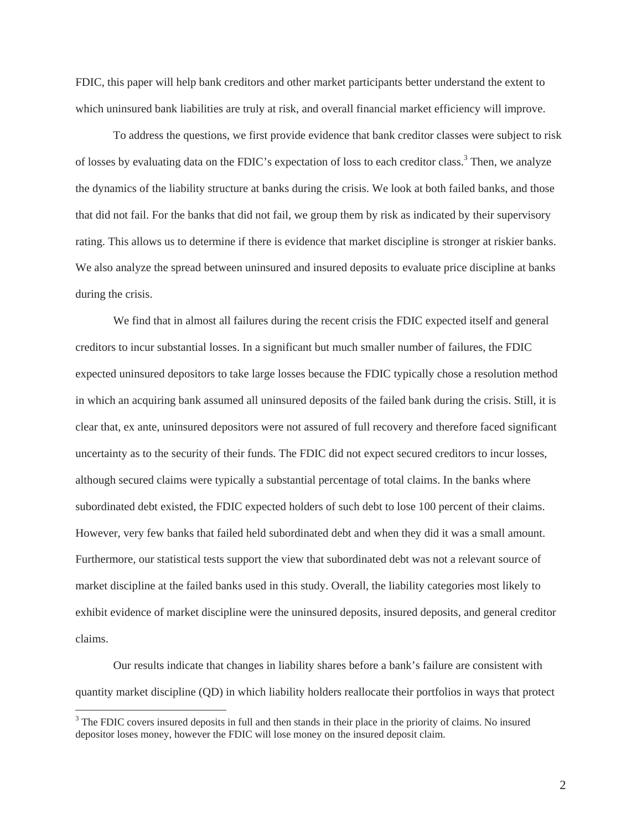FDIC, this paper will help bank creditors and other market participants better understand the extent to which uninsured bank liabilities are truly at risk, and overall financial market efficiency will improve.

To address the questions, we first provide evidence that bank creditor classes were subject to risk of losses by evaluating data on the FDIC's expectation of loss to each creditor class.<sup>3</sup> Then, we analyze the dynamics of the liability structure at banks during the crisis. We look at both failed banks, and those that did not fail. For the banks that did not fail, we group them by risk as indicated by their supervisory rating. This allows us to determine if there is evidence that market discipline is stronger at riskier banks. We also analyze the spread between uninsured and insured deposits to evaluate price discipline at banks during the crisis.

We find that in almost all failures during the recent crisis the FDIC expected itself and general creditors to incur substantial losses. In a significant but much smaller number of failures, the FDIC expected uninsured depositors to take large losses because the FDIC typically chose a resolution method in which an acquiring bank assumed all uninsured deposits of the failed bank during the crisis. Still, it is clear that, ex ante, uninsured depositors were not assured of full recovery and therefore faced significant uncertainty as to the security of their funds. The FDIC did not expect secured creditors to incur losses, although secured claims were typically a substantial percentage of total claims. In the banks where subordinated debt existed, the FDIC expected holders of such debt to lose 100 percent of their claims. However, very few banks that failed held subordinated debt and when they did it was a small amount. Furthermore, our statistical tests support the view that subordinated debt was not a relevant source of market discipline at the failed banks used in this study. Overall, the liability categories most likely to exhibit evidence of market discipline were the uninsured deposits, insured deposits, and general creditor claims.

Our results indicate that changes in liability shares before a bank's failure are consistent with quantity market discipline (QD) in which liability holders reallocate their portfolios in ways that protect

 $3$  The FDIC covers insured deposits in full and then stands in their place in the priority of claims. No insured depositor loses money, however the FDIC will lose money on the insured deposit claim.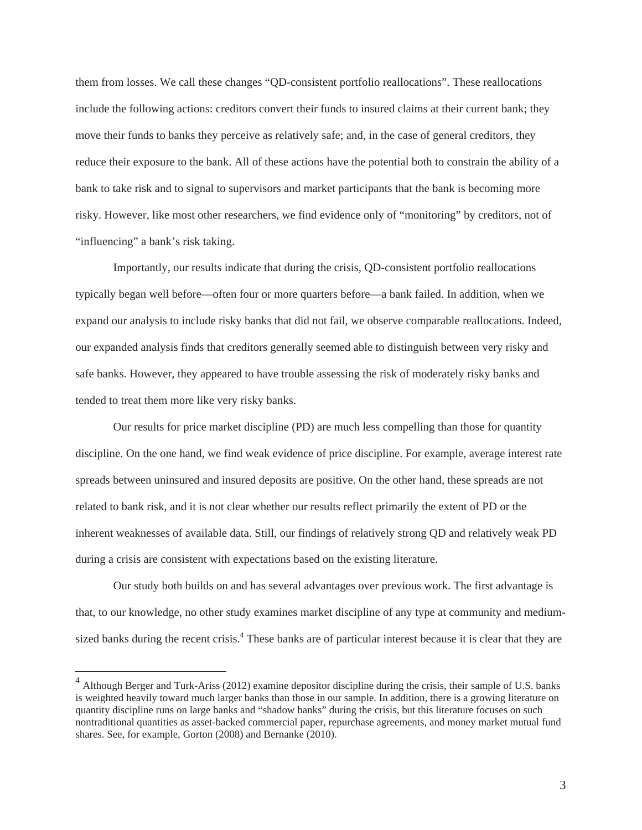them from losses. We call these changes "QD-consistent portfolio reallocations". These reallocations include the following actions: creditors convert their funds to insured claims at their current bank; they move their funds to banks they perceive as relatively safe; and, in the case of general creditors, they reduce their exposure to the bank. All of these actions have the potential both to constrain the ability of a bank to take risk and to signal to supervisors and market participants that the bank is becoming more risky. However, like most other researchers, we find evidence only of "monitoring" by creditors, not of "influencing" a bank's risk taking.

Importantly, our results indicate that during the crisis, QD-consistent portfolio reallocations typically began well before—often four or more quarters before—a bank failed. In addition, when we expand our analysis to include risky banks that did not fail, we observe comparable reallocations. Indeed, our expanded analysis finds that creditors generally seemed able to distinguish between very risky and safe banks. However, they appeared to have trouble assessing the risk of moderately risky banks and tended to treat them more like very risky banks.

Our results for price market discipline (PD) are much less compelling than those for quantity discipline. On the one hand, we find weak evidence of price discipline. For example, average interest rate spreads between uninsured and insured deposits are positive. On the other hand, these spreads are not related to bank risk, and it is not clear whether our results reflect primarily the extent of PD or the inherent weaknesses of available data. Still, our findings of relatively strong QD and relatively weak PD during a crisis are consistent with expectations based on the existing literature.

Our study both builds on and has several advantages over previous work. The first advantage is that, to our knowledge, no other study examines market discipline of any type at community and mediumsized banks during the recent crisis.<sup>4</sup> These banks are of particular interest because it is clear that they are

<sup>4</sup> Although Berger and Turk-Ariss (2012) examine depositor discipline during the crisis, their sample of U.S. banks is weighted heavily toward much larger banks than those in our sample. In addition, there is a growing literature on quantity discipline runs on large banks and "shadow banks" during the crisis, but this literature focuses on such nontraditional quantities as asset-backed commercial paper, repurchase agreements, and money market mutual fund shares. See, for example, Gorton (2008) and Bernanke (2010).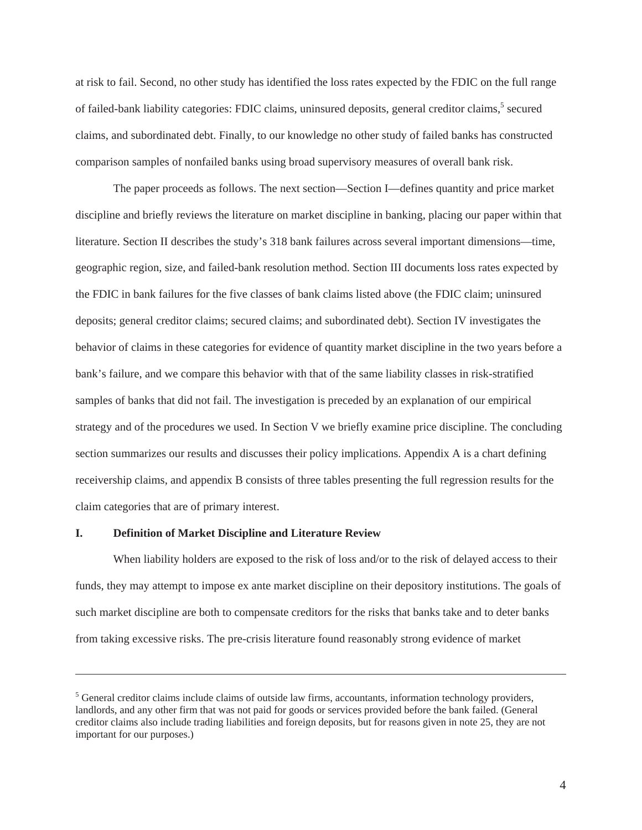at risk to fail. Second, no other study has identified the loss rates expected by the FDIC on the full range of failed-bank liability categories: FDIC claims, uninsured deposits, general creditor claims,<sup>5</sup> secured claims, and subordinated debt. Finally, to our knowledge no other study of failed banks has constructed comparison samples of nonfailed banks using broad supervisory measures of overall bank risk.

The paper proceeds as follows. The next section—Section I—defines quantity and price market discipline and briefly reviews the literature on market discipline in banking, placing our paper within that literature. Section II describes the study's 318 bank failures across several important dimensions—time, geographic region, size, and failed-bank resolution method. Section III documents loss rates expected by the FDIC in bank failures for the five classes of bank claims listed above (the FDIC claim; uninsured deposits; general creditor claims; secured claims; and subordinated debt). Section IV investigates the behavior of claims in these categories for evidence of quantity market discipline in the two years before a bank's failure, and we compare this behavior with that of the same liability classes in risk-stratified samples of banks that did not fail. The investigation is preceded by an explanation of our empirical strategy and of the procedures we used. In Section V we briefly examine price discipline. The concluding section summarizes our results and discusses their policy implications. Appendix A is a chart defining receivership claims, and appendix B consists of three tables presenting the full regression results for the claim categories that are of primary interest.

#### **I. Definition of Market Discipline and Literature Review**

When liability holders are exposed to the risk of loss and/or to the risk of delayed access to their funds, they may attempt to impose ex ante market discipline on their depository institutions. The goals of such market discipline are both to compensate creditors for the risks that banks take and to deter banks from taking excessive risks. The pre-crisis literature found reasonably strong evidence of market

<sup>&</sup>lt;sup>5</sup> General creditor claims include claims of outside law firms, accountants, information technology providers, landlords, and any other firm that was not paid for goods or services provided before the bank failed. (General creditor claims also include trading liabilities and foreign deposits, but for reasons given in note 25, they are not important for our purposes.)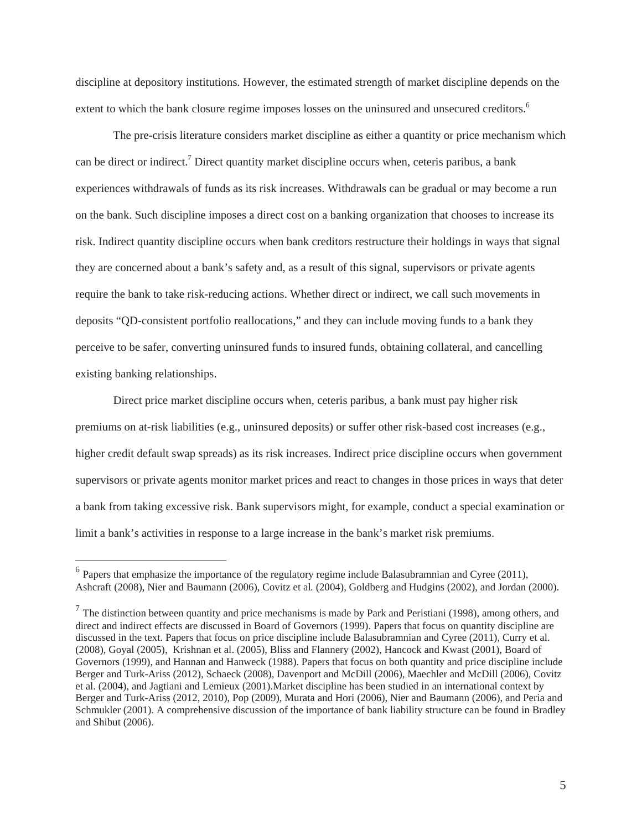discipline at depository institutions. However, the estimated strength of market discipline depends on the extent to which the bank closure regime imposes losses on the uninsured and unsecured creditors.<sup>6</sup>

The pre-crisis literature considers market discipline as either a quantity or price mechanism which can be direct or indirect.<sup>7</sup> Direct quantity market discipline occurs when, ceteris paribus, a bank experiences withdrawals of funds as its risk increases. Withdrawals can be gradual or may become a run on the bank. Such discipline imposes a direct cost on a banking organization that chooses to increase its risk. Indirect quantity discipline occurs when bank creditors restructure their holdings in ways that signal they are concerned about a bank's safety and, as a result of this signal, supervisors or private agents require the bank to take risk-reducing actions. Whether direct or indirect, we call such movements in deposits "QD-consistent portfolio reallocations," and they can include moving funds to a bank they perceive to be safer, converting uninsured funds to insured funds, obtaining collateral, and cancelling existing banking relationships.

Direct price market discipline occurs when, ceteris paribus, a bank must pay higher risk premiums on at-risk liabilities (e.g., uninsured deposits) or suffer other risk-based cost increases (e.g., higher credit default swap spreads) as its risk increases. Indirect price discipline occurs when government supervisors or private agents monitor market prices and react to changes in those prices in ways that deter a bank from taking excessive risk. Bank supervisors might, for example, conduct a special examination or limit a bank's activities in response to a large increase in the bank's market risk premiums.

 $<sup>6</sup>$  Papers that emphasize the importance of the regulatory regime include Balasubramnian and Cyree (2011),</sup> Ashcraft (2008), Nier and Baumann (2006), Covitz et al*.* (2004), Goldberg and Hudgins (2002), and Jordan (2000).

 $7$  The distinction between quantity and price mechanisms is made by Park and Peristiani (1998), among others, and direct and indirect effects are discussed in Board of Governors (1999). Papers that focus on quantity discipline are discussed in the text. Papers that focus on price discipline include Balasubramnian and Cyree (2011), Curry et al. (2008), Goyal (2005), Krishnan et al. (2005), Bliss and Flannery (2002), Hancock and Kwast (2001), Board of Governors (1999), and Hannan and Hanweck (1988). Papers that focus on both quantity and price discipline include Berger and Turk-Ariss (2012), Schaeck (2008), Davenport and McDill (2006), Maechler and McDill (2006), Covitz et al. (2004), and Jagtiani and Lemieux (2001).Market discipline has been studied in an international context by Berger and Turk-Ariss (2012, 2010), Pop (2009), Murata and Hori (2006), Nier and Baumann (2006), and Peria and Schmukler (2001). A comprehensive discussion of the importance of bank liability structure can be found in Bradley and Shibut (2006).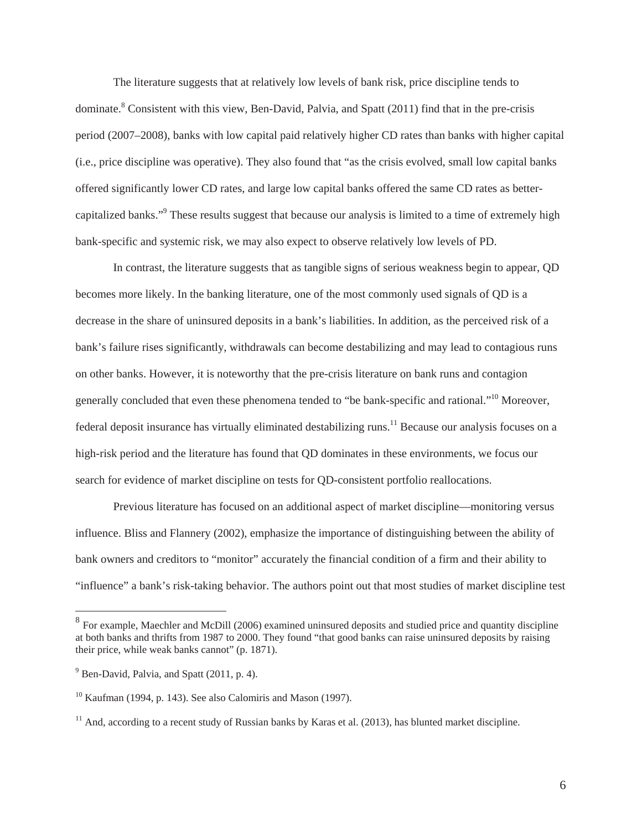The literature suggests that at relatively low levels of bank risk, price discipline tends to dominate.<sup>8</sup> Consistent with this view, Ben-David, Palvia, and Spatt (2011) find that in the pre-crisis period (2007–2008), banks with low capital paid relatively higher CD rates than banks with higher capital (i.e., price discipline was operative). They also found that "as the crisis evolved, small low capital banks offered significantly lower CD rates, and large low capital banks offered the same CD rates as bettercapitalized banks."<sup>9</sup> These results suggest that because our analysis is limited to a time of extremely high bank-specific and systemic risk, we may also expect to observe relatively low levels of PD.

In contrast, the literature suggests that as tangible signs of serious weakness begin to appear, QD becomes more likely. In the banking literature, one of the most commonly used signals of QD is a decrease in the share of uninsured deposits in a bank's liabilities. In addition, as the perceived risk of a bank's failure rises significantly, withdrawals can become destabilizing and may lead to contagious runs on other banks. However, it is noteworthy that the pre-crisis literature on bank runs and contagion generally concluded that even these phenomena tended to "be bank-specific and rational."10 Moreover, federal deposit insurance has virtually eliminated destabilizing runs.<sup>11</sup> Because our analysis focuses on a high-risk period and the literature has found that QD dominates in these environments, we focus our search for evidence of market discipline on tests for QD-consistent portfolio reallocations.

Previous literature has focused on an additional aspect of market discipline—monitoring versus influence. Bliss and Flannery (2002), emphasize the importance of distinguishing between the ability of bank owners and creditors to "monitor" accurately the financial condition of a firm and their ability to "influence" a bank's risk-taking behavior. The authors point out that most studies of market discipline test

<sup>8</sup> For example, Maechler and McDill (2006) examined uninsured deposits and studied price and quantity discipline at both banks and thrifts from 1987 to 2000. They found "that good banks can raise uninsured deposits by raising their price, while weak banks cannot" (p. 1871).

<sup>&</sup>lt;sup>9</sup> Ben-David, Palvia, and Spatt (2011, p. 4).

 $10$  Kaufman (1994, p. 143). See also Calomiris and Mason (1997).

 $11$  And, according to a recent study of Russian banks by Karas et al. (2013), has blunted market discipline.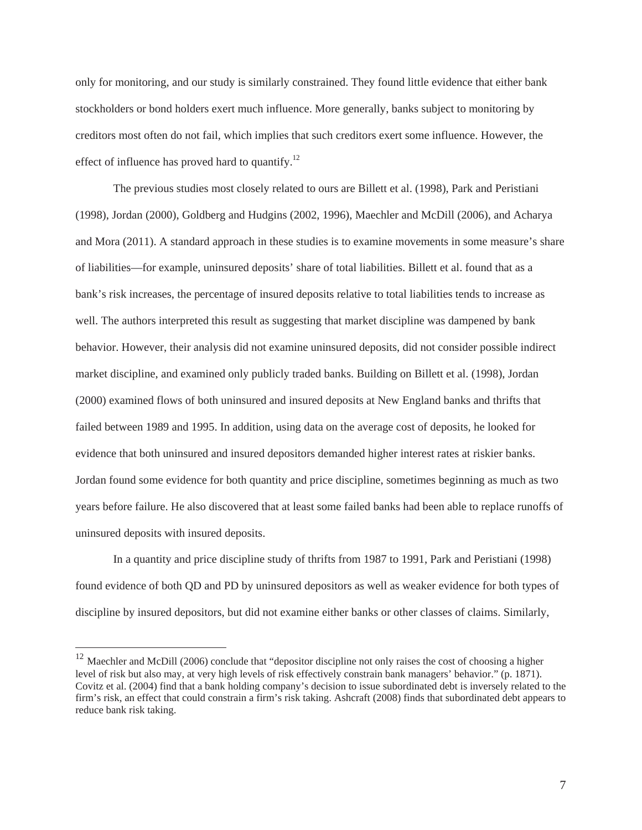only for monitoring, and our study is similarly constrained. They found little evidence that either bank stockholders or bond holders exert much influence. More generally, banks subject to monitoring by creditors most often do not fail, which implies that such creditors exert some influence. However, the effect of influence has proved hard to quantify. $^{12}$ 

The previous studies most closely related to ours are Billett et al. (1998), Park and Peristiani (1998), Jordan (2000), Goldberg and Hudgins (2002, 1996), Maechler and McDill (2006), and Acharya and Mora (2011). A standard approach in these studies is to examine movements in some measure's share of liabilities—for example, uninsured deposits' share of total liabilities. Billett et al. found that as a bank's risk increases, the percentage of insured deposits relative to total liabilities tends to increase as well. The authors interpreted this result as suggesting that market discipline was dampened by bank behavior. However, their analysis did not examine uninsured deposits, did not consider possible indirect market discipline, and examined only publicly traded banks. Building on Billett et al. (1998), Jordan (2000) examined flows of both uninsured and insured deposits at New England banks and thrifts that failed between 1989 and 1995. In addition, using data on the average cost of deposits, he looked for evidence that both uninsured and insured depositors demanded higher interest rates at riskier banks. Jordan found some evidence for both quantity and price discipline, sometimes beginning as much as two years before failure. He also discovered that at least some failed banks had been able to replace runoffs of uninsured deposits with insured deposits.

In a quantity and price discipline study of thrifts from 1987 to 1991, Park and Peristiani (1998) found evidence of both QD and PD by uninsured depositors as well as weaker evidence for both types of discipline by insured depositors, but did not examine either banks or other classes of claims. Similarly,

 $12$  Maechler and McDill (2006) conclude that "depositor discipline not only raises the cost of choosing a higher level of risk but also may, at very high levels of risk effectively constrain bank managers' behavior." (p. 1871). Covitz et al. (2004) find that a bank holding company's decision to issue subordinated debt is inversely related to the firm's risk, an effect that could constrain a firm's risk taking. Ashcraft (2008) finds that subordinated debt appears to reduce bank risk taking.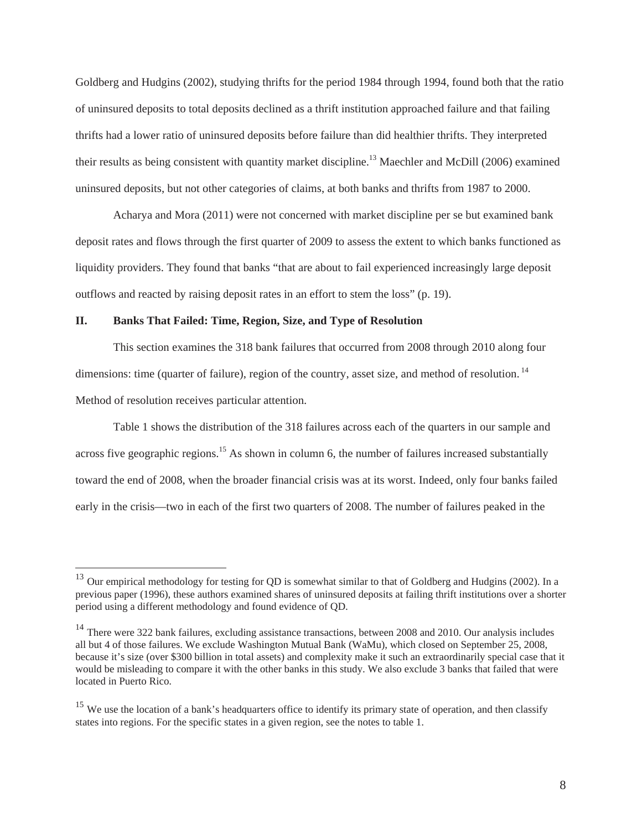Goldberg and Hudgins (2002), studying thrifts for the period 1984 through 1994, found both that the ratio of uninsured deposits to total deposits declined as a thrift institution approached failure and that failing thrifts had a lower ratio of uninsured deposits before failure than did healthier thrifts. They interpreted their results as being consistent with quantity market discipline.<sup>13</sup> Maechler and McDill (2006) examined uninsured deposits, but not other categories of claims, at both banks and thrifts from 1987 to 2000.

Acharya and Mora (2011) were not concerned with market discipline per se but examined bank deposit rates and flows through the first quarter of 2009 to assess the extent to which banks functioned as liquidity providers. They found that banks "that are about to fail experienced increasingly large deposit outflows and reacted by raising deposit rates in an effort to stem the loss" (p. 19).

# **II. Banks That Failed: Time, Region, Size, and Type of Resolution**

This section examines the 318 bank failures that occurred from 2008 through 2010 along four dimensions: time (quarter of failure), region of the country, asset size, and method of resolution.<sup>14</sup> Method of resolution receives particular attention.

Table 1 shows the distribution of the 318 failures across each of the quarters in our sample and across five geographic regions.<sup>15</sup> As shown in column 6, the number of failures increased substantially toward the end of 2008, when the broader financial crisis was at its worst. Indeed, only four banks failed early in the crisis—two in each of the first two quarters of 2008. The number of failures peaked in the

<sup>&</sup>lt;sup>13</sup> Our empirical methodology for testing for QD is somewhat similar to that of Goldberg and Hudgins (2002). In a previous paper (1996), these authors examined shares of uninsured deposits at failing thrift institutions over a shorter period using a different methodology and found evidence of QD.

<sup>&</sup>lt;sup>14</sup> There were 322 bank failures, excluding assistance transactions, between 2008 and 2010. Our analysis includes all but 4 of those failures. We exclude Washington Mutual Bank (WaMu), which closed on September 25, 2008, because it's size (over \$300 billion in total assets) and complexity make it such an extraordinarily special case that it would be misleading to compare it with the other banks in this study. We also exclude 3 banks that failed that were located in Puerto Rico.

 $15$  We use the location of a bank's headquarters office to identify its primary state of operation, and then classify states into regions. For the specific states in a given region, see the notes to table 1.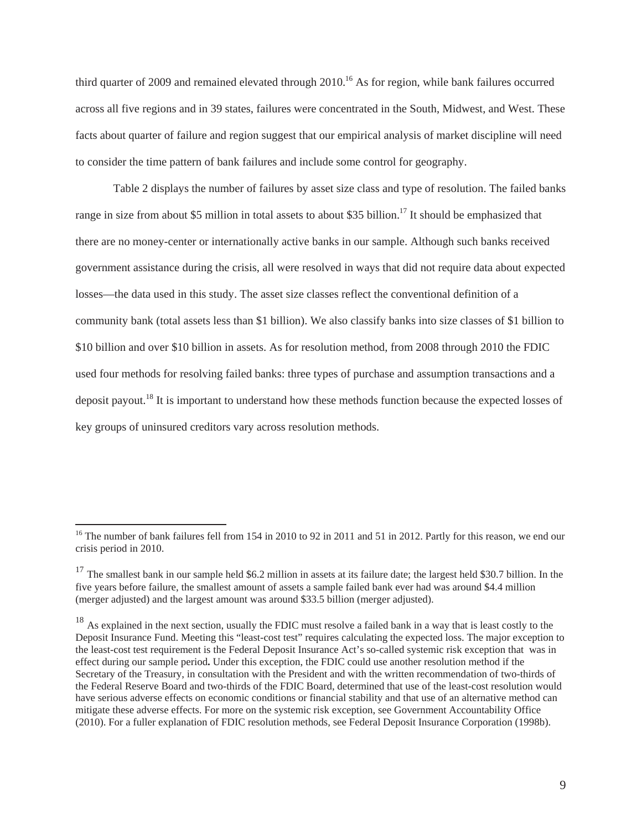third quarter of 2009 and remained elevated through 2010.<sup>16</sup> As for region, while bank failures occurred across all five regions and in 39 states, failures were concentrated in the South, Midwest, and West. These facts about quarter of failure and region suggest that our empirical analysis of market discipline will need to consider the time pattern of bank failures and include some control for geography.

Table 2 displays the number of failures by asset size class and type of resolution. The failed banks range in size from about \$5 million in total assets to about \$35 billion.<sup>17</sup> It should be emphasized that there are no money-center or internationally active banks in our sample. Although such banks received government assistance during the crisis, all were resolved in ways that did not require data about expected losses—the data used in this study. The asset size classes reflect the conventional definition of a community bank (total assets less than \$1 billion). We also classify banks into size classes of \$1 billion to \$10 billion and over \$10 billion in assets. As for resolution method, from 2008 through 2010 the FDIC used four methods for resolving failed banks: three types of purchase and assumption transactions and a deposit payout.18 It is important to understand how these methods function because the expected losses of key groups of uninsured creditors vary across resolution methods.

<sup>&</sup>lt;sup>16</sup> The number of bank failures fell from 154 in 2010 to 92 in 2011 and 51 in 2012. Partly for this reason, we end our crisis period in 2010.

 $17$  The smallest bank in our sample held \$6.2 million in assets at its failure date; the largest held \$30.7 billion. In the five years before failure, the smallest amount of assets a sample failed bank ever had was around \$4.4 million (merger adjusted) and the largest amount was around \$33.5 billion (merger adjusted).

<sup>&</sup>lt;sup>18</sup> As explained in the next section, usually the FDIC must resolve a failed bank in a way that is least costly to the Deposit Insurance Fund. Meeting this "least-cost test" requires calculating the expected loss. The major exception to the least-cost test requirement is the Federal Deposit Insurance Act's so-called systemic risk exception that was in effect during our sample period**.** Under this exception, the FDIC could use another resolution method if the Secretary of the Treasury, in consultation with the President and with the written recommendation of two-thirds of the Federal Reserve Board and two-thirds of the FDIC Board, determined that use of the least-cost resolution would have serious adverse effects on economic conditions or financial stability and that use of an alternative method can mitigate these adverse effects. For more on the systemic risk exception, see Government Accountability Office (2010). For a fuller explanation of FDIC resolution methods, see Federal Deposit Insurance Corporation (1998b).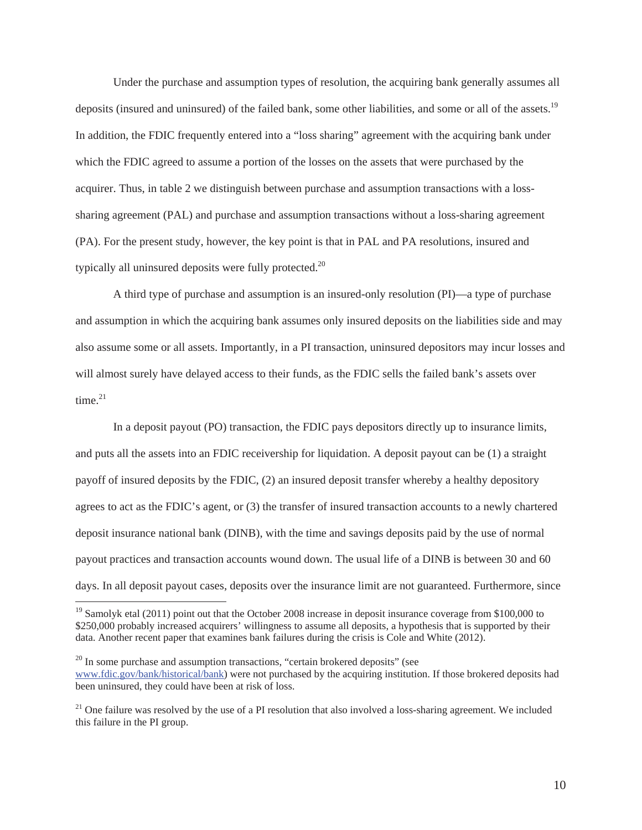Under the purchase and assumption types of resolution, the acquiring bank generally assumes all deposits (insured and uninsured) of the failed bank, some other liabilities, and some or all of the assets.<sup>19</sup> In addition, the FDIC frequently entered into a "loss sharing" agreement with the acquiring bank under which the FDIC agreed to assume a portion of the losses on the assets that were purchased by the acquirer. Thus, in table 2 we distinguish between purchase and assumption transactions with a losssharing agreement (PAL) and purchase and assumption transactions without a loss-sharing agreement (PA). For the present study, however, the key point is that in PAL and PA resolutions, insured and typically all uninsured deposits were fully protected.<sup>20</sup>

A third type of purchase and assumption is an insured-only resolution (PI)—a type of purchase and assumption in which the acquiring bank assumes only insured deposits on the liabilities side and may also assume some or all assets. Importantly, in a PI transaction, uninsured depositors may incur losses and will almost surely have delayed access to their funds, as the FDIC sells the failed bank's assets over time $^{21}$ 

In a deposit payout (PO) transaction, the FDIC pays depositors directly up to insurance limits, and puts all the assets into an FDIC receivership for liquidation. A deposit payout can be (1) a straight payoff of insured deposits by the FDIC, (2) an insured deposit transfer whereby a healthy depository agrees to act as the FDIC's agent, or (3) the transfer of insured transaction accounts to a newly chartered deposit insurance national bank (DINB), with the time and savings deposits paid by the use of normal payout practices and transaction accounts wound down. The usual life of a DINB is between 30 and 60 days. In all deposit payout cases, deposits over the insurance limit are not guaranteed. Furthermore, since

<sup>&</sup>lt;sup>19</sup> Samolyk etal (2011) point out that the October 2008 increase in deposit insurance coverage from \$100,000 to \$250,000 probably increased acquirers' willingness to assume all deposits, a hypothesis that is supported by their data. Another recent paper that examines bank failures during the crisis is Cole and White (2012).

 $20$  In some purchase and assumption transactions, "certain brokered deposits" (see

www.fdic.gov/bank/historical/bank) were not purchased by the acquiring institution. If those brokered deposits had been uninsured, they could have been at risk of loss.

 $21$  One failure was resolved by the use of a PI resolution that also involved a loss-sharing agreement. We included this failure in the PI group.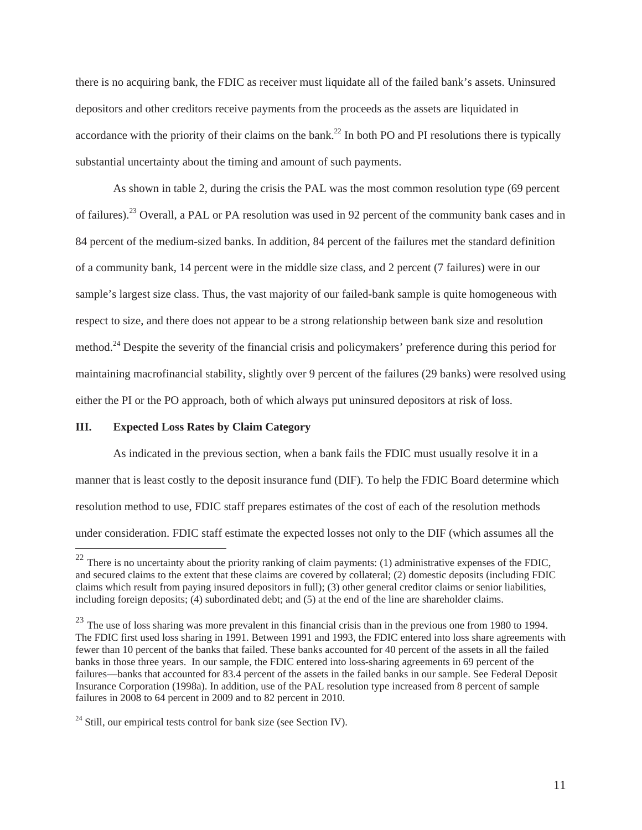there is no acquiring bank, the FDIC as receiver must liquidate all of the failed bank's assets. Uninsured depositors and other creditors receive payments from the proceeds as the assets are liquidated in accordance with the priority of their claims on the bank.<sup>22</sup> In both PO and PI resolutions there is typically substantial uncertainty about the timing and amount of such payments.

As shown in table 2, during the crisis the PAL was the most common resolution type (69 percent of failures).23 Overall, a PAL or PA resolution was used in 92 percent of the community bank cases and in 84 percent of the medium-sized banks. In addition, 84 percent of the failures met the standard definition of a community bank, 14 percent were in the middle size class, and 2 percent (7 failures) were in our sample's largest size class. Thus, the vast majority of our failed-bank sample is quite homogeneous with respect to size, and there does not appear to be a strong relationship between bank size and resolution method.<sup>24</sup> Despite the severity of the financial crisis and policymakers' preference during this period for maintaining macrofinancial stability, slightly over 9 percent of the failures (29 banks) were resolved using either the PI or the PO approach, both of which always put uninsured depositors at risk of loss.

# **III. Expected Loss Rates by Claim Category**

As indicated in the previous section, when a bank fails the FDIC must usually resolve it in a manner that is least costly to the deposit insurance fund (DIF). To help the FDIC Board determine which resolution method to use, FDIC staff prepares estimates of the cost of each of the resolution methods under consideration. FDIC staff estimate the expected losses not only to the DIF (which assumes all the

 $22$  There is no uncertainty about the priority ranking of claim payments: (1) administrative expenses of the FDIC, and secured claims to the extent that these claims are covered by collateral; (2) domestic deposits (including FDIC claims which result from paying insured depositors in full); (3) other general creditor claims or senior liabilities, including foreign deposits; (4) subordinated debt; and (5) at the end of the line are shareholder claims.

 $^{23}$  The use of loss sharing was more prevalent in this financial crisis than in the previous one from 1980 to 1994. The FDIC first used loss sharing in 1991. Between 1991 and 1993, the FDIC entered into loss share agreements with fewer than 10 percent of the banks that failed. These banks accounted for 40 percent of the assets in all the failed banks in those three years. In our sample, the FDIC entered into loss-sharing agreements in 69 percent of the failures—banks that accounted for 83.4 percent of the assets in the failed banks in our sample. See Federal Deposit Insurance Corporation (1998a). In addition, use of the PAL resolution type increased from 8 percent of sample failures in 2008 to 64 percent in 2009 and to 82 percent in 2010.

 $^{24}$  Still, our empirical tests control for bank size (see Section IV).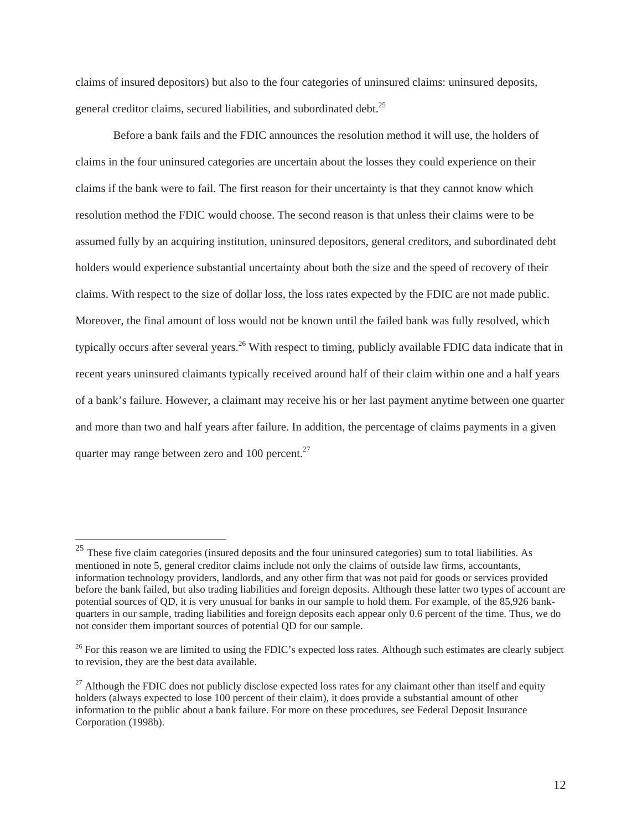claims of insured depositors) but also to the four categories of uninsured claims: uninsured deposits, general creditor claims, secured liabilities, and subordinated debt.<sup>25</sup>

Before a bank fails and the FDIC announces the resolution method it will use, the holders of claims in the four uninsured categories are uncertain about the losses they could experience on their claims if the bank were to fail. The first reason for their uncertainty is that they cannot know which resolution method the FDIC would choose. The second reason is that unless their claims were to be assumed fully by an acquiring institution, uninsured depositors, general creditors, and subordinated debt holders would experience substantial uncertainty about both the size and the speed of recovery of their claims. With respect to the size of dollar loss, the loss rates expected by the FDIC are not made public. Moreover, the final amount of loss would not be known until the failed bank was fully resolved, which typically occurs after several years.26 With respect to timing, publicly available FDIC data indicate that in recent years uninsured claimants typically received around half of their claim within one and a half years of a bank's failure. However, a claimant may receive his or her last payment anytime between one quarter and more than two and half years after failure. In addition, the percentage of claims payments in a given quarter may range between zero and  $100$  percent.<sup>27</sup>

<sup>&</sup>lt;sup>25</sup> These five claim categories (insured deposits and the four uninsured categories) sum to total liabilities. As mentioned in note 5, general creditor claims include not only the claims of outside law firms, accountants, information technology providers, landlords, and any other firm that was not paid for goods or services provided before the bank failed, but also trading liabilities and foreign deposits. Although these latter two types of account are potential sources of QD, it is very unusual for banks in our sample to hold them. For example, of the 85,926 bankquarters in our sample, trading liabilities and foreign deposits each appear only 0.6 percent of the time. Thus, we do not consider them important sources of potential QD for our sample.

 $26$  For this reason we are limited to using the FDIC's expected loss rates. Although such estimates are clearly subject to revision, they are the best data available.

<sup>&</sup>lt;sup>27</sup> Although the FDIC does not publicly disclose expected loss rates for any claimant other than itself and equity holders (always expected to lose 100 percent of their claim), it does provide a substantial amount of other information to the public about a bank failure. For more on these procedures, see Federal Deposit Insurance Corporation (1998b).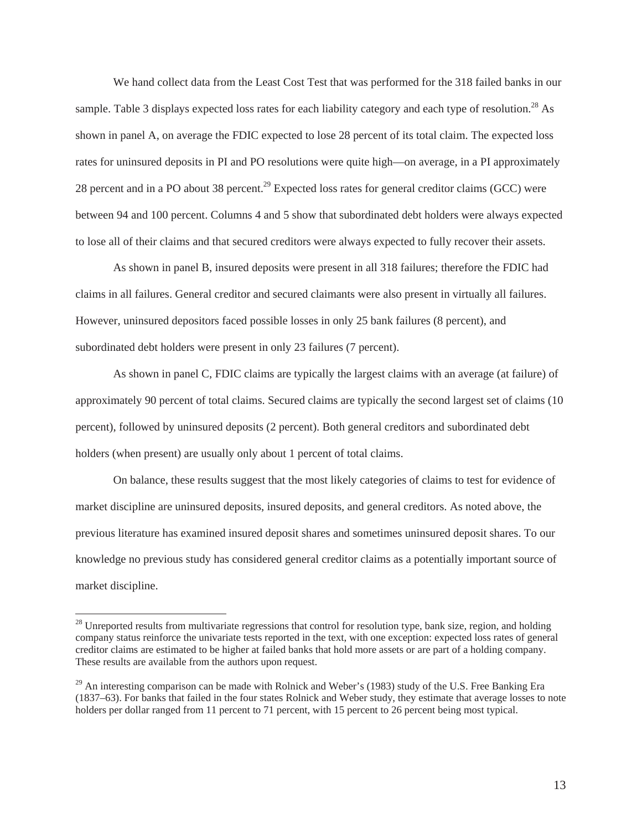We hand collect data from the Least Cost Test that was performed for the 318 failed banks in our sample. Table 3 displays expected loss rates for each liability category and each type of resolution.<sup>28</sup> As shown in panel A, on average the FDIC expected to lose 28 percent of its total claim. The expected loss rates for uninsured deposits in PI and PO resolutions were quite high—on average, in a PI approximately 28 percent and in a PO about 38 percent.<sup>29</sup> Expected loss rates for general creditor claims (GCC) were between 94 and 100 percent. Columns 4 and 5 show that subordinated debt holders were always expected to lose all of their claims and that secured creditors were always expected to fully recover their assets.

As shown in panel B, insured deposits were present in all 318 failures; therefore the FDIC had claims in all failures. General creditor and secured claimants were also present in virtually all failures. However, uninsured depositors faced possible losses in only 25 bank failures (8 percent), and subordinated debt holders were present in only 23 failures (7 percent).

As shown in panel C, FDIC claims are typically the largest claims with an average (at failure) of approximately 90 percent of total claims. Secured claims are typically the second largest set of claims (10 percent), followed by uninsured deposits (2 percent). Both general creditors and subordinated debt holders (when present) are usually only about 1 percent of total claims.

On balance, these results suggest that the most likely categories of claims to test for evidence of market discipline are uninsured deposits, insured deposits, and general creditors. As noted above, the previous literature has examined insured deposit shares and sometimes uninsured deposit shares. To our knowledge no previous study has considered general creditor claims as a potentially important source of market discipline.

<sup>&</sup>lt;sup>28</sup> Unreported results from multivariate regressions that control for resolution type, bank size, region, and holding company status reinforce the univariate tests reported in the text, with one exception: expected loss rates of general creditor claims are estimated to be higher at failed banks that hold more assets or are part of a holding company. These results are available from the authors upon request.

 $^{29}$  An interesting comparison can be made with Rolnick and Weber's (1983) study of the U.S. Free Banking Era (1837–63). For banks that failed in the four states Rolnick and Weber study, they estimate that average losses to note holders per dollar ranged from 11 percent to 71 percent, with 15 percent to 26 percent being most typical.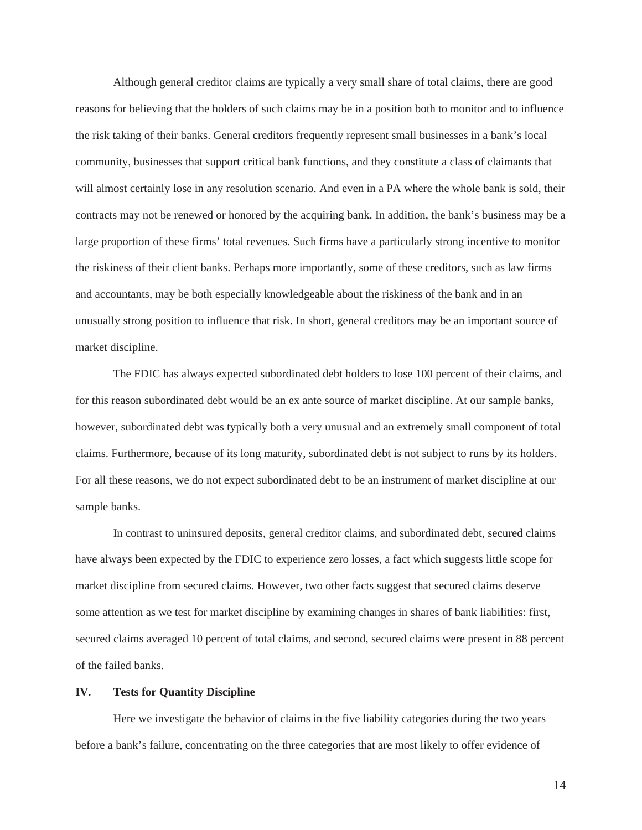Although general creditor claims are typically a very small share of total claims, there are good reasons for believing that the holders of such claims may be in a position both to monitor and to influence the risk taking of their banks. General creditors frequently represent small businesses in a bank's local community, businesses that support critical bank functions, and they constitute a class of claimants that will almost certainly lose in any resolution scenario. And even in a PA where the whole bank is sold, their contracts may not be renewed or honored by the acquiring bank. In addition, the bank's business may be a large proportion of these firms' total revenues. Such firms have a particularly strong incentive to monitor the riskiness of their client banks. Perhaps more importantly, some of these creditors, such as law firms and accountants, may be both especially knowledgeable about the riskiness of the bank and in an unusually strong position to influence that risk. In short, general creditors may be an important source of market discipline.

The FDIC has always expected subordinated debt holders to lose 100 percent of their claims, and for this reason subordinated debt would be an ex ante source of market discipline. At our sample banks, however, subordinated debt was typically both a very unusual and an extremely small component of total claims. Furthermore, because of its long maturity, subordinated debt is not subject to runs by its holders. For all these reasons, we do not expect subordinated debt to be an instrument of market discipline at our sample banks.

In contrast to uninsured deposits, general creditor claims, and subordinated debt, secured claims have always been expected by the FDIC to experience zero losses, a fact which suggests little scope for market discipline from secured claims. However, two other facts suggest that secured claims deserve some attention as we test for market discipline by examining changes in shares of bank liabilities: first, secured claims averaged 10 percent of total claims, and second, secured claims were present in 88 percent of the failed banks.

#### **IV. Tests for Quantity Discipline**

Here we investigate the behavior of claims in the five liability categories during the two years before a bank's failure, concentrating on the three categories that are most likely to offer evidence of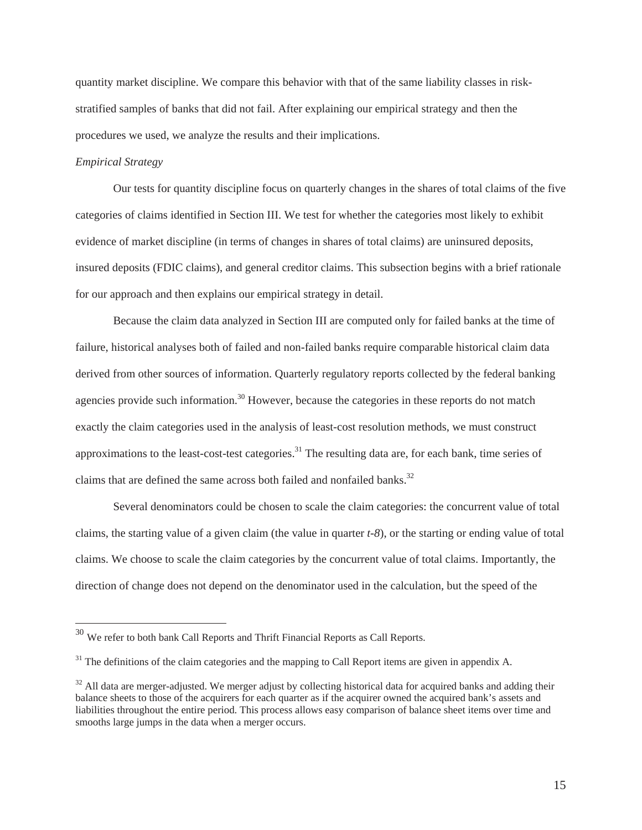quantity market discipline. We compare this behavior with that of the same liability classes in riskstratified samples of banks that did not fail. After explaining our empirical strategy and then the procedures we used, we analyze the results and their implications.

## *Empirical Strategy*

Our tests for quantity discipline focus on quarterly changes in the shares of total claims of the five categories of claims identified in Section III. We test for whether the categories most likely to exhibit evidence of market discipline (in terms of changes in shares of total claims) are uninsured deposits, insured deposits (FDIC claims), and general creditor claims. This subsection begins with a brief rationale for our approach and then explains our empirical strategy in detail.

Because the claim data analyzed in Section III are computed only for failed banks at the time of failure, historical analyses both of failed and non-failed banks require comparable historical claim data derived from other sources of information. Quarterly regulatory reports collected by the federal banking agencies provide such information.<sup>30</sup> However, because the categories in these reports do not match exactly the claim categories used in the analysis of least-cost resolution methods, we must construct approximations to the least-cost-test categories.<sup>31</sup> The resulting data are, for each bank, time series of claims that are defined the same across both failed and nonfailed banks. $32$ 

Several denominators could be chosen to scale the claim categories: the concurrent value of total claims, the starting value of a given claim (the value in quarter *t-8*), or the starting or ending value of total claims. We choose to scale the claim categories by the concurrent value of total claims. Importantly, the direction of change does not depend on the denominator used in the calculation, but the speed of the

<sup>30</sup> We refer to both bank Call Reports and Thrift Financial Reports as Call Reports.

<sup>&</sup>lt;sup>31</sup> The definitions of the claim categories and the mapping to Call Report items are given in appendix A.

 $32$  All data are merger-adjusted. We merger adjust by collecting historical data for acquired banks and adding their balance sheets to those of the acquirers for each quarter as if the acquirer owned the acquired bank's assets and liabilities throughout the entire period. This process allows easy comparison of balance sheet items over time and smooths large jumps in the data when a merger occurs.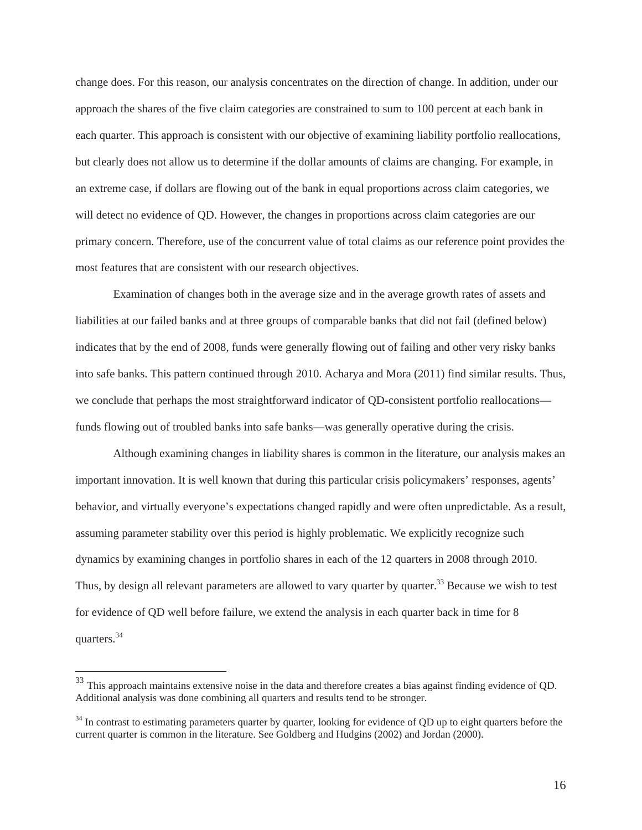change does. For this reason, our analysis concentrates on the direction of change. In addition, under our approach the shares of the five claim categories are constrained to sum to 100 percent at each bank in each quarter. This approach is consistent with our objective of examining liability portfolio reallocations, but clearly does not allow us to determine if the dollar amounts of claims are changing. For example, in an extreme case, if dollars are flowing out of the bank in equal proportions across claim categories, we will detect no evidence of QD. However, the changes in proportions across claim categories are our primary concern. Therefore, use of the concurrent value of total claims as our reference point provides the most features that are consistent with our research objectives.

Examination of changes both in the average size and in the average growth rates of assets and liabilities at our failed banks and at three groups of comparable banks that did not fail (defined below) indicates that by the end of 2008, funds were generally flowing out of failing and other very risky banks into safe banks. This pattern continued through 2010. Acharya and Mora (2011) find similar results. Thus, we conclude that perhaps the most straightforward indicator of OD-consistent portfolio reallocations funds flowing out of troubled banks into safe banks—was generally operative during the crisis.

Although examining changes in liability shares is common in the literature, our analysis makes an important innovation. It is well known that during this particular crisis policymakers' responses, agents' behavior, and virtually everyone's expectations changed rapidly and were often unpredictable. As a result, assuming parameter stability over this period is highly problematic. We explicitly recognize such dynamics by examining changes in portfolio shares in each of the 12 quarters in 2008 through 2010. Thus, by design all relevant parameters are allowed to vary quarter by quarter.<sup>33</sup> Because we wish to test for evidence of QD well before failure, we extend the analysis in each quarter back in time for 8 quarters.<sup>34</sup>

<sup>&</sup>lt;sup>33</sup> This approach maintains extensive noise in the data and therefore creates a bias against finding evidence of QD. Additional analysis was done combining all quarters and results tend to be stronger.

<sup>&</sup>lt;sup>34</sup> In contrast to estimating parameters quarter by quarter, looking for evidence of OD up to eight quarters before the current quarter is common in the literature. See Goldberg and Hudgins (2002) and Jordan (2000).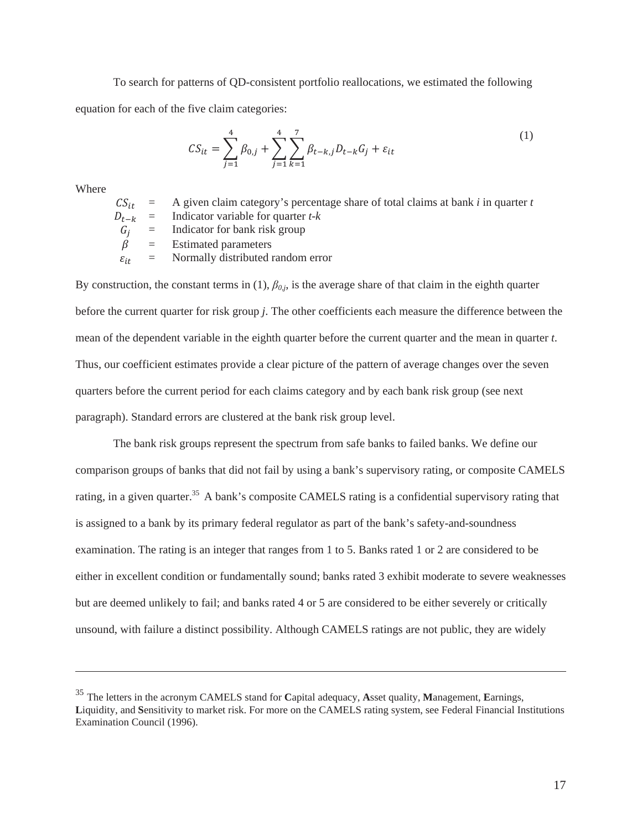To search for patterns of QD-consistent portfolio reallocations, we estimated the following equation for each of the five claim categories:

$$
CS_{it} = \sum_{j=1}^{4} \beta_{0,j} + \sum_{j=1}^{4} \sum_{k=1}^{7} \beta_{t-k,j} D_{t-k} G_j + \varepsilon_{it}
$$
 (1)

Where

 $CS_{it}$  = A given claim category's percentage share of total claims at bank *i* in quarter *t*  $D_{t-k}$  = Indicator variable for quarter *t*-*k*  $G_i$  = Indicator for bank risk group  $\beta$  = Estimated parameters  $\varepsilon_{it}$  = Normally distributed random error

By construction, the constant terms in  $(1)$ ,  $\beta_{0,i}$ , is the average share of that claim in the eighth quarter before the current quarter for risk group *j*. The other coefficients each measure the difference between the mean of the dependent variable in the eighth quarter before the current quarter and the mean in quarter *t*. Thus, our coefficient estimates provide a clear picture of the pattern of average changes over the seven quarters before the current period for each claims category and by each bank risk group (see next paragraph). Standard errors are clustered at the bank risk group level.

The bank risk groups represent the spectrum from safe banks to failed banks. We define our comparison groups of banks that did not fail by using a bank's supervisory rating, or composite CAMELS rating, in a given quarter.<sup>35</sup> A bank's composite CAMELS rating is a confidential supervisory rating that is assigned to a bank by its primary federal regulator as part of the bank's safety-and-soundness examination. The rating is an integer that ranges from 1 to 5. Banks rated 1 or 2 are considered to be either in excellent condition or fundamentally sound; banks rated 3 exhibit moderate to severe weaknesses but are deemed unlikely to fail; and banks rated 4 or 5 are considered to be either severely or critically unsound, with failure a distinct possibility. Although CAMELS ratings are not public, they are widely

<sup>35</sup> The letters in the acronym CAMELS stand for **C**apital adequacy, **A**sset quality, **M**anagement, **E**arnings, **L**iquidity, and **S**ensitivity to market risk. For more on the CAMELS rating system, see Federal Financial Institutions Examination Council (1996).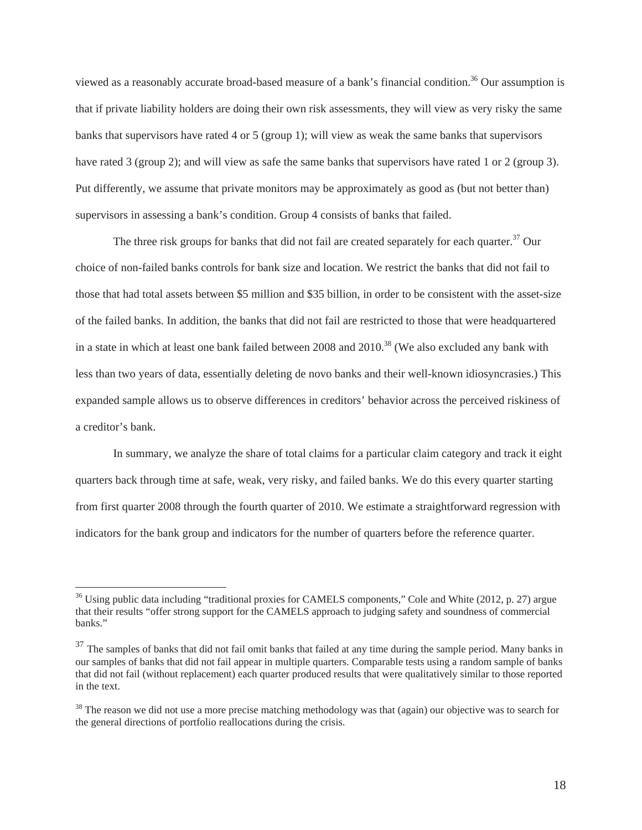viewed as a reasonably accurate broad-based measure of a bank's financial condition.36 Our assumption is that if private liability holders are doing their own risk assessments, they will view as very risky the same banks that supervisors have rated 4 or 5 (group 1); will view as weak the same banks that supervisors have rated 3 (group 2); and will view as safe the same banks that supervisors have rated 1 or 2 (group 3). Put differently, we assume that private monitors may be approximately as good as (but not better than) supervisors in assessing a bank's condition. Group 4 consists of banks that failed.

The three risk groups for banks that did not fail are created separately for each quarter.<sup>37</sup> Our choice of non-failed banks controls for bank size and location. We restrict the banks that did not fail to those that had total assets between \$5 million and \$35 billion, in order to be consistent with the asset-size of the failed banks. In addition, the banks that did not fail are restricted to those that were headquartered in a state in which at least one bank failed between 2008 and 2010.<sup>38</sup> (We also excluded any bank with less than two years of data, essentially deleting de novo banks and their well-known idiosyncrasies.) This expanded sample allows us to observe differences in creditors' behavior across the perceived riskiness of a creditor's bank.

In summary, we analyze the share of total claims for a particular claim category and track it eight quarters back through time at safe, weak, very risky, and failed banks. We do this every quarter starting from first quarter 2008 through the fourth quarter of 2010. We estimate a straightforward regression with indicators for the bank group and indicators for the number of quarters before the reference quarter.

<sup>&</sup>lt;sup>36</sup> Using public data including "traditional proxies for CAMELS components," Cole and White (2012, p. 27) argue that their results "offer strong support for the CAMELS approach to judging safety and soundness of commercial banks."

<sup>&</sup>lt;sup>37</sup> The samples of banks that did not fail omit banks that failed at any time during the sample period. Many banks in our samples of banks that did not fail appear in multiple quarters. Comparable tests using a random sample of banks that did not fail (without replacement) each quarter produced results that were qualitatively similar to those reported in the text.

 $38$  The reason we did not use a more precise matching methodology was that (again) our objective was to search for the general directions of portfolio reallocations during the crisis.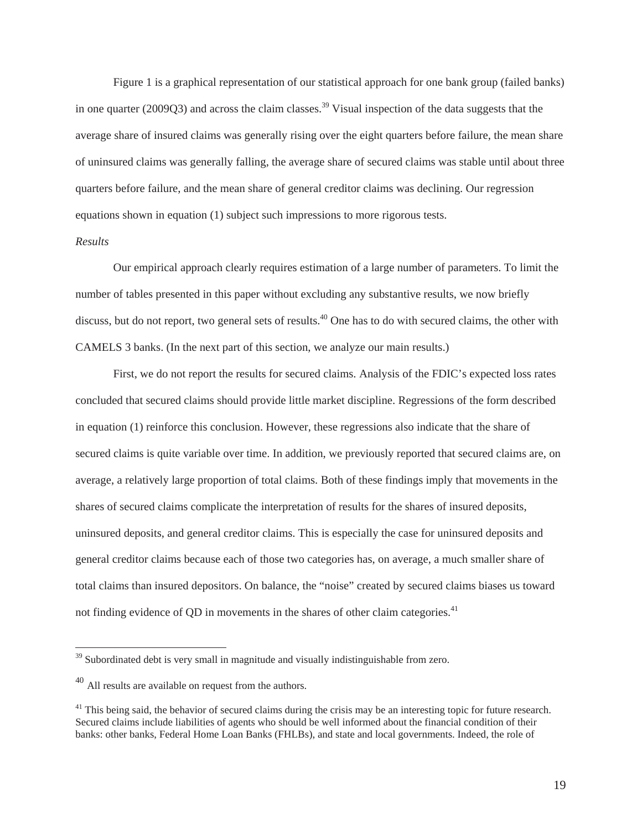Figure 1 is a graphical representation of our statistical approach for one bank group (failed banks) in one quarter (2009Q3) and across the claim classes.<sup>39</sup> Visual inspection of the data suggests that the average share of insured claims was generally rising over the eight quarters before failure, the mean share of uninsured claims was generally falling, the average share of secured claims was stable until about three quarters before failure, and the mean share of general creditor claims was declining. Our regression equations shown in equation (1) subject such impressions to more rigorous tests.

# *Results*

Our empirical approach clearly requires estimation of a large number of parameters. To limit the number of tables presented in this paper without excluding any substantive results, we now briefly discuss, but do not report, two general sets of results.<sup>40</sup> One has to do with secured claims, the other with CAMELS 3 banks. (In the next part of this section, we analyze our main results.)

First, we do not report the results for secured claims. Analysis of the FDIC's expected loss rates concluded that secured claims should provide little market discipline. Regressions of the form described in equation (1) reinforce this conclusion. However, these regressions also indicate that the share of secured claims is quite variable over time. In addition, we previously reported that secured claims are, on average, a relatively large proportion of total claims. Both of these findings imply that movements in the shares of secured claims complicate the interpretation of results for the shares of insured deposits, uninsured deposits, and general creditor claims. This is especially the case for uninsured deposits and general creditor claims because each of those two categories has, on average, a much smaller share of total claims than insured depositors. On balance, the "noise" created by secured claims biases us toward not finding evidence of QD in movements in the shares of other claim categories.<sup>41</sup>

 $39$  Subordinated debt is very small in magnitude and visually indistinguishable from zero.

<sup>&</sup>lt;sup>40</sup> All results are available on request from the authors.

 $<sup>41</sup>$  This being said, the behavior of secured claims during the crisis may be an interesting topic for future research.</sup> Secured claims include liabilities of agents who should be well informed about the financial condition of their banks: other banks, Federal Home Loan Banks (FHLBs), and state and local governments. Indeed, the role of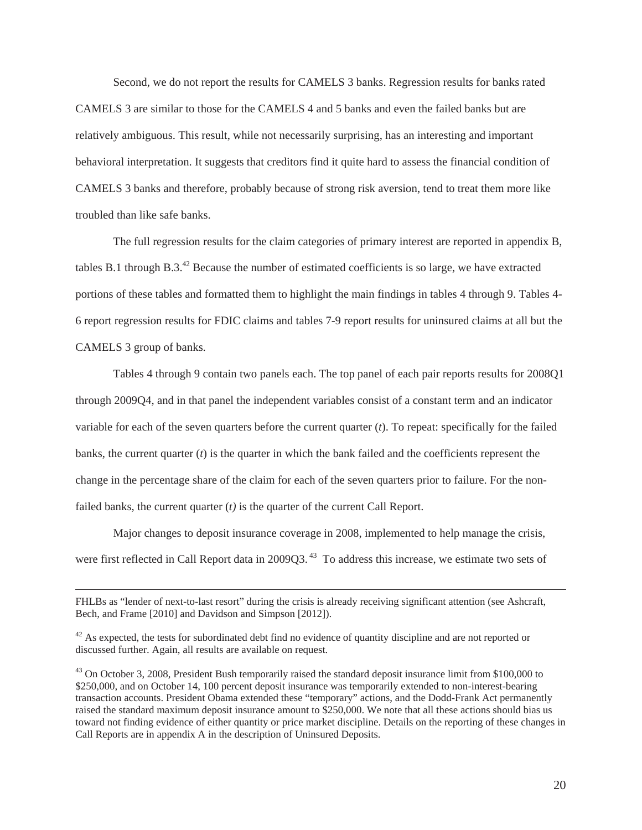Second, we do not report the results for CAMELS 3 banks. Regression results for banks rated CAMELS 3 are similar to those for the CAMELS 4 and 5 banks and even the failed banks but are relatively ambiguous. This result, while not necessarily surprising, has an interesting and important behavioral interpretation. It suggests that creditors find it quite hard to assess the financial condition of CAMELS 3 banks and therefore, probably because of strong risk aversion, tend to treat them more like troubled than like safe banks.

The full regression results for the claim categories of primary interest are reported in appendix B, tables B.1 through B.3.<sup>42</sup> Because the number of estimated coefficients is so large, we have extracted portions of these tables and formatted them to highlight the main findings in tables 4 through 9. Tables 4- 6 report regression results for FDIC claims and tables 7-9 report results for uninsured claims at all but the CAMELS 3 group of banks.

Tables 4 through 9 contain two panels each. The top panel of each pair reports results for 2008Q1 through 2009Q4, and in that panel the independent variables consist of a constant term and an indicator variable for each of the seven quarters before the current quarter (*t*). To repeat: specifically for the failed banks, the current quarter (*t*) is the quarter in which the bank failed and the coefficients represent the change in the percentage share of the claim for each of the seven quarters prior to failure. For the nonfailed banks, the current quarter (*t)* is the quarter of the current Call Report.

Major changes to deposit insurance coverage in 2008, implemented to help manage the crisis, were first reflected in Call Report data in 2009Q3.<sup>43</sup> To address this increase, we estimate two sets of

FHLBs as "lender of next-to-last resort" during the crisis is already receiving significant attention (see Ashcraft, Bech, and Frame [2010] and Davidson and Simpson [2012]).

 $42$  As expected, the tests for subordinated debt find no evidence of quantity discipline and are not reported or discussed further. Again, all results are available on request.

<sup>&</sup>lt;sup>43</sup> On October 3, 2008, President Bush temporarily raised the standard deposit insurance limit from \$100,000 to \$250,000, and on October 14, 100 percent deposit insurance was temporarily extended to non-interest-bearing transaction accounts. President Obama extended these "temporary" actions, and the Dodd-Frank Act permanently raised the standard maximum deposit insurance amount to \$250,000. We note that all these actions should bias us toward not finding evidence of either quantity or price market discipline. Details on the reporting of these changes in Call Reports are in appendix A in the description of Uninsured Deposits.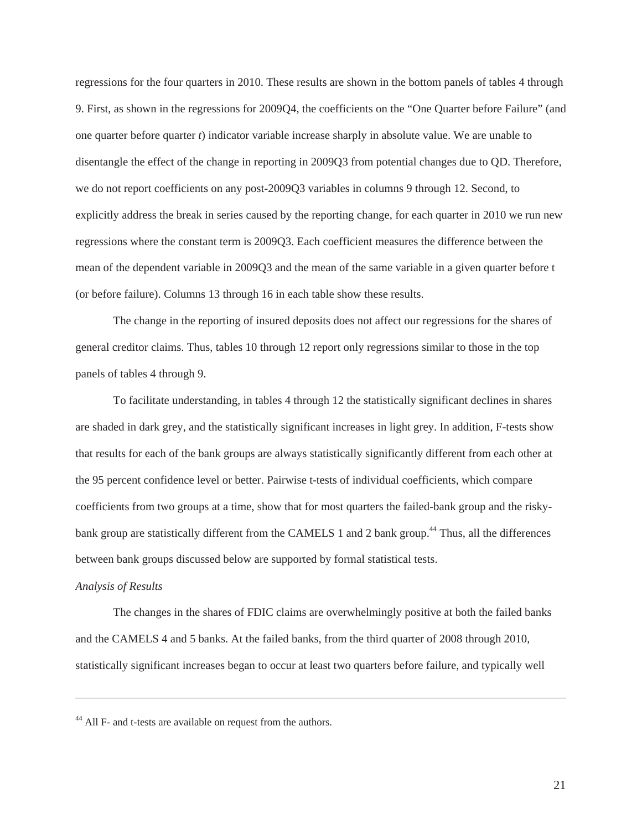regressions for the four quarters in 2010. These results are shown in the bottom panels of tables 4 through 9. First, as shown in the regressions for 2009Q4, the coefficients on the "One Quarter before Failure" (and one quarter before quarter *t*) indicator variable increase sharply in absolute value. We are unable to disentangle the effect of the change in reporting in 2009Q3 from potential changes due to QD. Therefore, we do not report coefficients on any post-2009Q3 variables in columns 9 through 12. Second, to explicitly address the break in series caused by the reporting change, for each quarter in 2010 we run new regressions where the constant term is 2009Q3. Each coefficient measures the difference between the mean of the dependent variable in 2009Q3 and the mean of the same variable in a given quarter before t (or before failure). Columns 13 through 16 in each table show these results.

The change in the reporting of insured deposits does not affect our regressions for the shares of general creditor claims. Thus, tables 10 through 12 report only regressions similar to those in the top panels of tables 4 through 9.

To facilitate understanding, in tables 4 through 12 the statistically significant declines in shares are shaded in dark grey, and the statistically significant increases in light grey. In addition, F-tests show that results for each of the bank groups are always statistically significantly different from each other at the 95 percent confidence level or better. Pairwise t-tests of individual coefficients, which compare coefficients from two groups at a time, show that for most quarters the failed-bank group and the riskybank group are statistically different from the CAMELS 1 and 2 bank group.<sup>44</sup> Thus, all the differences between bank groups discussed below are supported by formal statistical tests.

#### *Analysis of Results*

The changes in the shares of FDIC claims are overwhelmingly positive at both the failed banks and the CAMELS 4 and 5 banks. At the failed banks, from the third quarter of 2008 through 2010, statistically significant increases began to occur at least two quarters before failure, and typically well

<sup>&</sup>lt;sup>44</sup> All F- and t-tests are available on request from the authors.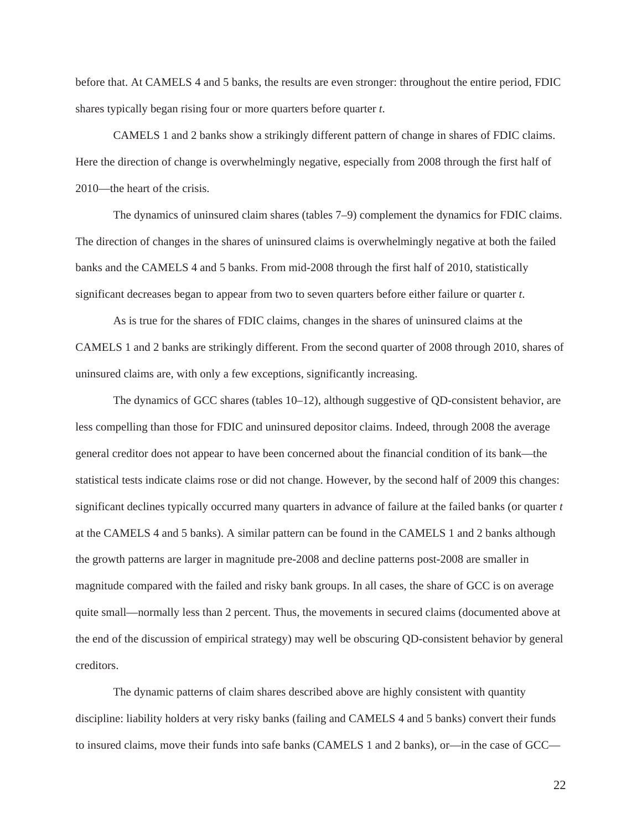before that. At CAMELS 4 and 5 banks, the results are even stronger: throughout the entire period, FDIC shares typically began rising four or more quarters before quarter *t*.

CAMELS 1 and 2 banks show a strikingly different pattern of change in shares of FDIC claims. Here the direction of change is overwhelmingly negative, especially from 2008 through the first half of 2010—the heart of the crisis.

The dynamics of uninsured claim shares (tables 7–9) complement the dynamics for FDIC claims. The direction of changes in the shares of uninsured claims is overwhelmingly negative at both the failed banks and the CAMELS 4 and 5 banks. From mid-2008 through the first half of 2010, statistically significant decreases began to appear from two to seven quarters before either failure or quarter *t*.

As is true for the shares of FDIC claims, changes in the shares of uninsured claims at the CAMELS 1 and 2 banks are strikingly different. From the second quarter of 2008 through 2010, shares of uninsured claims are, with only a few exceptions, significantly increasing.

The dynamics of GCC shares (tables 10–12), although suggestive of QD-consistent behavior, are less compelling than those for FDIC and uninsured depositor claims. Indeed, through 2008 the average general creditor does not appear to have been concerned about the financial condition of its bank—the statistical tests indicate claims rose or did not change. However, by the second half of 2009 this changes: significant declines typically occurred many quarters in advance of failure at the failed banks (or quarter *t* at the CAMELS 4 and 5 banks). A similar pattern can be found in the CAMELS 1 and 2 banks although the growth patterns are larger in magnitude pre-2008 and decline patterns post-2008 are smaller in magnitude compared with the failed and risky bank groups. In all cases, the share of GCC is on average quite small—normally less than 2 percent. Thus, the movements in secured claims (documented above at the end of the discussion of empirical strategy) may well be obscuring QD-consistent behavior by general creditors.

The dynamic patterns of claim shares described above are highly consistent with quantity discipline: liability holders at very risky banks (failing and CAMELS 4 and 5 banks) convert their funds to insured claims, move their funds into safe banks (CAMELS 1 and 2 banks), or—in the case of GCC—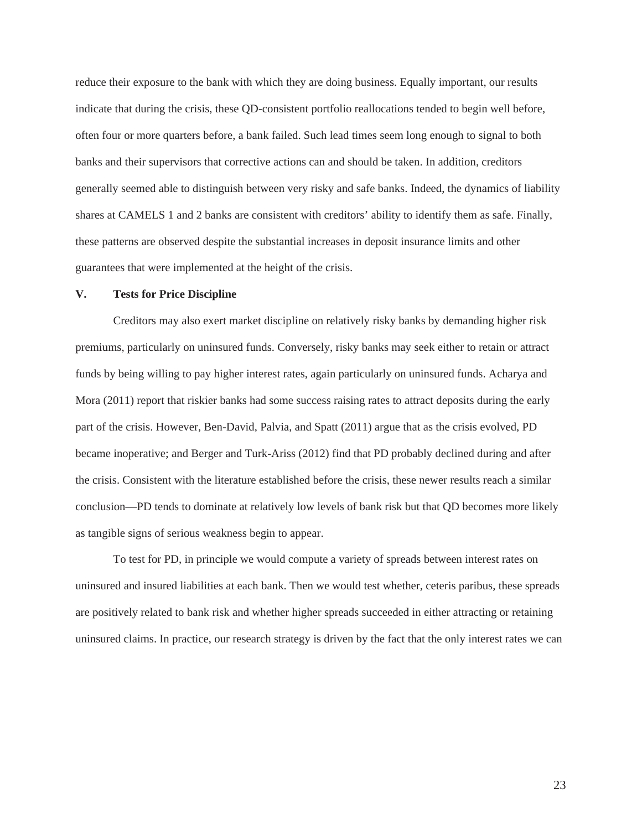reduce their exposure to the bank with which they are doing business. Equally important, our results indicate that during the crisis, these QD-consistent portfolio reallocations tended to begin well before, often four or more quarters before, a bank failed. Such lead times seem long enough to signal to both banks and their supervisors that corrective actions can and should be taken. In addition, creditors generally seemed able to distinguish between very risky and safe banks. Indeed, the dynamics of liability shares at CAMELS 1 and 2 banks are consistent with creditors' ability to identify them as safe. Finally, these patterns are observed despite the substantial increases in deposit insurance limits and other guarantees that were implemented at the height of the crisis.

# **V. Tests for Price Discipline**

Creditors may also exert market discipline on relatively risky banks by demanding higher risk premiums, particularly on uninsured funds. Conversely, risky banks may seek either to retain or attract funds by being willing to pay higher interest rates, again particularly on uninsured funds. Acharya and Mora (2011) report that riskier banks had some success raising rates to attract deposits during the early part of the crisis. However, Ben-David, Palvia, and Spatt (2011) argue that as the crisis evolved, PD became inoperative; and Berger and Turk-Ariss (2012) find that PD probably declined during and after the crisis. Consistent with the literature established before the crisis, these newer results reach a similar conclusion—PD tends to dominate at relatively low levels of bank risk but that QD becomes more likely as tangible signs of serious weakness begin to appear.

To test for PD, in principle we would compute a variety of spreads between interest rates on uninsured and insured liabilities at each bank. Then we would test whether, ceteris paribus, these spreads are positively related to bank risk and whether higher spreads succeeded in either attracting or retaining uninsured claims. In practice, our research strategy is driven by the fact that the only interest rates we can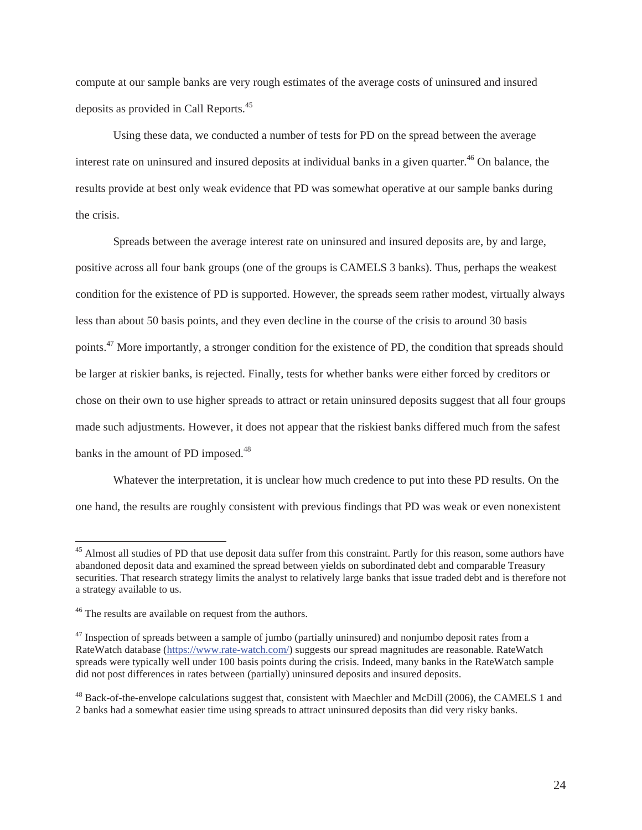compute at our sample banks are very rough estimates of the average costs of uninsured and insured deposits as provided in Call Reports.45

Using these data, we conducted a number of tests for PD on the spread between the average interest rate on uninsured and insured deposits at individual banks in a given quarter.<sup>46</sup> On balance, the results provide at best only weak evidence that PD was somewhat operative at our sample banks during the crisis.

Spreads between the average interest rate on uninsured and insured deposits are, by and large, positive across all four bank groups (one of the groups is CAMELS 3 banks). Thus, perhaps the weakest condition for the existence of PD is supported. However, the spreads seem rather modest, virtually always less than about 50 basis points, and they even decline in the course of the crisis to around 30 basis points.<sup>47</sup> More importantly, a stronger condition for the existence of PD, the condition that spreads should be larger at riskier banks, is rejected. Finally, tests for whether banks were either forced by creditors or chose on their own to use higher spreads to attract or retain uninsured deposits suggest that all four groups made such adjustments. However, it does not appear that the riskiest banks differed much from the safest banks in the amount of PD imposed.<sup>48</sup>

Whatever the interpretation, it is unclear how much credence to put into these PD results. On the one hand, the results are roughly consistent with previous findings that PD was weak or even nonexistent

<sup>&</sup>lt;sup>45</sup> Almost all studies of PD that use deposit data suffer from this constraint. Partly for this reason, some authors have abandoned deposit data and examined the spread between yields on subordinated debt and comparable Treasury securities. That research strategy limits the analyst to relatively large banks that issue traded debt and is therefore not a strategy available to us.

<sup>46</sup> The results are available on request from the authors.

<sup>&</sup>lt;sup>47</sup> Inspection of spreads between a sample of jumbo (partially uninsured) and nonjumbo deposit rates from a RateWatch database (https://www.rate-watch.com/) suggests our spread magnitudes are reasonable. RateWatch spreads were typically well under 100 basis points during the crisis. Indeed, many banks in the RateWatch sample did not post differences in rates between (partially) uninsured deposits and insured deposits.

<sup>&</sup>lt;sup>48</sup> Back-of-the-envelope calculations suggest that, consistent with Maechler and McDill (2006), the CAMELS 1 and 2 banks had a somewhat easier time using spreads to attract uninsured deposits than did very risky banks.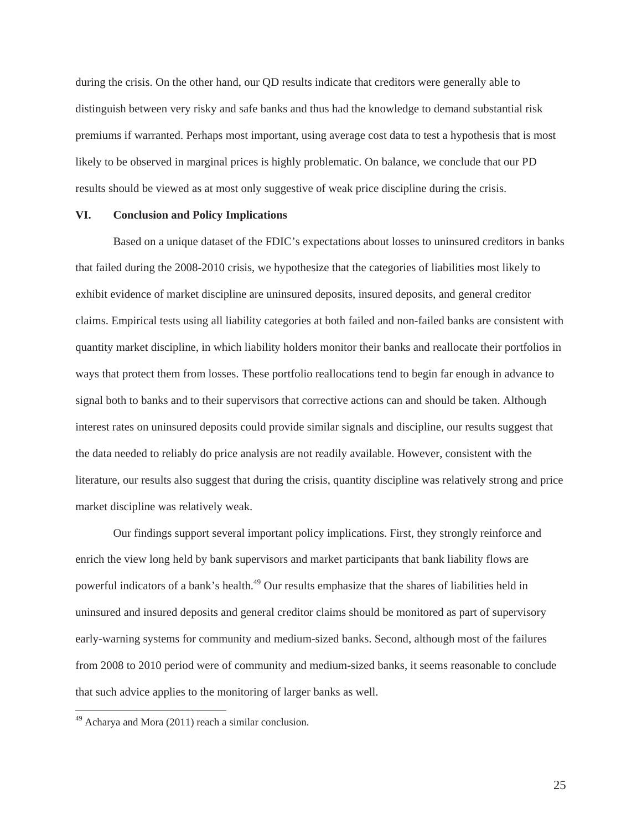during the crisis. On the other hand, our QD results indicate that creditors were generally able to distinguish between very risky and safe banks and thus had the knowledge to demand substantial risk premiums if warranted. Perhaps most important, using average cost data to test a hypothesis that is most likely to be observed in marginal prices is highly problematic. On balance, we conclude that our PD results should be viewed as at most only suggestive of weak price discipline during the crisis.

#### **VI. Conclusion and Policy Implications**

Based on a unique dataset of the FDIC's expectations about losses to uninsured creditors in banks that failed during the 2008-2010 crisis, we hypothesize that the categories of liabilities most likely to exhibit evidence of market discipline are uninsured deposits, insured deposits, and general creditor claims. Empirical tests using all liability categories at both failed and non-failed banks are consistent with quantity market discipline, in which liability holders monitor their banks and reallocate their portfolios in ways that protect them from losses. These portfolio reallocations tend to begin far enough in advance to signal both to banks and to their supervisors that corrective actions can and should be taken. Although interest rates on uninsured deposits could provide similar signals and discipline, our results suggest that the data needed to reliably do price analysis are not readily available. However, consistent with the literature, our results also suggest that during the crisis, quantity discipline was relatively strong and price market discipline was relatively weak.

Our findings support several important policy implications. First, they strongly reinforce and enrich the view long held by bank supervisors and market participants that bank liability flows are powerful indicators of a bank's health.<sup>49</sup> Our results emphasize that the shares of liabilities held in uninsured and insured deposits and general creditor claims should be monitored as part of supervisory early-warning systems for community and medium-sized banks. Second, although most of the failures from 2008 to 2010 period were of community and medium-sized banks, it seems reasonable to conclude that such advice applies to the monitoring of larger banks as well.

<sup>49</sup> Acharya and Mora (2011) reach a similar conclusion.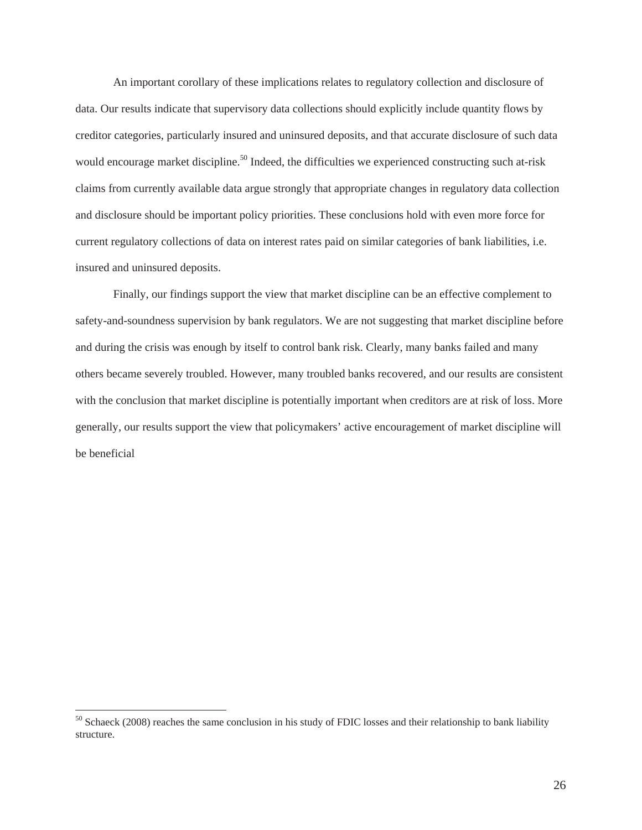An important corollary of these implications relates to regulatory collection and disclosure of data. Our results indicate that supervisory data collections should explicitly include quantity flows by creditor categories, particularly insured and uninsured deposits, and that accurate disclosure of such data would encourage market discipline.<sup>50</sup> Indeed, the difficulties we experienced constructing such at-risk claims from currently available data argue strongly that appropriate changes in regulatory data collection and disclosure should be important policy priorities. These conclusions hold with even more force for current regulatory collections of data on interest rates paid on similar categories of bank liabilities, i.e. insured and uninsured deposits.

Finally, our findings support the view that market discipline can be an effective complement to safety-and-soundness supervision by bank regulators. We are not suggesting that market discipline before and during the crisis was enough by itself to control bank risk. Clearly, many banks failed and many others became severely troubled. However, many troubled banks recovered, and our results are consistent with the conclusion that market discipline is potentially important when creditors are at risk of loss. More generally, our results support the view that policymakers' active encouragement of market discipline will be beneficial

<sup>&</sup>lt;sup>50</sup> Schaeck (2008) reaches the same conclusion in his study of FDIC losses and their relationship to bank liability structure.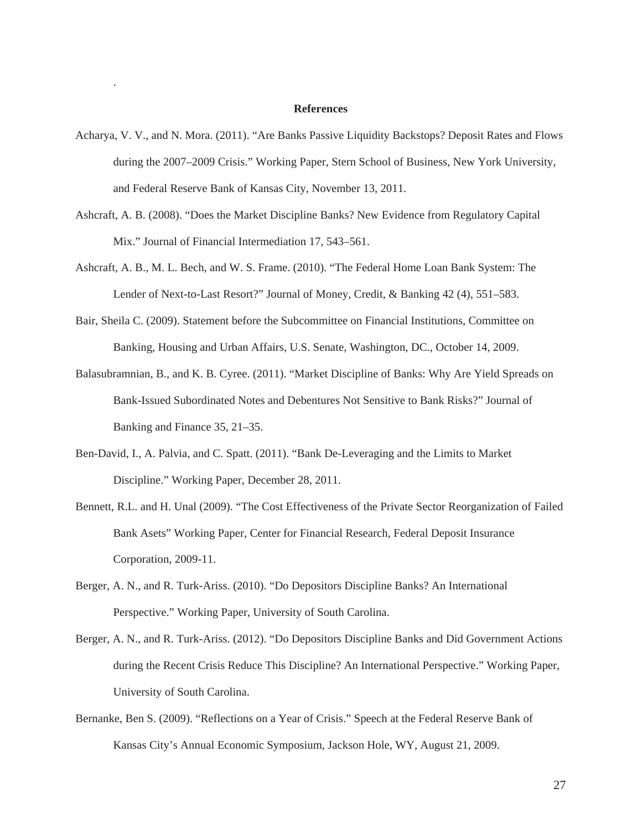#### **References**

.

- Acharya, V. V., and N. Mora. (2011). "Are Banks Passive Liquidity Backstops? Deposit Rates and Flows during the 2007–2009 Crisis." Working Paper, Stern School of Business, New York University, and Federal Reserve Bank of Kansas City, November 13, 2011.
- Ashcraft, A. B. (2008). "Does the Market Discipline Banks? New Evidence from Regulatory Capital Mix." Journal of Financial Intermediation 17, 543–561.
- Ashcraft, A. B., M. L. Bech, and W. S. Frame. (2010). "The Federal Home Loan Bank System: The Lender of Next-to-Last Resort?" Journal of Money, Credit, & Banking 42 (4), 551–583.
- Bair, Sheila C. (2009). Statement before the Subcommittee on Financial Institutions, Committee on Banking, Housing and Urban Affairs, U.S. Senate, Washington, DC., October 14, 2009.
- Balasubramnian, B., and K. B. Cyree. (2011). "Market Discipline of Banks: Why Are Yield Spreads on Bank-Issued Subordinated Notes and Debentures Not Sensitive to Bank Risks?" Journal of Banking and Finance 35, 21–35.
- Ben-David, I., A. Palvia, and C. Spatt. (2011). "Bank De-Leveraging and the Limits to Market Discipline." Working Paper, December 28, 2011.
- Bennett, R.L. and H. Unal (2009). "The Cost Effectiveness of the Private Sector Reorganization of Failed Bank Asets" Working Paper, Center for Financial Research, Federal Deposit Insurance Corporation, 2009-11.
- Berger, A. N., and R. Turk-Ariss. (2010). "Do Depositors Discipline Banks? An International Perspective." Working Paper, University of South Carolina.
- Berger, A. N., and R. Turk-Ariss. (2012). "Do Depositors Discipline Banks and Did Government Actions during the Recent Crisis Reduce This Discipline? An International Perspective." Working Paper, University of South Carolina.
- Bernanke, Ben S. (2009). "Reflections on a Year of Crisis." Speech at the Federal Reserve Bank of Kansas City's Annual Economic Symposium, Jackson Hole, WY, August 21, 2009.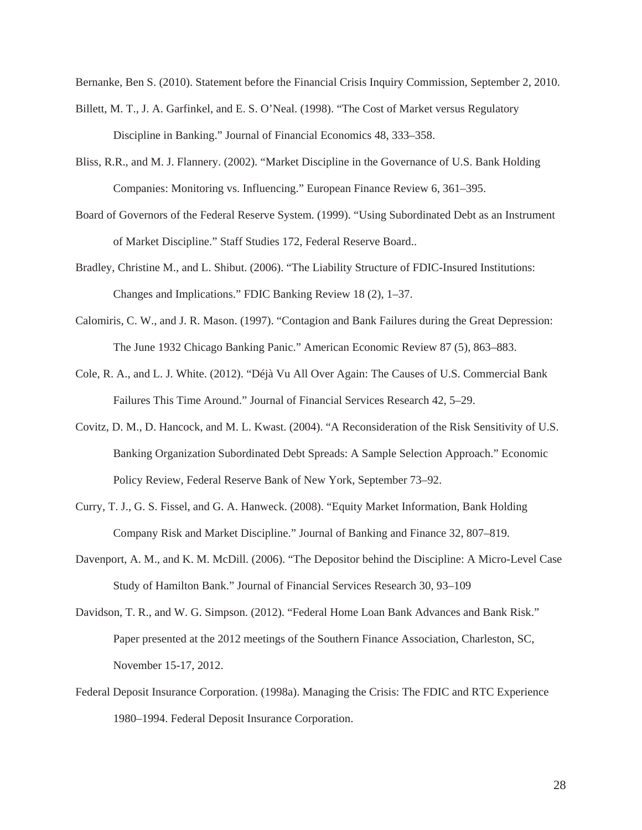Bernanke, Ben S. (2010). Statement before the Financial Crisis Inquiry Commission, September 2, 2010.

- Billett, M. T., J. A. Garfinkel, and E. S. O'Neal. (1998). "The Cost of Market versus Regulatory Discipline in Banking." Journal of Financial Economics 48, 333–358.
- Bliss, R.R., and M. J. Flannery. (2002). "Market Discipline in the Governance of U.S. Bank Holding Companies: Monitoring vs. Influencing." European Finance Review 6, 361–395.
- Board of Governors of the Federal Reserve System. (1999). "Using Subordinated Debt as an Instrument of Market Discipline." Staff Studies 172, Federal Reserve Board..
- Bradley, Christine M., and L. Shibut. (2006). "The Liability Structure of FDIC-Insured Institutions: Changes and Implications." FDIC Banking Review 18 (2), 1–37.
- Calomiris, C. W., and J. R. Mason. (1997). "Contagion and Bank Failures during the Great Depression: The June 1932 Chicago Banking Panic." American Economic Review 87 (5), 863–883.
- Cole, R. A., and L. J. White. (2012). "Déjà Vu All Over Again: The Causes of U.S. Commercial Bank Failures This Time Around." Journal of Financial Services Research 42, 5–29.
- Covitz, D. M., D. Hancock, and M. L. Kwast. (2004). "A Reconsideration of the Risk Sensitivity of U.S. Banking Organization Subordinated Debt Spreads: A Sample Selection Approach." Economic Policy Review, Federal Reserve Bank of New York, September 73–92.
- Curry, T. J., G. S. Fissel, and G. A. Hanweck. (2008). "Equity Market Information, Bank Holding Company Risk and Market Discipline." Journal of Banking and Finance 32, 807–819.
- Davenport, A. M., and K. M. McDill. (2006). "The Depositor behind the Discipline: A Micro-Level Case Study of Hamilton Bank." Journal of Financial Services Research 30, 93–109
- Davidson, T. R., and W. G. Simpson. (2012). "Federal Home Loan Bank Advances and Bank Risk." Paper presented at the 2012 meetings of the Southern Finance Association, Charleston, SC, November 15-17, 2012.
- Federal Deposit Insurance Corporation. (1998a). Managing the Crisis: The FDIC and RTC Experience 1980–1994. Federal Deposit Insurance Corporation.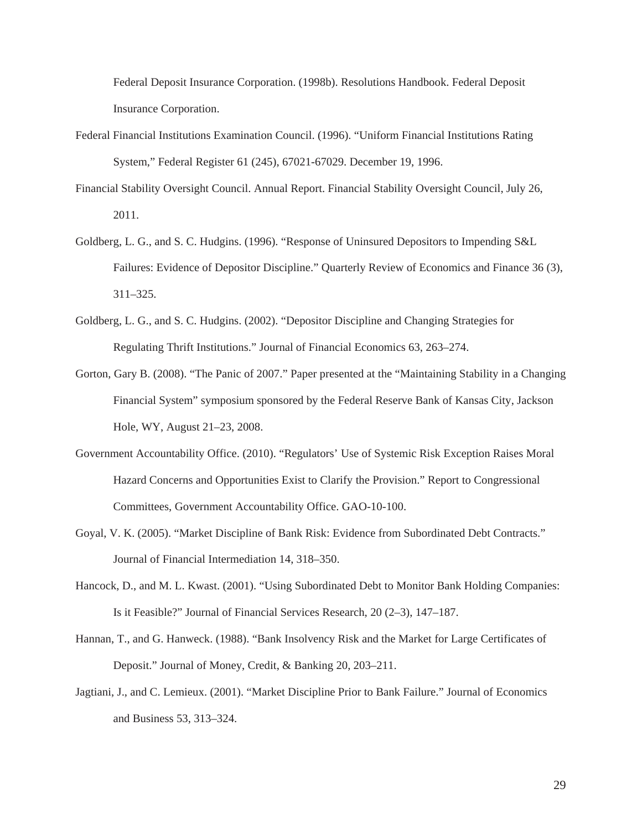Federal Deposit Insurance Corporation. (1998b). Resolutions Handbook. Federal Deposit Insurance Corporation.

- Federal Financial Institutions Examination Council. (1996). "Uniform Financial Institutions Rating System," Federal Register 61 (245), 67021-67029. December 19, 1996.
- Financial Stability Oversight Council. Annual Report. Financial Stability Oversight Council, July 26, 2011.
- Goldberg, L. G., and S. C. Hudgins. (1996). "Response of Uninsured Depositors to Impending S&L Failures: Evidence of Depositor Discipline." Quarterly Review of Economics and Finance 36 (3), 311–325.
- Goldberg, L. G., and S. C. Hudgins. (2002). "Depositor Discipline and Changing Strategies for Regulating Thrift Institutions." Journal of Financial Economics 63, 263–274.
- Gorton, Gary B. (2008). "The Panic of 2007." Paper presented at the "Maintaining Stability in a Changing Financial System" symposium sponsored by the Federal Reserve Bank of Kansas City, Jackson Hole, WY, August 21–23, 2008.
- Government Accountability Office. (2010). "Regulators' Use of Systemic Risk Exception Raises Moral Hazard Concerns and Opportunities Exist to Clarify the Provision." Report to Congressional Committees, Government Accountability Office. GAO-10-100.
- Goyal, V. K. (2005). "Market Discipline of Bank Risk: Evidence from Subordinated Debt Contracts." Journal of Financial Intermediation 14, 318–350.
- Hancock, D., and M. L. Kwast. (2001). "Using Subordinated Debt to Monitor Bank Holding Companies: Is it Feasible?" Journal of Financial Services Research, 20 (2–3), 147–187.
- Hannan, T., and G. Hanweck. (1988). "Bank Insolvency Risk and the Market for Large Certificates of Deposit." Journal of Money, Credit, & Banking 20, 203–211.
- Jagtiani, J., and C. Lemieux. (2001). "Market Discipline Prior to Bank Failure." Journal of Economics and Business 53, 313–324.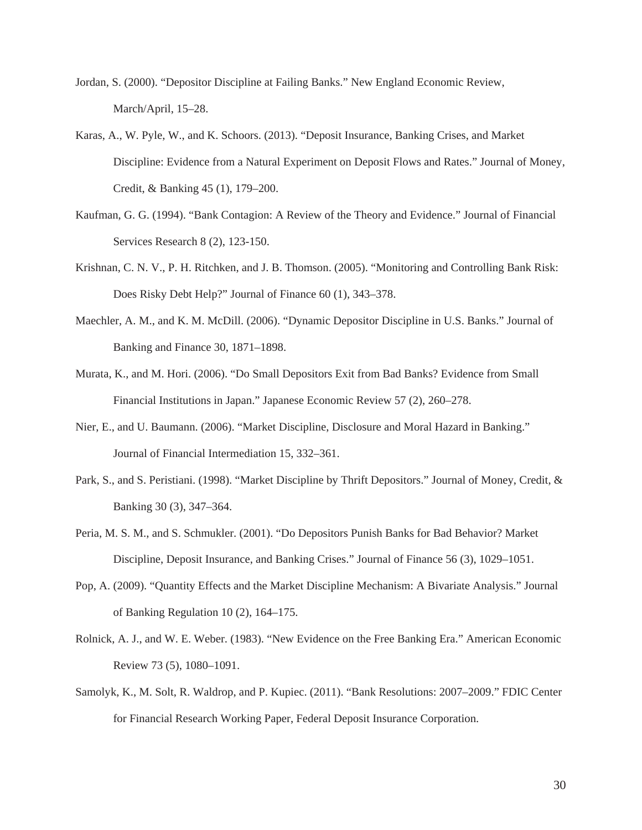- Jordan, S. (2000). "Depositor Discipline at Failing Banks." New England Economic Review, March/April, 15–28.
- Karas, A., W. Pyle, W., and K. Schoors. (2013). "Deposit Insurance, Banking Crises, and Market Discipline: Evidence from a Natural Experiment on Deposit Flows and Rates." Journal of Money, Credit, & Banking 45 (1), 179–200.
- Kaufman, G. G. (1994). "Bank Contagion: A Review of the Theory and Evidence." Journal of Financial Services Research 8 (2), 123-150.
- Krishnan, C. N. V., P. H. Ritchken, and J. B. Thomson. (2005). "Monitoring and Controlling Bank Risk: Does Risky Debt Help?" Journal of Finance 60 (1), 343–378.
- Maechler, A. M., and K. M. McDill. (2006). "Dynamic Depositor Discipline in U.S. Banks." Journal of Banking and Finance 30, 1871–1898.
- Murata, K., and M. Hori. (2006). "Do Small Depositors Exit from Bad Banks? Evidence from Small Financial Institutions in Japan." Japanese Economic Review 57 (2), 260–278.
- Nier, E., and U. Baumann. (2006). "Market Discipline, Disclosure and Moral Hazard in Banking." Journal of Financial Intermediation 15, 332–361.
- Park, S., and S. Peristiani. (1998). "Market Discipline by Thrift Depositors." Journal of Money, Credit, & Banking 30 (3), 347–364.
- Peria, M. S. M., and S. Schmukler. (2001). "Do Depositors Punish Banks for Bad Behavior? Market Discipline, Deposit Insurance, and Banking Crises." Journal of Finance 56 (3), 1029–1051.
- Pop, A. (2009). "Quantity Effects and the Market Discipline Mechanism: A Bivariate Analysis." Journal of Banking Regulation 10 (2), 164–175.
- Rolnick, A. J., and W. E. Weber. (1983). "New Evidence on the Free Banking Era." American Economic Review 73 (5), 1080–1091.
- Samolyk, K., M. Solt, R. Waldrop, and P. Kupiec. (2011). "Bank Resolutions: 2007–2009." FDIC Center for Financial Research Working Paper, Federal Deposit Insurance Corporation.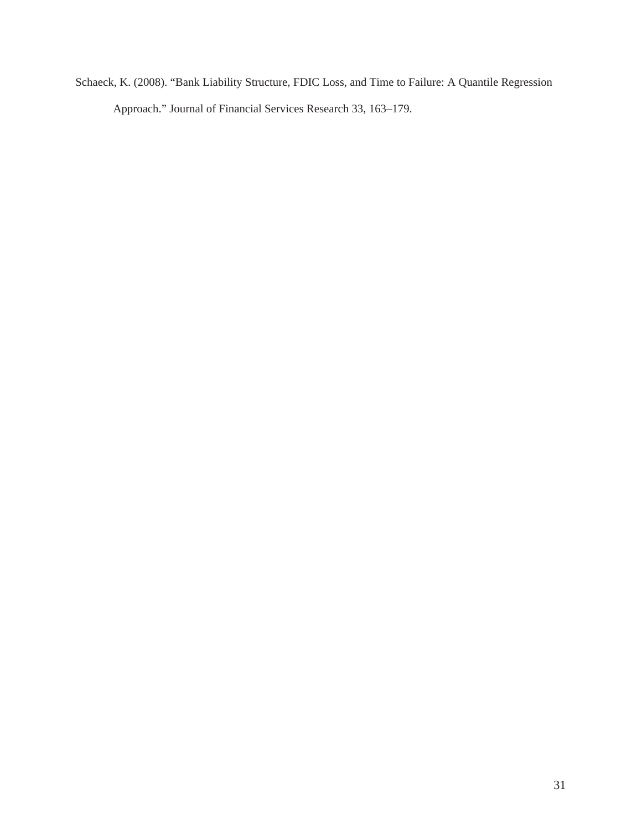Schaeck, K. (2008). "Bank Liability Structure, FDIC Loss, and Time to Failure: A Quantile Regression Approach." Journal of Financial Services Research 33, 163–179.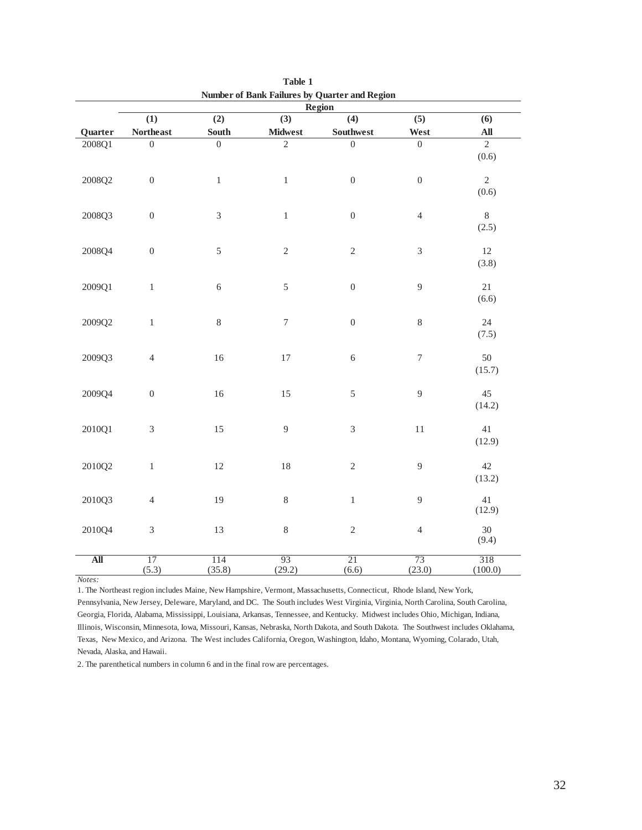|         |                             |                  |                  | runner or bank randres by Quarter and Keglon<br>Region |                  |                                  |
|---------|-----------------------------|------------------|------------------|--------------------------------------------------------|------------------|----------------------------------|
|         | $\overline{1}$              | $\overline{(2)}$ | $\overline{(3)}$ | (4)                                                    | $\overline{(5)}$ | $\overline{\boldsymbol{\theta}}$ |
| Quarter | <b>Northeast</b>            | South            | <b>Midwest</b>   | Southwest                                              | West             | $\mathbf{A}\mathbf{I}$           |
| 2008Q1  | $\mathbf{0}$                | $\overline{0}$   | $\overline{2}$   | $\overline{0}$                                         | $\mathbf{0}$     | $\overline{2}$                   |
|         |                             |                  |                  |                                                        |                  | (0.6)                            |
| 2008Q2  | $\boldsymbol{0}$            | $\,1$            | $\,1$            | $\boldsymbol{0}$                                       | $\boldsymbol{0}$ | $\overline{2}$                   |
|         |                             |                  |                  |                                                        |                  | (0.6)                            |
| 2008Q3  | $\boldsymbol{0}$            | $\sqrt{3}$       | $\,1\,$          | $\boldsymbol{0}$                                       | $\overline{4}$   | $8\,$                            |
|         |                             |                  |                  |                                                        |                  | (2.5)                            |
| 2008Q4  | $\boldsymbol{0}$            | $\sqrt{5}$       | $\sqrt{2}$       | $\sqrt{2}$                                             | $\overline{3}$   | 12                               |
|         |                             |                  |                  |                                                        |                  | (3.8)                            |
| 2009Q1  | $\,1\,$                     | $\sqrt{6}$       | 5                | $\boldsymbol{0}$                                       | $\overline{9}$   | $21\,$                           |
|         |                             |                  |                  |                                                        |                  | (6.6)                            |
| 2009Q2  | $\,1$                       | $8\,$            | $\boldsymbol{7}$ | $\boldsymbol{0}$                                       | $\,8\,$          | 24                               |
|         |                             |                  |                  |                                                        |                  | (7.5)                            |
| 2009Q3  | $\sqrt{4}$                  | $16$             | $17\,$           | $\overline{6}$                                         | $\boldsymbol{7}$ | 50                               |
|         |                             |                  |                  |                                                        |                  | (15.7)                           |
| 2009Q4  | $\boldsymbol{0}$            | $16$             | 15               | $\sqrt{5}$                                             | $\overline{9}$   | 45                               |
|         |                             |                  |                  |                                                        |                  | (14.2)                           |
| 2010Q1  | $\sqrt{3}$                  | 15               | $\overline{9}$   | $\ensuremath{\mathfrak{Z}}$                            | 11               | 41                               |
|         |                             |                  |                  |                                                        |                  | (12.9)                           |
| 2010Q2  | $\,1\,$                     | $12\,$           | $18\,$           | $\sqrt{2}$                                             | $\overline{9}$   | 42                               |
|         |                             |                  |                  |                                                        |                  | (13.2)                           |
| 2010Q3  | $\overline{4}$              | 19               | $\,8\,$          | $\,1\,$                                                | $\boldsymbol{9}$ | 41                               |
|         |                             |                  |                  |                                                        |                  | (12.9)                           |
| 2010Q4  | $\ensuremath{\mathfrak{Z}}$ | 13               | $\,8\,$          | $\sqrt{2}$                                             | $\sqrt{4}$       | 30<br>(9.4)                      |
|         |                             |                  |                  |                                                        |                  |                                  |
| All     | 17<br>(5.3)                 | 114<br>(35.8)    | 93<br>(29.2)     | 21<br>(6.6)                                            | 73<br>(23.0)     | 318<br>(100.0)                   |

| Table 1                                       |  |
|-----------------------------------------------|--|
| Number of Bank Failures by Ouarter and Region |  |

*Notes:* 

1. The Northeast region includes Maine, New Hampshire, Vermont, Massachusetts, Connecticut, Rhode Island, New York,

Nevada, Alaska, and Hawaii. Pennsylvania, New Jersey, Deleware, Maryland, and DC. The South includes West Virginia, Virginia, North Carolina, South Carolina, Georgia, Florida, Alabama, Mississippi, Louisiana, Arkansas, Tennessee, and Kentucky. Midwest includes Ohio, Michigan, Indiana, Illinois, Wisconsin, Minnesota, Iowa, Missouri, Kansas, Nebraska, North Dakota, and South Dakota. The Southwest includes Oklahama, Texas, New Mexico, and Arizona. The West includes California, Oregon, Washington, Idaho, Montana, Wyoming, Colarado, Utah,

2. The parenthetical numbers in column 6 and in the final row are percentages.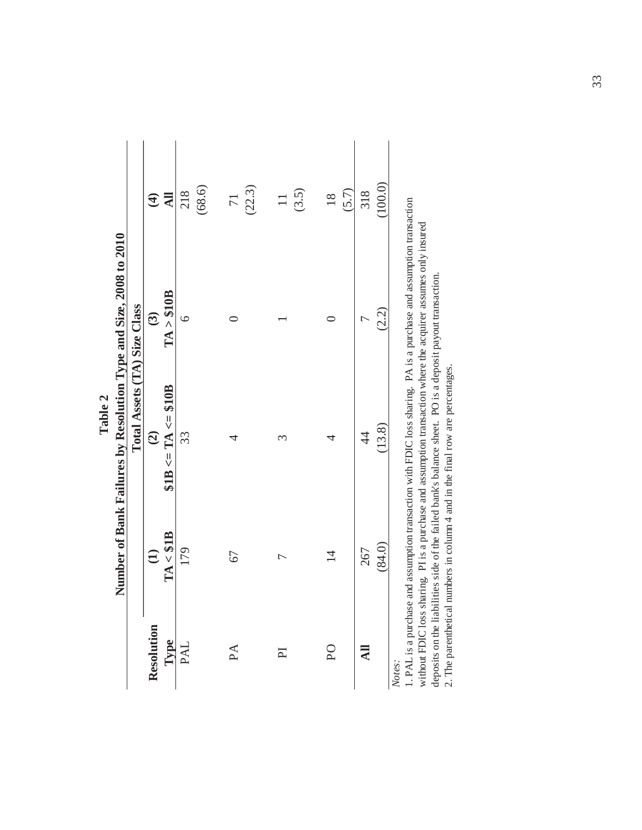|                         |                 | Total Assets (TA) Size Class |                         |                           |
|-------------------------|-----------------|------------------------------|-------------------------|---------------------------|
| Resolution              | $\widehat{\Xi}$ | $\widehat{c}$                | $\widehat{\mathcal{C}}$ | $\bf \widehat{\bf 4}$     |
| Type                    | TA < \$1B       | $$1B \leq TA \leq $10B$      | TA > \$10B              | $\overline{AB}$           |
| PAL                     | 179             | 33                           | $\circ$                 | (68.6)<br>218             |
| PA                      | 67              | 4                            |                         | (22.3)<br>$\overline{71}$ |
| $\overline{\mathsf{P}}$ | ↽               | 3                            |                         | (3.5)<br>$\Box$           |
| $\overline{P}$          | 14              | 4                            |                         | (5.7)<br>$\frac{8}{18}$   |
| $\overline{\mathbf{z}}$ | (84.0)<br>267   | (13.8)<br>र्य                | (2.2)<br>ľ              | (100.0)<br>318            |

**Table 2**

without FDIC loss sharing. PI is a purchase and assumption transaction where the acquirer assumes only insured without FDIC loss sharing. PI is a purchase and assumption transaction where the acquirer assumes only insured

deposits on the liabilities side of the failed bank's balance sheet. PO is a deposit payout transaction.<br>2. The parenthetical numbers in column 4 and in the final row are percentages. deposits on the liabilities side of the failed bank's balance sheet. PO is a deposit payout transaction.

2. The parenthetical numbers in column 4 and in the final row are percentages.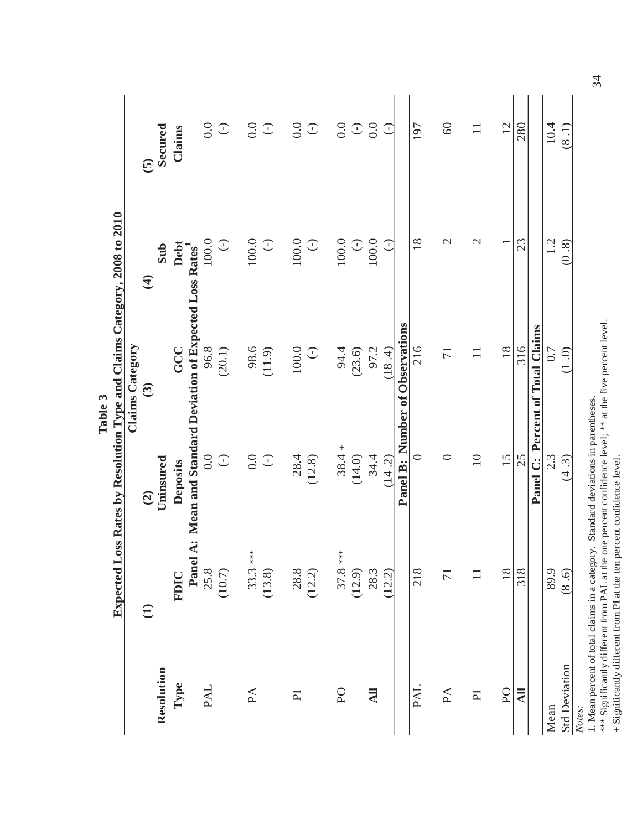|                      |                 |                                                        | <b>Claims Category</b>           |                    |                |
|----------------------|-----------------|--------------------------------------------------------|----------------------------------|--------------------|----------------|
|                      | $\Theta$        | $\widehat{c}$                                          | $\widehat{\mathbf{C}}$           | $\mathbf{\hat{t}}$ | $\overline{6}$ |
| Resolution           |                 | Uninsured                                              |                                  | Sub                | Secured        |
| Type                 | FDIC            | Deposits                                               | GCC                              | Debt               | Claims         |
|                      | Panel           | A: Mean and Standard Deviation of Expected Loss Rates' |                                  |                    |                |
| PAL                  | 25.8            | 0.0                                                    | 96.8                             | 100.0              | $0.0\,$        |
|                      | (10.7)          | $\bigodot$                                             | (20.1)                           | $\bigcirc$         | $\bigcirc$     |
| $\mathsf{PA}$        | 33.3 ***        |                                                        | 98.6                             | 100.0              | 0.0            |
|                      | (13.8)          | $\odot$ $\odot$                                        | (11.9)                           | $\bigodot$         | $\bigodot$     |
| $\mathbf{p}$         | 28.8            | 28.4                                                   | 100.0                            | 100.0              | $0.0\,$        |
|                      | (12.2)          | (12.8)                                                 | $\bigodot$                       | $\bigodot$         | $\bigcirc$     |
| ${\rm P} {\rm O}$    | 37.8 ***        | $38.4 +$                                               | 94.4                             | 100.0              | 0.0            |
|                      | (12.9)          | (14.0)                                                 | (23.6)                           | $\bigcirc$         | $\bigcirc$     |
| <b>All</b>           | 28.3            | 34.4                                                   | 97.2                             | 100.0              | 0.0            |
|                      | (12.2)          | (14.2)                                                 | (18.4)                           | J                  | J              |
|                      |                 | Panel B:                                               | Number of Observations           |                    |                |
| PAL                  | 218             | $\circ$                                                | 216                              | $\frac{8}{18}$     | 197            |
| $\mathsf{PA}$        | $\overline{71}$ | 0                                                      | 71                               | $\mathrel{\sim}$   | 60             |
| $\mathbf{p}$         | $\Box$          | $\overline{10}$                                        | $\Box$                           | $\mathcal{C}$      | $\Box$         |
| P <sub>O</sub>       | 18              | 15                                                     | $18\,$                           |                    | 12             |
| $\overline{AB}$      | 318             | 25                                                     | 316                              | 23                 | 280            |
|                      |                 |                                                        | Panel C: Percent of Total Claims |                    |                |
| Mean                 | 89.9            | 2.3                                                    | 0.7                              | 1.2                | 10.4           |
| <b>Std Deviation</b> | (8.6)           | (4.3)                                                  | (1.0)                            | (0.8)              | (8.1)          |

**Table 3**

\*\*\* Significantly different from PAL at the one percent confidence level; \*\* at the five percent level.<br>+ Significantly different from PI at the ten percent confidence level. \*\*\* Significantly different from PAL at the one percent confidence level; \*\* at the five percent level. + Significantly different from PI at the ten percent confidence level.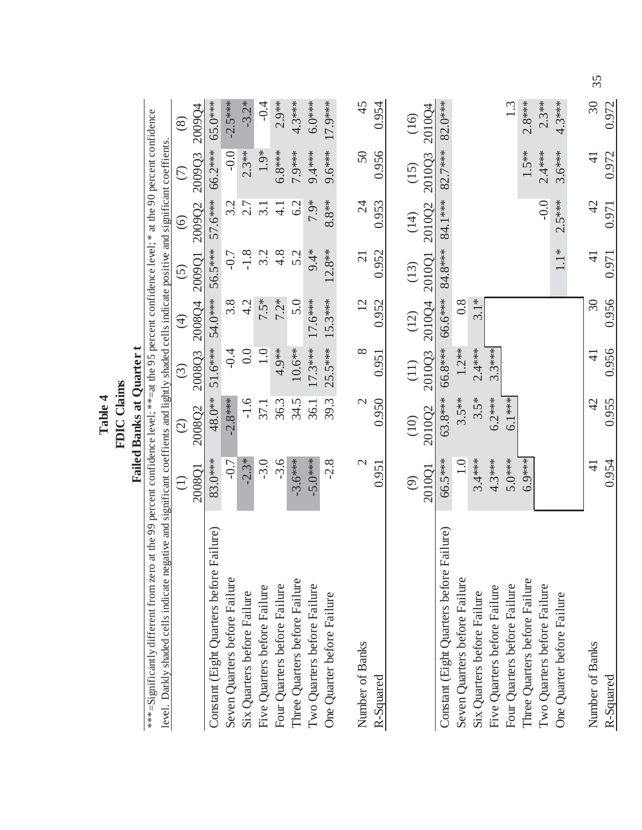|                                                                                                                                                                                        |                                                                                                           | Failed Banks at Quarter t |               |                  |                 |                  |               |                  |
|----------------------------------------------------------------------------------------------------------------------------------------------------------------------------------------|-----------------------------------------------------------------------------------------------------------|---------------------------|---------------|------------------|-----------------|------------------|---------------|------------------|
| level. Darkly shaded cells indicate negative and significant coeffients and lightly shaded cells indicate positive and significant coeffients<br>***=Significantly different from zero | at the 99 percent confidence level; **=at the 95 percent confidence level; * at the 90 percent confidence |                           |               |                  |                 |                  |               |                  |
|                                                                                                                                                                                        | $\bigodot$                                                                                                | $\widehat{c}$             | $\odot$       | $\bigoplus$      | $\overline{5}$  | $\circledcirc$   | $\widehat{C}$ | $\circledS$      |
|                                                                                                                                                                                        | 2008O1                                                                                                    | 2008 <sub>O2</sub>        | 200803        | 200804 200901    |                 | 200902 200903    |               | 200904           |
| Failure<br>Constant (Eight Quarters before                                                                                                                                             | 83.0****                                                                                                  | 48.0**                    | 51.6***       | 54.0***          | 56.5***         | 57.6****         | 66.2***       | 65.0***          |
| Seven Quarters before Failure                                                                                                                                                          | $-0.7$                                                                                                    | $-2.8***$                 | $-0.4$        | 3.8              | $-0.7$          | 3.2              | $-0.0$        | $-2.5***$        |
| Six Quarters before Failure                                                                                                                                                            | $-2.3*$                                                                                                   | $-1.6$                    | 0.0           | 4.2              | $-1.8$          | 2.7              | $2.3**$       | $-3.2*$          |
| Five Quarters before Failure                                                                                                                                                           | $-3.0$                                                                                                    | 37.1                      | 1.0           | $7.5*$           | 3.2             | $\overline{3.1}$ | 1.9*          | $-0.4$           |
| Four Quarters before Failure                                                                                                                                                           | $-3.6$                                                                                                    | 36.3                      | 4.9**         | $7.2*$           | 4.8             | $\overline{4.1}$ | $6.8***$      | $2.9**$          |
| Three Quarters before Failure                                                                                                                                                          | $-3.6***$                                                                                                 | 34.5                      | 10.6**        | 5.0              | 5.2             | 6.2              | 7.9***        | $4.3***$         |
| Two Quarters before Failure                                                                                                                                                            | $-5.0***$                                                                                                 | 36.1                      | 17.3***       | 17.6****         | $9.4*$          | 7.9*             | $9.4***$      | $6.0***$         |
| One Quarter before Failure                                                                                                                                                             | $-2.8$                                                                                                    | 39.3                      | 25.5***       | $15.3***$        | $12.8**$        | 8.8**            | $9.6***$      | 17.9***          |
| Number of Banks                                                                                                                                                                        | $\mathcal{C}$                                                                                             | $\mathcal{C}$             | $\infty$      | $\overline{2}$   | $\overline{21}$ | $\overline{c}$   | 50            | 45               |
| R-Squared                                                                                                                                                                              | 0.951                                                                                                     | 0.950                     | 0.951         | 0.952            | 0.952           | 0.953            | 0.956         | 0.954            |
|                                                                                                                                                                                        |                                                                                                           |                           |               |                  |                 |                  |               |                  |
|                                                                                                                                                                                        | $\widehat{\Theta}$                                                                                        | (10)                      | (11)          | (12)             | (13)            | (14)             | (15)          | (16)             |
|                                                                                                                                                                                        | 201001                                                                                                    | 201002                    | 2010O3        | 201004           | 2010O1          | 2010O2           | 201003        | 201004           |
| Failure)<br>Constant (Eight Quarters before                                                                                                                                            | 66.5****                                                                                                  | 63.8***                   | 66.8***       | 66.6***          | 84.8***         | 84.1 ***         | 82.7***       | 82.0***          |
| Seven Quarters before Failure                                                                                                                                                          | 1.0                                                                                                       | $3.5**$                   | $1.2**$       | $0.\overline{8}$ |                 |                  |               |                  |
| Six Quarters before Failure                                                                                                                                                            | $3.4***$                                                                                                  | $3.5*$                    | $2.4***$      | $3.1*$           |                 |                  |               |                  |
| Five Quarters before Failure                                                                                                                                                           | $4.3***$                                                                                                  | $6.2***$                  | $3.3***$      |                  |                 |                  |               |                  |
| Four Quarters before Failure                                                                                                                                                           | 5.0***                                                                                                    | $6.1***$                  |               |                  |                 |                  |               | $1.\overline{3}$ |
| Three Quarters before Failure                                                                                                                                                          | $6.9***$                                                                                                  |                           |               |                  |                 |                  | $1.5**$       | $2.8***$         |
| Two Quarters before Failure                                                                                                                                                            |                                                                                                           |                           |               |                  |                 | $-0.0$           | $2.4***$      | $2.3**$          |
| One Quarter before Failure                                                                                                                                                             |                                                                                                           |                           |               |                  | $1.1*$          | $2.5***$         | $3.6***$      | 4.3***           |
|                                                                                                                                                                                        |                                                                                                           |                           |               |                  |                 |                  |               |                  |
| Number of Banks                                                                                                                                                                        | $\overline{+}$                                                                                            | $\overline{4}$            | $\frac{1}{4}$ | $\Im$            | $\frac{1}{4}$   | $\frac{1}{2}$    | $\frac{4}{1}$ | $30\,$           |
| R-Squared                                                                                                                                                                              | 0.954                                                                                                     | 0.955                     | 0.956         | 0.956            | 0.971           | 0.971            | 0.972         | 0.972            |

Table 4<br>**FDIC Claims FDIC Claims**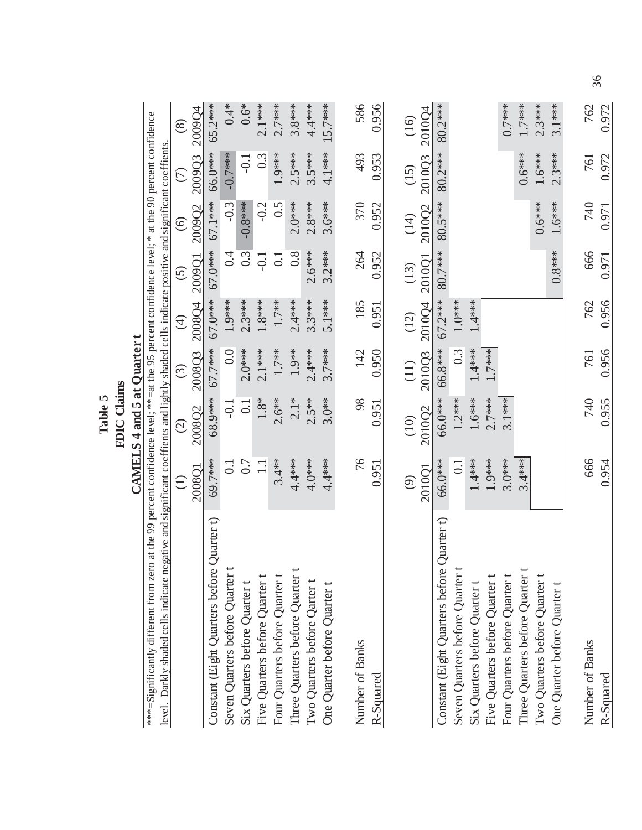|                                                                                                                                                  |                    | CANELS 4 and 5 at Quarter t |                   |             |                |           |                     |             |
|--------------------------------------------------------------------------------------------------------------------------------------------------|--------------------|-----------------------------|-------------------|-------------|----------------|-----------|---------------------|-------------|
| ***=Significantly different from zero at the 99 percent confidence level; ***=at the 95 percent confidence level; * at the 90 percent confidence |                    |                             |                   |             |                |           |                     |             |
| level. Darkly shaded cells indicate negative and significant coeffients and lightly shaded cells indicate positive and significant coeffients    |                    |                             |                   |             |                |           |                     |             |
|                                                                                                                                                  | $\ominus$          | $\widehat{\infty}$          | $\widehat{\odot}$ | $\bigoplus$ | $\widehat{5}$  | $\odot$   | $\widehat{\subset}$ | $\circledS$ |
|                                                                                                                                                  | 2008Q1             | 200802                      | 2008Q3            | 2008Q4      | 2009Q1         | 200902    | 2009Q3              | 2009O4      |
| Quarter <sub>t</sub> )<br>Constant (Eight Quarters before                                                                                        | 69.7****           | 68.9***                     | 67.7***           | 67.0***     | 67.0***        | 67.1***   | 66.0***             | 65.2****    |
| Seven Quarters before Quarter t                                                                                                                  | $\overline{0}$ .   | $-0.1$                      | $0.0\,$           | 1.9***      | 0.4            | $-0.3$    | $-0.7***$           | $0.4*$      |
| Six Quarters before Quarter t                                                                                                                    | 0.7                | $\overline{0}$ :            | $2.0***$          | $2.3***$    | 0.3            | $-0.8***$ | $-0.1$              | $0.6*$      |
| Five Quarters before Quarter t                                                                                                                   | $\Xi$              | $1.8*$                      | $2.1***$          | $1.8***$    | $-0.1$         | $-0.2$    | 0.3                 | $2.1***$    |
| Four Quarters before Quarter t                                                                                                                   | $3.4**$            | $2.6**$                     | $1.7**$           | 1.7**       | $\overline{0}$ | 0.5       | 1.9***              | $2.7***$    |
| Three Quarters before Quarter t                                                                                                                  | $4.4***$           | $2.1*$                      | 1.9**             | $2.4***$    | 0.8            | $2.0***$  | $2.5***$            | $3.8***$    |
| Two Quarters before Qarter t                                                                                                                     | $4.0***$           | $2.5**$                     | $2.4***$          | $3.3***$    | $2.6***$       | $2.8***$  | $3.5***$            | $4.4***$    |
| One Quarter before Quarter t                                                                                                                     | $4.4***$           | $3.0**$                     | $3.7***$          | 5.1****     | $3.2***$       | $3.6***$  | $4.1***$            | $15.7***$   |
| Number of Banks                                                                                                                                  | 76                 | 98                          | 142               | 185         | 264            | 370       | 493                 | 586         |
| R-Squared                                                                                                                                        | 0.951              | 0.951                       | 0.950             | 0.951       | 0.952          | 0.952     | 0.953               | 0.956       |
|                                                                                                                                                  |                    |                             |                   |             |                |           |                     |             |
|                                                                                                                                                  | $\widehat{\Theta}$ | (10)                        | (11)              | (12)        | (13)           | (14)      | (15)                | (16)        |
|                                                                                                                                                  | 2010Q1             | 2010Q2                      | 2010Q3            | 2010Q4      | 2010Q1         | 2010Q2    | 2010Q3              | 2010Q4      |
| Constant (Eight Quarters before Quarter t)                                                                                                       | 66.0***            | 66.0***                     | 66.8***           | 67.2***     | 80.7****       | 80.5 ***  | 80.2***             | 80.2***     |
| Seven Quarters before Quarter t                                                                                                                  | $\overline{0.1}$   | $1.2***$                    | 0.3               | $1.0***$    |                |           |                     |             |
| Six Quarters before Quarter t                                                                                                                    | $1.4***$           | $1.6***$                    | $1.4***$          | $1.4***$    |                |           |                     |             |
| Five Quarters before Quarter t                                                                                                                   | 1.9***             | $2.7***$                    | $1.7***$          |             |                |           |                     |             |
| Four Quarters before Quarter t                                                                                                                   | $3.0***$           | $3.1***$                    |                   |             |                |           |                     | $0.7***$    |
| Three Quarters before Quarter t                                                                                                                  | $3.4***$           |                             |                   |             |                |           | $0.6***$            | $1.7***$    |
| Two Quarters before Quarter t                                                                                                                    |                    |                             |                   |             |                | $0.6***$  | $1.6***$            | $2.3***$    |
| One Quarter before Quarter t                                                                                                                     |                    |                             |                   |             | $0.8***$       | $1.6***$  | $2.3***$            | $3.1***$    |
| Number of Banks                                                                                                                                  | 666                | 740                         | 761               | 762         | 666            | 740       | 761                 | 762         |
|                                                                                                                                                  |                    |                             |                   |             |                |           |                     |             |
| R-Squared                                                                                                                                        | 0.954              | 0.955                       | 0.956             | 0.956       | 0.971          | 0.971     | 0.972               | 0.972       |

Table 5<br>**FDIC Claims FDIC Claims**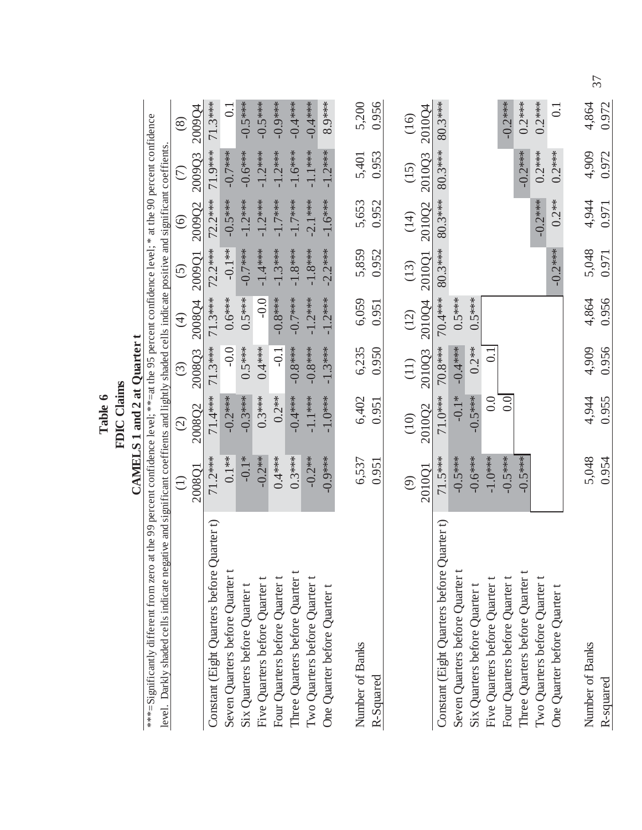|                                                                                                                                               |                                                                                                           | CAMELS 1 and 2 at Quarter t |                  |             |           |                |           |                |
|-----------------------------------------------------------------------------------------------------------------------------------------------|-----------------------------------------------------------------------------------------------------------|-----------------------------|------------------|-------------|-----------|----------------|-----------|----------------|
| ***=Significantly different from zero                                                                                                         | at the 99 percent confidence level; **=at the 95 percent confidence level; * at the 90 percent confidence |                             |                  |             |           |                |           |                |
| level. Darkly shaded cells indicate negative and significant coeffients and lightly shaded cells indicate positive and significant coeffients |                                                                                                           |                             |                  |             |           |                |           |                |
|                                                                                                                                               | $\ominus$                                                                                                 | $\widehat{\infty}$          | $\odot$          | $\bigoplus$ | $\odot$   | $\circledcirc$ | E         | $\circledS$    |
|                                                                                                                                               | 2008Q1                                                                                                    | 2008Q2                      | 2008Q3           | 2008Q4      | 2009O1    | 2009Q2         | 2009Q3    | 200904         |
| Quarter t)<br>Constant (Eight Quarters before (                                                                                               | 71.2***                                                                                                   | 71.4***                     | 71.3***          | 71.3***     | 72.2***   | 72.2***        | 71.9***   | 71.3***        |
| Seven Quarters before Quarter t                                                                                                               | $0.1**$                                                                                                   | $-0.2***$                   | $-0.0$           | $0.6***$    | $-0.1**$  | $-0.5***$      | $-0.7***$ | $\overline{0}$ |
| Six Quarters before Quarter t                                                                                                                 | $-0.1*$                                                                                                   | $-0.3***$                   | $0.5***$         | $0.5***$    | $-0.7***$ | $-1.2***$      | $-0.6***$ | $-0.5***$      |
| Five Quarters before Quarter t                                                                                                                | $-0.2**$                                                                                                  | $0.3***$                    | $0.4***$         | $-0.0$      | $-1.4***$ | $-1.2***$      | $-1.2***$ | $-0.5***$      |
| Four Quarters before Quarter t                                                                                                                | $0.4***$                                                                                                  | $0.2**$                     | $-0.1$           | $-0.8***$   | $-1.3***$ | $-1.7***$      | $-1.2***$ | $-0.9***$      |
| Three Quarters before Quarter t                                                                                                               | $0.3***$                                                                                                  | $-0.4***$                   | $-0.8***$        | $-0.7***$   | $-1.8***$ | $-1.7***$      | $-1.6***$ | $-0.4***$      |
| Two Quarters before Quarter t                                                                                                                 | $-0.2**$                                                                                                  | $-1.1***$                   | $-0.8***$        | $-1.2***$   | $-1.8***$ | $-2.1***$      | $-1.1***$ | $-0.4***$      |
| One Quarter before Quarter t                                                                                                                  | $-0.9***$                                                                                                 | $-1.0***$                   | $-1.3***$        | $-1.2***$   | $-2.2***$ | $-1.6***$      | $-1.2***$ | 8.9***         |
| Number of Banks                                                                                                                               | 6,537                                                                                                     | 6,402                       | 6,235            | 6,059       | 5,859     | 5,653          | 5,401     | 5,200          |
| R-Squared                                                                                                                                     | 0.951                                                                                                     | 0.951                       | 0.950            | 0.951       | 0.952     | 0.952          | 0.953     | 0.956          |
|                                                                                                                                               |                                                                                                           |                             |                  |             |           |                |           |                |
|                                                                                                                                               | $\odot$                                                                                                   | (10)                        | (11)             | (12)        | (13)      | (14)           | (15)      | (16)           |
|                                                                                                                                               | 2010Q1                                                                                                    | 2010Q2                      | 2010Q3           | 2010Q4      | 2010Q1    | 2010Q2         | 201003    | 201004         |
| Quarter $t$ )<br>Constant (Eight Quarters before                                                                                              | 71.5****                                                                                                  | 71.0***                     | 70.8****         | 70.4****    | 80.3***   | 80.3****       | 80.3****  | 80.3***        |
| Seven Quarters before Quarter t                                                                                                               | $-0.5***$                                                                                                 | $-0.1*$                     | $-0.4***$        | $0.5***$    |           |                |           |                |
| Six Quarters before Quarter t                                                                                                                 | $-0.6***$                                                                                                 | $-0.5***$                   | $0.2**$          | $0.5***$    |           |                |           |                |
| Five Quarters before Quarter t                                                                                                                | $-1.0***$                                                                                                 | 0.0                         | $\overline{0}$ . |             |           |                |           |                |
| Four Quarters before Quarter t                                                                                                                | $-0.5***$                                                                                                 | 0.0                         |                  |             |           |                |           | $-0.2***$      |
| Three Quarters before Quarter t                                                                                                               | $-0.5***$                                                                                                 |                             |                  |             |           |                | $-0.2***$ | $0.2***$       |
| Two Quarters before Quarter t                                                                                                                 |                                                                                                           |                             |                  |             |           | $-0.2***$      | $0.2***$  | $0.2***$       |
| One Quarter before Quarter t                                                                                                                  |                                                                                                           |                             |                  |             | $-0.2***$ | $0.2***$       | $0.2***$  | 0.1            |
|                                                                                                                                               |                                                                                                           |                             |                  |             |           |                |           |                |
| Number of Banks                                                                                                                               | 5,048                                                                                                     | 4,944                       | 4,909            | 4,864       | 5,048     | 4,944          | 4,909     | 4,864          |
| R-squared                                                                                                                                     | 0.954                                                                                                     | 0.955                       | 0.956            | 0.956       | 0.971     | 0.971          | 0.972     | 0.972          |

Table 6<br>**FDIC Claims FDIC Claims**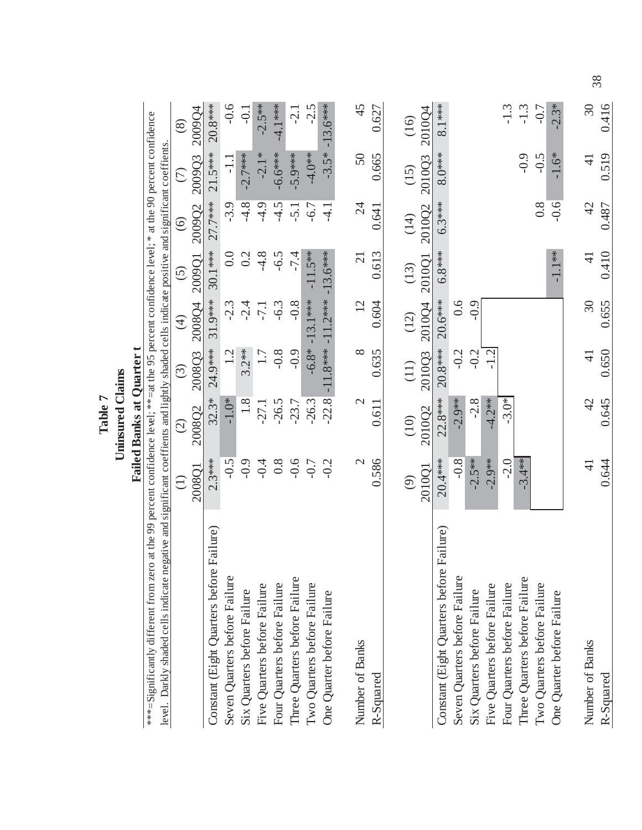|                                                                                                                                                                                            |                                                                                                         | <b>Failed Banks at Quarter t</b> |                     |                                    |                 |                  |                |             |
|--------------------------------------------------------------------------------------------------------------------------------------------------------------------------------------------|---------------------------------------------------------------------------------------------------------|----------------------------------|---------------------|------------------------------------|-----------------|------------------|----------------|-------------|
| ***=Significantly different from zero at the 99 percent confidence level; **= at the 95 percent confidence level; * at the 90 percent confidence<br>level. Darkly shaded cells indicate ne | gative and significant coeffients and lightly shaded cells indicate positive and significant coeffients |                                  |                     |                                    |                 |                  |                |             |
|                                                                                                                                                                                            | $\ominus$                                                                                               | $\widehat{C}$                    | $\odot$             | $\bigoplus$                        | $\widetilde{S}$ | $\odot$          | $\odot$        | $\circledS$ |
|                                                                                                                                                                                            | 2008O1                                                                                                  | 2008Q2                           |                     | 200803 200804 200901 200902 200903 |                 |                  |                | 200904      |
| Failure)<br>Constant (Eight Quarters before                                                                                                                                                | $2.3***$                                                                                                | $32.3*$                          | 24.9***             | 31.9***                            | 30.1***         | 27.7***          | $21.5***$      | $20.8***$   |
| Seven Quarters before Failure                                                                                                                                                              | $-0.5$                                                                                                  | $-1.0*$                          | 1.2                 | $-2.3$                             | 0.0             | $-3.9$           | $\exists$      | $-0.6$      |
| Six Quarters before Failure                                                                                                                                                                | $-0.9$                                                                                                  | $1.8$                            | $3.2***$            | $-2.4$                             | 0.2             | $-4.8$           | $-2.7***$      | $-0.1$      |
| Five Quarters before Failure                                                                                                                                                               | $-0.4$                                                                                                  | $-27.1$                          | 1.7                 | $\overline{7.1}$                   | $-4.8$          | $-4.9$           | $-2.1*$        | $-2.5***$   |
| Four Quarters before Failure                                                                                                                                                               | $0.8\,$                                                                                                 | $-26.5$                          | $-0.8$              | $-6.3$                             | $-6.5$          | $-4.5$           | $-6.6***$      | $-4.1***$   |
| Three Quarters before Failure                                                                                                                                                              | $-0.6$                                                                                                  | $-23.7$                          | $-0.9$              | $-0.8$                             | $-7.4$          | $-5.1$           | $-5.9***$      | $-2.1$      |
| Two Quarters before Failure                                                                                                                                                                | $-0.7$                                                                                                  | $-26.3$                          | $-6.8*$             | $-13.1***$                         | $-11.5**$       | $-6.7$           | $-4.0**$       | $-2.5$      |
| One Quarter before Failure                                                                                                                                                                 | $-0.2$                                                                                                  | $-22.8$                          | $-11.8*** -11.2***$ |                                    | $-13.6***$      | $-4.1$           | $-3.5*$        | $-13.6***$  |
|                                                                                                                                                                                            |                                                                                                         |                                  |                     |                                    |                 |                  |                |             |
| Number of Banks                                                                                                                                                                            | $\mathcal{L}$                                                                                           | $\mathcal{L}$                    | $\infty$            | 12                                 | $\overline{c}$  | $\overline{c}$   | 50             | 45          |
| R-Squared                                                                                                                                                                                  | 0.586                                                                                                   | 0.611                            | 0.635               | 0.604                              | 0.613           | 0.641            | 0.665          | 0.627       |
|                                                                                                                                                                                            |                                                                                                         |                                  |                     |                                    |                 |                  |                |             |
|                                                                                                                                                                                            | $\circledcirc$                                                                                          | (10)                             | (11)                | (12)                               | (13)            | (14)             | (15)           | (16)        |
|                                                                                                                                                                                            | 201001                                                                                                  | 201002                           | 201003              | 201004                             | 2010O1          | 2010O2           | 201003         | 201004      |
| Failure)<br>Constant (Eight Quarters before                                                                                                                                                | $20.4***$                                                                                               | 22.8***                          | $20.8***$           | $20.6***$                          | $6.8***$        | $6.3***$         | $8.0***$       | $8.1***$    |
| Seven Quarters before Failure                                                                                                                                                              | $-0.8$                                                                                                  | $-2.9**$                         | $-0.2$              | 0.6                                |                 |                  |                |             |
| Six Quarters before Failure                                                                                                                                                                | $-2.5**$                                                                                                | $-2.8$                           | $-0.2$              | $-0.9$                             |                 |                  |                |             |
| Five Quarters before Failure                                                                                                                                                               | $-2.9***$                                                                                               | $-4.2**$                         | $-1.2$              |                                    |                 |                  |                |             |
| Four Quarters before Failure                                                                                                                                                               | $-2.0$                                                                                                  | $-3.0*$                          |                     |                                    |                 |                  |                | $-1.3$      |
| Three Quarters before Failure                                                                                                                                                              | $-3.4**$                                                                                                |                                  |                     |                                    |                 |                  | $-0.9$         | $-1.3$      |
| Two Quarters before Failure                                                                                                                                                                |                                                                                                         |                                  |                     |                                    |                 | $0.\overline{8}$ | $-0.5$         | $-0.7$      |
| One Quarter before Failure                                                                                                                                                                 |                                                                                                         |                                  |                     |                                    | $-1.1**$        | $-0.6$           | $-1.6*$        | $-2.3*$     |
| Number of Banks                                                                                                                                                                            | $\frac{1}{4}$                                                                                           | $\overline{4}$                   | $\pm$               | $30\,$                             | $\frac{1}{4}$   | 42               | $\overline{4}$ | 30          |
|                                                                                                                                                                                            |                                                                                                         |                                  |                     |                                    |                 |                  |                |             |
| R-Squared                                                                                                                                                                                  | 0.644                                                                                                   | 0.645                            | 0.650               | 0.655                              | 0.410           | 0.487            | 0.519          | 0.416       |

38

Table 7<br>Uninsured Claims **Uninsured Claims**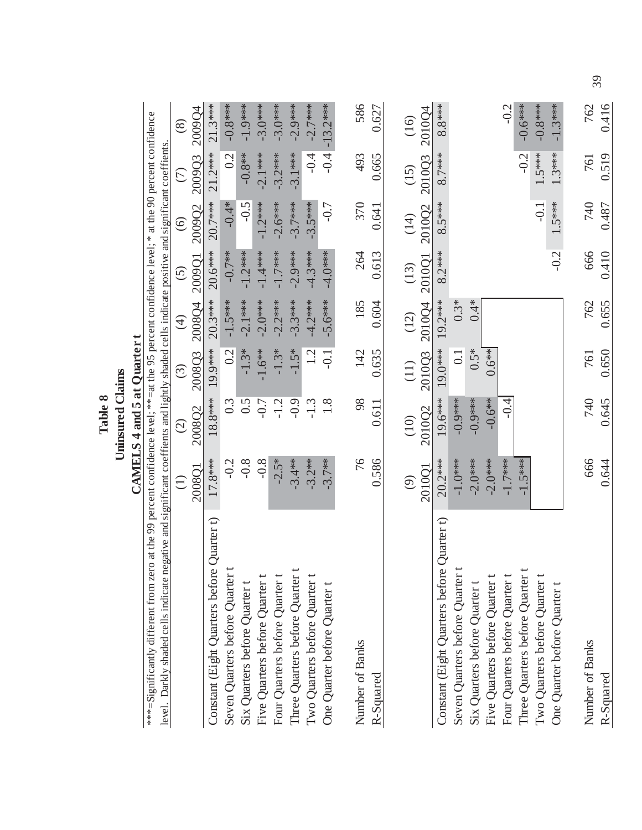|                                                                                                                                                                                                                                                                                                  |                    | CAMELS 4 and 5 at Quarter t |                         |             |                 |                      |                  |             |
|--------------------------------------------------------------------------------------------------------------------------------------------------------------------------------------------------------------------------------------------------------------------------------------------------|--------------------|-----------------------------|-------------------------|-------------|-----------------|----------------------|------------------|-------------|
| ***=Significantly different from zero at the 99 percent confidence level; **=at the 95 percent confidence level; * at the 90 percent confidence<br>level. Darkly shaded cells indicate negative and significant coeffients and lightly shaded cells indicate positive and significant coeffients |                    |                             |                         |             |                 |                      |                  |             |
|                                                                                                                                                                                                                                                                                                  | $\bigoplus$        | $\widehat{c}$               | $\widehat{\mathcal{O}}$ | $\bigoplus$ | $\widetilde{S}$ | $\odot$              | $\widehat{C}$    | $\circledS$ |
|                                                                                                                                                                                                                                                                                                  | 2008O1             | 200802                      | 200803                  | 200804      |                 | 200901 200902 200903 |                  | 200904      |
| Quarter <sub>t</sub> )<br>Constant (Eight Quarters before                                                                                                                                                                                                                                        | 17.8***            | 18.8***                     | 19.9***                 | $20.3***$   | $20.6***$       | $20.7***$            | $21.2***$        | $21.3***$   |
| Seven Quarters before Quarter t                                                                                                                                                                                                                                                                  | $-0.2$             | 0.3                         | $\overline{0.2}$        | $-1.5***$   | $-0.7**$        | $-0.4*$              | $\overline{0.2}$ | $-0.8***$   |
| Six Quarters before Quarter t                                                                                                                                                                                                                                                                    | $-0.8$             | 0.5                         | $-1.3*$                 | $-2.1***$   | $-1.2***$       | $-0.5$               | $-0.8**$         | $-1.9***$   |
| Five Quarters before Quarter t                                                                                                                                                                                                                                                                   | $-0.8$             | $-0.7$                      | $-1.6***$               | $-2.0***$   | $-1.4***$       | $-1.2***$            | $-2.1***$        | $-3.0***$   |
| Four Quarters before Quarter t                                                                                                                                                                                                                                                                   | $-2.5*$            | $-1.2$                      | $-1.3*$                 | $-2.2***$   | $-1.7***$       | $-2.6***$            | $-3.2***$        | $-3.0***$   |
| Three Quarters before Quarter t                                                                                                                                                                                                                                                                  | $-3.4***$          | $-0.9$                      | $-1.5*$                 | $-3.3***$   | $-2.9***$       | $-3.7***$            | $-3.1***$        | $-2.9***$   |
| Two Quarters before Quarter t                                                                                                                                                                                                                                                                    | $-3.2**$           | $-1.3$                      | 1.2                     | $-4.2***$   | $-4.3***$       | $-3.5***$            | $-0.4$           | $-2.7***$   |
| One Quarter before Quarter t                                                                                                                                                                                                                                                                     | $-3.7**$           | 1.8                         | $-0.1$                  | $-5.6***$   | $-4.0***$       | $-0.7$               | $-0.4$           | $-13.2***$  |
| Number of Banks                                                                                                                                                                                                                                                                                  | 76                 | 98                          | 142                     | 185         | 264             | 370                  | 493              | 586         |
|                                                                                                                                                                                                                                                                                                  |                    |                             |                         |             |                 |                      |                  |             |
| R-Squared                                                                                                                                                                                                                                                                                        | 0.586              | 0.611                       | 0.635                   | 0.604       | 0.613           | 0.641                | 0.665            | 0.627       |
|                                                                                                                                                                                                                                                                                                  | $\widehat{\Theta}$ | (10)                        | (11)                    | (12)        | (13)            | (14)                 | (15)             | (16)        |
|                                                                                                                                                                                                                                                                                                  | 2010O1             | 201002                      | 201003                  | 201004      | 2010O1          | 2010O2               | 201003           | 201004      |
| Quarter <sub>t</sub> )<br>Constant (Eight Quarters before                                                                                                                                                                                                                                        | $20.2***$          | 19.6***                     | 19.0***                 | 19.2***     | 8.2***          | 8.5***               | $8.7***$         | 8.8***      |
| Seven Quarters before Quarter t                                                                                                                                                                                                                                                                  | $-1.0***$          | $-0.9***$                   | 0.1                     | $0.3*$      |                 |                      |                  |             |
| Six Quarters before Quarter t                                                                                                                                                                                                                                                                    | $-2.0***$          | $-0.9***$                   | $0.5*$                  | $0.4*$      |                 |                      |                  |             |
| Five Quarters before Quarter t                                                                                                                                                                                                                                                                   | $-2.0***$          | $-0.6**$                    | $0.6**$                 |             |                 |                      |                  |             |
| Four Quarters before Quarter t                                                                                                                                                                                                                                                                   | $-1.7***$          | $-0.4$                      |                         |             |                 |                      |                  | $-0.2$      |
| Three Quarters before Quarter t                                                                                                                                                                                                                                                                  | 5***               |                             |                         |             |                 |                      | $-0.2$           | $-0.6***$   |
| Two Quarters before Quarter t                                                                                                                                                                                                                                                                    |                    |                             |                         |             |                 | $-0.1$               | $1.5***$         | $-0.8***$   |
| One Quarter before Quarter t                                                                                                                                                                                                                                                                     |                    |                             |                         |             | $-0.2$          | 1.5***               | $3***$           | $-1.3***$   |
|                                                                                                                                                                                                                                                                                                  |                    |                             |                         |             |                 |                      |                  |             |
| Number of Banks                                                                                                                                                                                                                                                                                  | 666                | 740                         | 761                     | 762         | 666             | 740                  | 761              | 762         |
| R-Squared                                                                                                                                                                                                                                                                                        | 0.644              | 0.645                       | 0.650                   | 0.655       | 0.410           | 0.487                | 0.519            | 0.416       |

Table 8<br>Uninsured Claims **Uninsured Claims**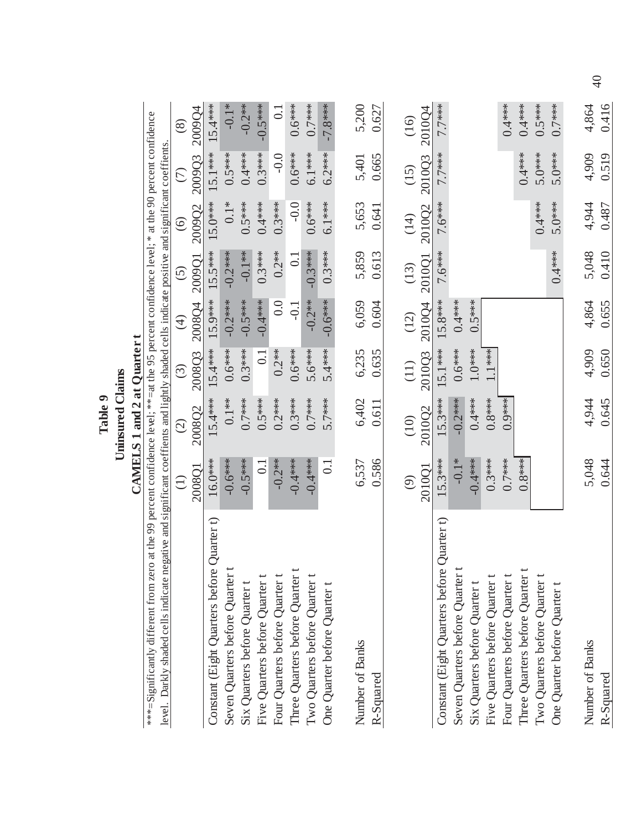|                                                                                                                                                 |                  | CAMELS 1 and 2 at Quarter t |          |               |                 |          |            |             |
|-------------------------------------------------------------------------------------------------------------------------------------------------|------------------|-----------------------------|----------|---------------|-----------------|----------|------------|-------------|
| ***=Significantly different from zero at the 99 percent confidence level; **=at the 95 percent confidence level; * at the 90 percent confidence |                  |                             |          |               |                 |          |            |             |
| level. Darkly shaded cells indicate negative and significant coeffients and lightly shaded cells indicate positive and significant coeffients   |                  |                             |          |               |                 |          |            |             |
|                                                                                                                                                 | $\bigoplus$      | $\widehat{\odot}$           | $\odot$  | $\bigoplus$   | $\widetilde{S}$ | $\odot$  | $\bigcirc$ | $\circledS$ |
|                                                                                                                                                 | 2008O1           | 200802                      |          | 200803 200804 | 2009O1          | 200902   | 200903     | 200904      |
| Quarter t)<br>Constant (Eight Quarters before                                                                                                   | 16.0***          | 15.4***                     | 15.4***  | 15.9***       | $15.5***$       | 15.0***  | 15.1***    | $15.4***$   |
| Seven Quarters before Quarter                                                                                                                   | $-0.6***$        | $0.1**$                     | $0.6***$ | $-0.2***$     | $-0.2***$       | $0.1*$   | $0.5***$   | $-0.1*$     |
| Six Quarters before Quarter t                                                                                                                   | $-0.5***$        | $0.7***$                    | $0.3***$ | $-0.5***$     | $-0.1**$        | $0.5***$ | $0.4***$   | $-0.2**$    |
| Five Quarters before Quarter t                                                                                                                  | $\overline{0.1}$ | $0.5***$                    | 0.1      | $-0.4***$     | $0.3***$        | $0.4***$ | $0.3***$   | $-0.5***$   |
| Four Quarters before Quarter t                                                                                                                  | $-0.2**$         | $0.2***$                    | $0.2**$  | 0.0           | $0.2**$         | $0.3***$ | $-0.0$     | 0.1         |
| Three Quarters before Quarter t                                                                                                                 | $-0.4**$         | $0.3***$                    | $0.6***$ | $-0.1$        | $\overline{0}$  | $-0.0$   | $0.6***$   | $0.6***$    |
| Two Quarters before Quarter t                                                                                                                   | $-0.4***$        | $0.7***$                    | 5.6***   | $-0.2**$      | $-0.3***$       | $0.6***$ | $6.1***$   | $0.7***$    |
| One Quarter before Quarter t                                                                                                                    | $\overline{0}$ . | 5.7***                      | 5.4****  | $-0.6***$     | $0.3***$        | $6.1***$ | $6.2***$   | $-7.8***$   |
|                                                                                                                                                 |                  |                             |          |               |                 |          |            |             |
| Number of Banks                                                                                                                                 | 6,537            | 6,402                       | 6,235    | 6,059         | 5,859           | 5,653    | 5,401      | 5,200       |
| R-Squared                                                                                                                                       | 0.586            | 0.611                       | 0.635    | 0.604         | 0.613           | 0.641    | 0.665      | 0.627       |
|                                                                                                                                                 |                  |                             |          |               |                 |          |            |             |
|                                                                                                                                                 | $\circledcirc$   | (10)                        | (11)     | (12)          | (13)            | (14)     | (15)       | (16)        |
|                                                                                                                                                 | 201001           | 201002                      | 201003   | 2010O4        | 2010O1          | 2010O2   | 201003     | 201004      |
| Quarter <sub>t</sub> )<br>Constant (Eight Quarters before                                                                                       | $15.3***$        | 15.3***                     | 15.1***  | $15.8***$     | 7.6***          | 7.6***   | $7.7***$   | 7.7***      |
| Seven Quarters before Quarter                                                                                                                   | $-0.1*$          | $-0.2***$                   | $0.6***$ | $0.4***$      |                 |          |            |             |
| Six Quarters before Quarter t                                                                                                                   | $-0.4***$        | $0.4***$                    | $1.0***$ | $0.5***$      |                 |          |            |             |
| Five Quarters before Quarter t                                                                                                                  | $0.3***$         | $0.8***$                    | $1.1***$ |               |                 |          |            |             |
| Four Quarters before Quarter t                                                                                                                  | $0.7***$         | $0.9***$                    |          |               |                 |          |            | $0.4***$    |
| Three Quarters before Quarter t                                                                                                                 | $0.8***$         |                             |          |               |                 |          | $0.4***$   | $0.4***$    |
| Two Quarters before Quarter t                                                                                                                   |                  |                             |          |               |                 | $0.4***$ | 5.0***     | $0.5***$    |
| One Quarter before Quarter t                                                                                                                    |                  |                             |          |               | $0.4***$        | 5.0***   | 5.0***     | $0.7***$    |
|                                                                                                                                                 |                  |                             |          |               |                 |          |            |             |
| Number of Banks                                                                                                                                 | 5,048            | 4,944                       | 4,909    | 4,864         | 5,048           | 4,944    | 4,909      | 4,864       |
| R-Squared                                                                                                                                       | 0.644            | 0.645                       | 0.650    | 0.655         | 0.410           | 0.487    | 0.519      | 0.416       |

Table 9<br>Uninsured Claims **Uninsured Claims**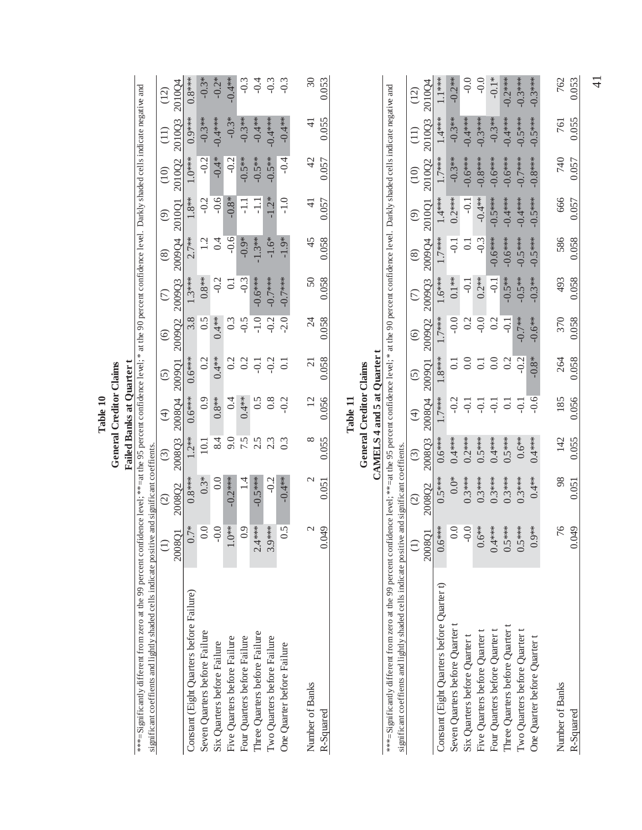|                                                                                                                                                                                                                                                                                                  |                   |                    |          | Failed Banks at Quarter t           |                      |                 |                  |                  |                    |           |                   |           |
|--------------------------------------------------------------------------------------------------------------------------------------------------------------------------------------------------------------------------------------------------------------------------------------------------|-------------------|--------------------|----------|-------------------------------------|----------------------|-----------------|------------------|------------------|--------------------|-----------|-------------------|-----------|
| ***=Significantly different from zero at the 99 percent confidence level; **=at the 95 percent confidence level; * at the 90 percent confidence level. Darkly shaded cells indicate negative and<br>significant coeffients and lightly shaded cells indicate positive and significant coeffients |                   |                    |          |                                     |                      |                 |                  |                  |                    |           |                   |           |
|                                                                                                                                                                                                                                                                                                  | $\bigoplus$       | $\widehat{\infty}$ | $\odot$  | $\bigoplus$                         | $\odot$              | $\odot$         | $\in$            | $\circledS$      | $\widehat{\Theta}$ | (10)      | $\left(11\right)$ | (12)      |
|                                                                                                                                                                                                                                                                                                  | 2008Q1            | 200802             | 200803   | 200804                              | 2009Q1               | 200902          | 200903           | 2009Q4           | 2010Q1             | 201002    | 2010Q3            | 2010Q4    |
| Constant (Eight Quarters before Failure)                                                                                                                                                                                                                                                         | $0.7*$            | $0.8***$           | $1.2***$ | $0.6***$                            | $0.6***$             | 3.8             | $1.3***$         | $2.7***$         | $1.8***$           | $1.0***$  | $0.9***$          | $0.8***$  |
| Seven Quarters before Failure                                                                                                                                                                                                                                                                    | 0.0               | $0.3*$             | 10.1     | 0.9                                 | 0.2                  | 0.5             | $0.8**$          | $\frac{1}{2}$    | $-0.2$             | $-0.2$    | $-0.3**$          | $-0.3*$   |
| Six Quarters before Failure                                                                                                                                                                                                                                                                      | $-0.0$            | 0.0                | 8.4      | $0.8**$                             | $0.4**$              | $0.4**$         | $-0.2$           | 0.4              | $-0.6$             | $-0.4*$   | $-0.4***$         | $-0.2*$   |
| Five Quarters before Failure                                                                                                                                                                                                                                                                     | $0**$             | $-0.2***$          | 9.0      | 0.4                                 | 0.2                  | 0.3             | $\overline{0}$ . | $-0.6$           | $-0.8*$            | $-0.2$    | $-0.3*$           | $-0.4**$  |
| Four Quarters before Failure                                                                                                                                                                                                                                                                     | 0.9               | $\vec{r}$          | 7.5      | $0.4**$                             | 0.2                  | $-0.5$          | $-0.3$           | $-0.9*$          | -1.1               | $-0.5***$ | $-0.3***$         | $-0.3$    |
| Three Quarters before Failure                                                                                                                                                                                                                                                                    | $2.4***$          | $-0.5***$          | 2.5      | 0.5                                 | $-0.1$               | $-1.0$          | $-0.6***$        | $-1.3**$         | -ii                | $-0.5**$  | $-0.4**$          | $-0.4$    |
| Two Quarters before Failure                                                                                                                                                                                                                                                                      | $3.9***$          | $-0.2$             | 2.3      | 0.8                                 | $-0.2$               | $-0.2$          | $-0.7***$        | $-1.6*$          | $-1.2*$            | $-0.5***$ | $-0.4***$         | $-0.3$    |
| One Quarter before Failure                                                                                                                                                                                                                                                                       | 0.5               | $-0.4**$           | 0.3      | $-0.2$                              | $\overline{0}$       | $-2.0$          | $-0.7***$        | $-1.9*$          | $-1.0$             | $-0.4$    | $-0.4**$          | $-0.3$    |
| Number of Banks                                                                                                                                                                                                                                                                                  | $\mathbf{\sim}$   | $\mathcal{C}$      | $\infty$ | $\overline{2}$                      | $\overline{21}$      | $\overline{24}$ | 50               | 45               | $\overline{4}$     | 42        | $\exists$         | 30        |
| R-Squared                                                                                                                                                                                                                                                                                        | 0.049             | 0.051              | 0.055    | 0.056                               | 0.058                | 0.058           | 0.058            | 0.058            | 0.057              | 0.057     | 0.055             | 0.053     |
|                                                                                                                                                                                                                                                                                                  |                   |                    |          | General Creditor Claims<br>Table 11 |                      |                 |                  |                  |                    |           |                   |           |
|                                                                                                                                                                                                                                                                                                  |                   |                    |          | CANELS 4 and 5 at Quarter t         |                      |                 |                  |                  |                    |           |                   |           |
| ***=Significantly different from zero at the 99 percent confidence level; **=at the 95 percent confidence level; * at the 90 percent confidence level. Darkly shaded cells indicate negative and<br>significant coeffients and lightly shaded cells indicate positive and significant coeffients |                   |                    |          |                                     |                      |                 |                  |                  |                    |           |                   |           |
|                                                                                                                                                                                                                                                                                                  |                   |                    |          |                                     |                      |                 |                  |                  |                    |           |                   |           |
|                                                                                                                                                                                                                                                                                                  | $\bigoplus$       | $\widehat{c}$      | $\odot$  | $\bigoplus$                         | $\widetilde{\Theta}$ | $\odot$         | $\widehat{C}$    | $\circledS$      | (9)                | (10)      | (11)              | (12)      |
|                                                                                                                                                                                                                                                                                                  | 2008Q1            | 200802             | 200803   | 200804                              | 2009O1               | 200902          | 200903           | 200904           | 2010Q1             | 201002    | 2010Q3            | 201004    |
| Constant (Eight Quarters before Quarter t)                                                                                                                                                                                                                                                       | $0.6***$          | $0.5***$           | $0.6***$ | $1.7***$                            | $1.8***$             | $1.7***$        | $1.6***$         | $1.7***$         | $1.4***$           | $1.7***$  | $1.4***$          | $1.1***$  |
| Seven Quarters before Quarter t                                                                                                                                                                                                                                                                  | 0.0               | $0.0\,^*$          | $0.4***$ | $-0.2$                              | $\overline{0}$ .     | $-0.0$          | $0.1**$          | $-0.1$           | $0.2***$           | $-0.3***$ | $-0.3**$          | $-0.2**$  |
| Six Quarters before Quarter t                                                                                                                                                                                                                                                                    | $-0.0$            | $0.3***$           | $0.2***$ | $-0.1$                              | 0.0                  | 0.2             | $-0.1$           | $\overline{0}$ . | $-0.1$             | $-0.6***$ | $-0.4***$         | $-0.0$    |
| Five Quarters before Quarter                                                                                                                                                                                                                                                                     | $6***$<br>$\circ$ | $0.3***$           | $0.5***$ | $-0.1$                              | $\overline{0}$ .     | $-0.0$          | $0.2***$         | $-0.3$           | $-0.4**$           | $-0.8***$ | $-0.3***$         | $-0.0$    |
| Four Quarters before Quarter t                                                                                                                                                                                                                                                                   | 1***<br>0.4       | $0.3***$           | $0.4***$ | $-0.1$                              | 0.0                  | 0.2             | $-0.1$           | $-0.6***$        | $-0.5***$          | $-0.6***$ | $-0.3***$         | $-0.1*$   |
| Three Quarters before Quarter t                                                                                                                                                                                                                                                                  | $0.5***$          | $0.3***$           | $0.5***$ | $\overline{0}$ .                    | 0.2                  | $-0.1$          | $-0.5**$         | $-0.6***$        | $-0.4***$          | $-0.6***$ | $-0.4***$         | $-0.2***$ |
| Two Quarters before Quarter t                                                                                                                                                                                                                                                                    | $0.5***$          | $0.3***$           | $0.6***$ | $-0.1$                              | $-0.2$               | $-0.7**$        | $-0.5***$        | $-0.5***$        | $-0.4***$          | $-0.7***$ | $-0.5***$         | $-0.3***$ |
| One Quarter before Quarter t                                                                                                                                                                                                                                                                     | 9**<br>$\circ$    | $0.4**$            | $0.4***$ | $-0.6$                              | $-0.8*$              | $-0.6**$        | $-0.3**$         | $-0.5***$        | $-0.5***$          | $-0.8***$ | $-0.5***$         | $-0.3***$ |
| Number of Banks                                                                                                                                                                                                                                                                                  | 76                | 98                 | 142      | 185                                 | 264                  | 370             | 493              | 586              | 666                | 740       | 761               | 762       |
| R-Squared                                                                                                                                                                                                                                                                                        | 0.049             | 0.051              | 0.055    | 0.056                               | 0.058                | 0.058           | 0.058            | 0.058            | 0.057              | 0.057     | 0.055             | 0.053     |
|                                                                                                                                                                                                                                                                                                  |                   |                    |          |                                     |                      |                 |                  |                  |                    |           |                   |           |

Table 10<br>General Creditor Claims **General Creditor Claims**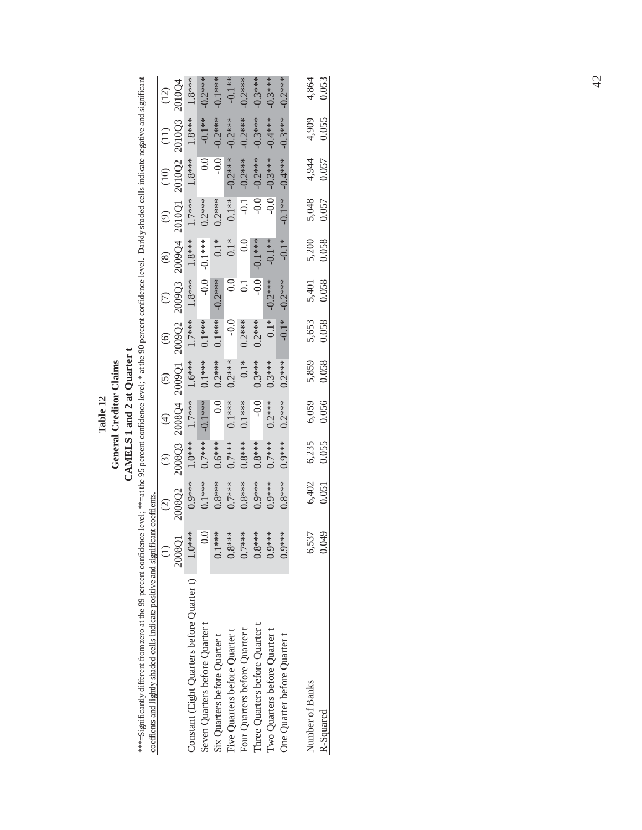|                                                                                                                                                                                                              |                 |               |               |                         | CANTELLO 1 anu 4 al Quarter 1                                          |          |              |                    |                                            |                                                |           |           |
|--------------------------------------------------------------------------------------------------------------------------------------------------------------------------------------------------------------|-----------------|---------------|---------------|-------------------------|------------------------------------------------------------------------|----------|--------------|--------------------|--------------------------------------------|------------------------------------------------|-----------|-----------|
| ***=Significantly different from zero at the 99 percent confidence level; **=at the 95 percent confidence level; * at the 90 percent confidence level. Darkly shaded cells indicate negative and significant |                 |               |               |                         |                                                                        |          |              |                    |                                            |                                                |           |           |
| coeffients and lightly shaded cells indicate positive and significant coeffients.                                                                                                                            |                 |               |               |                         |                                                                        |          |              |                    |                                            |                                                |           |           |
|                                                                                                                                                                                                              | $\widehat{\Xi}$ | $\widehat{c}$ | $\widehat{c}$ | $\widehat{\mathcal{A}}$ | $\odot$                                                                | $\odot$  | $\odot$      | $\circledS$        | $\circledcirc$                             | $\begin{pmatrix} 1 & 0 \\ 0 & 1 \end{pmatrix}$ | (11)      | (12)      |
|                                                                                                                                                                                                              | 2008O1          | 2008Q2        |               |                         | 490101 SO20101 201011 100101 406001 SO6001 106001 106001 408001 508001 |          |              |                    |                                            |                                                |           |           |
| Constant (Eight Quarters before Quarter t)                                                                                                                                                                   | $1.0***$        | $0.9***$      |               |                         | $1.0***$ $1.7***$ $1.6***$                                             | $1.7***$ |              |                    | $1.8***$ 1.8*** 1.8*** 1.8*** 1.8*** 1.8** |                                                |           | $1.8***$  |
| Seven Quarters before Quarter t                                                                                                                                                                              | 0.0             | $0.1***$      | $0.7***$      | $-0.1***$               | $0.1***$                                                               | $0.1***$ | $-0.0$       | $-0.1***$          | $0.2***$                                   | $_{\odot}^{\rm O}$                             | $-0.1**$  | $-0.2***$ |
| Six Quarters before Quarter t                                                                                                                                                                                | $0.1***$        | $0.8***$      | $0.6***$      | 0.0                     | $0.2***$                                                               | $0.1***$ | $-0.2***$ ** | $0.1*$             | $0.2***$                                   | $-0.0$                                         | $-0.2***$ | $-0.1***$ |
| Five Quarters before Quarter t                                                                                                                                                                               | $0.8***$        | $0.7***$      | $0.7***$      | $0.1***$                | $0.2***$                                                               | $-0.0$   | $_{\odot}$   | $0.1*$             | $0.1**$                                    | $-0.2***$ **                                   | $-0.2***$ | $-0.1**$  |
| Four Quarters before Quarter t                                                                                                                                                                               | $0.7***$        | $0.8***$      | $0.8***$      | $0.1***$                | $0.1*$                                                                 | $0.2***$ |              | $_{\odot}^{\rm O}$ | $-0.1$                                     | $-0.2***$                                      | $-0.2***$ | $0.2***$  |
| Three Quarters before Quarter 1                                                                                                                                                                              | $0.8***$        | $0.9***$      | $0.8***$      | $-0.0$                  | $0.3***$                                                               | $0.2***$ |              | $-0.1***$          | $-0.0^{\circ}$                             | $-0.2***$                                      | $-0.3***$ | $0.3***$  |
| Two Quarters before Quarter t                                                                                                                                                                                | $0.9***$ **     | $0.9***$      | $0.7***$      | $0.2***$                | $0.3***$                                                               | $0.1*$   | $-0.2***$    | $-0.1**$           | $-0.0$                                     | $-0.3***$                                      | $-0.4***$ | $0.3***$  |
| One Quarter before Quarter t                                                                                                                                                                                 | $0.9***$        | $0.8***$      | $0.9***$      | $0.2***$                | $0.2***$                                                               | $-0.1*$  | $-0.2***$ ** | $-0.1*$            | $-0.1**$                                   | $-0.4***$                                      | $-0.3***$ | $-0.2***$ |
|                                                                                                                                                                                                              |                 |               |               |                         |                                                                        |          |              |                    |                                            |                                                |           |           |
| Number of Banks                                                                                                                                                                                              | 6,537           | 6,402         | 6,235         | 6,059                   | 5,859                                                                  | 5,653    | 5,401        | 5,200              | 5,048                                      | 4,944                                          | 4,909     | 4,864     |
| R-Squared                                                                                                                                                                                                    | .049            | 0.051         | 0.055         | 0.056                   | 0.058                                                                  | 0.058    | 0.058        | 0.058              | 0.057                                      | 0.057                                          | 0.055     | 0.053     |
|                                                                                                                                                                                                              |                 |               |               |                         |                                                                        |          |              |                    |                                            |                                                |           |           |

Table 12<br>General Creditor Claims<br>CAMELS 1 and 2 at Quarter t **General Creditor Claims CAMELS 1 and 2 at Quarter t**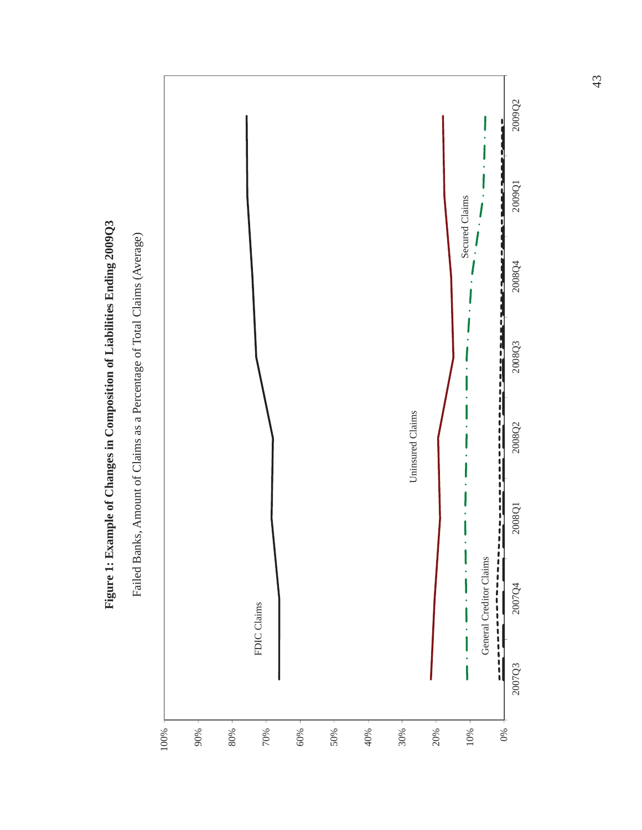

Failed Banks, Amount of Claims as a Percentage of Total Claims (Average) Failed Banks, Amount of Claims as a Percentage of Total Claims (Average)

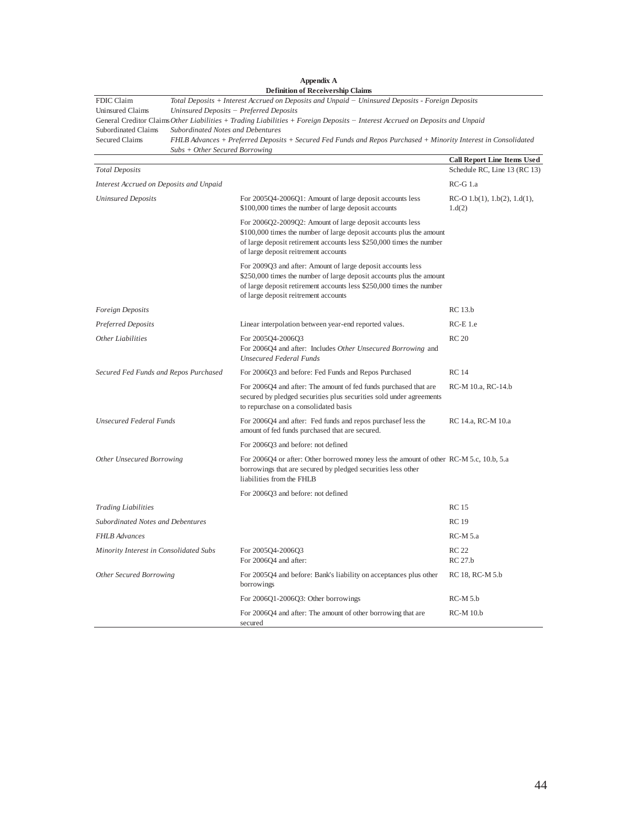| FDIC Claim                              |                                         | Total Deposits + Interest Accrued on Deposits and Unpaid - Uninsured Deposits - Foreign Deposits                                                                                                                                                    |                                          |
|-----------------------------------------|-----------------------------------------|-----------------------------------------------------------------------------------------------------------------------------------------------------------------------------------------------------------------------------------------------------|------------------------------------------|
| Uninsured Claims                        | Uninsured Deposits - Preferred Deposits |                                                                                                                                                                                                                                                     |                                          |
| Subordinated Claims                     | Subordinated Notes and Debentures       | General Creditor Claims Other Liabilities + Trading Liabilities + Foreign Deposits - Interest Accrued on Deposits and Unpaid                                                                                                                        |                                          |
| Secured Claims                          |                                         | FHLB Advances + Preferred Deposits + Secured Fed Funds and Repos Purchased + Minority Interest in Consolidated                                                                                                                                      |                                          |
|                                         | Subs + Other Secured Borrowing          |                                                                                                                                                                                                                                                     |                                          |
|                                         |                                         |                                                                                                                                                                                                                                                     | <b>Call Report Line Items Used</b>       |
| <b>Total Deposits</b>                   |                                         |                                                                                                                                                                                                                                                     | Schedule RC, Line 13 (RC 13)             |
| Interest Accrued on Deposits and Unpaid |                                         |                                                                                                                                                                                                                                                     | $RC-G1.a$                                |
| <b>Uninsured Deposits</b>               |                                         | For 2005Q4-2006Q1: Amount of large deposit accounts less<br>\$100,000 times the number of large deposit accounts                                                                                                                                    | $RC-O 1.b(1), 1.b(2), 1.d(1),$<br>1.d(2) |
|                                         |                                         | For 2006Q2-2009Q2: Amount of large deposit accounts less<br>\$100,000 times the number of large deposit accounts plus the amount<br>of large deposit retirement accounts less \$250,000 times the number<br>of large deposit reitrement accounts    |                                          |
|                                         |                                         | For 2009Q3 and after: Amount of large deposit accounts less<br>\$250,000 times the number of large deposit accounts plus the amount<br>of large deposit retirement accounts less \$250,000 times the number<br>of large deposit reitrement accounts |                                          |
| Foreign Deposits                        |                                         |                                                                                                                                                                                                                                                     | <b>RC</b> 13.b                           |
| <b>Preferred Deposits</b>               |                                         | Linear interpolation between year-end reported values.                                                                                                                                                                                              | RC-E 1.e                                 |
| Other Liabilities                       |                                         | For 2005Q4-2006Q3<br>For 2006Q4 and after: Includes Other Unsecured Borrowing and<br><b>Unsecured Federal Funds</b>                                                                                                                                 | <b>RC 20</b>                             |
| Secured Fed Funds and Repos Purchased   |                                         | For 2006Q3 and before: Fed Funds and Repos Purchased                                                                                                                                                                                                | <b>RC</b> 14                             |
|                                         |                                         | For 2006Q4 and after: The amount of fed funds purchased that are<br>secured by pledged securities plus securities sold under agreements<br>to repurchase on a consolidated basis                                                                    | RC-M 10.a, RC-14.b                       |
| <b>Unsecured Federal Funds</b>          |                                         | For 2006Q4 and after: Fed funds and repos purchasef less the<br>amount of fed funds purchased that are secured.                                                                                                                                     | RC 14.a, RC-M 10.a                       |
|                                         |                                         | For 2006Q3 and before: not defined                                                                                                                                                                                                                  |                                          |
| <b>Other Unsecured Borrowing</b>        |                                         | For 2006Q4 or after: Other borrowed money less the amount of other RC-M 5.c, 10.b, 5.a<br>borrowings that are secured by pledged securities less other<br>liabilities from the FHLB                                                                 |                                          |
|                                         |                                         | For 2006Q3 and before: not defined                                                                                                                                                                                                                  |                                          |
| <b>Trading Liabilities</b>              |                                         |                                                                                                                                                                                                                                                     | <b>RC</b> 15                             |
| Subordinated Notes and Debentures       |                                         |                                                                                                                                                                                                                                                     | <b>RC19</b>                              |
| <b>FHLB</b> Advances                    |                                         |                                                                                                                                                                                                                                                     | $RC-M 5.a$                               |
| Minority Interest in Consolidated Subs  |                                         | For 2005Q4-2006Q3<br>For 2006Q4 and after:                                                                                                                                                                                                          | <b>RC 22</b><br><b>RC</b> 27.b           |
| <b>Other Secured Borrowing</b>          |                                         | For 2005Q4 and before: Bank's liability on acceptances plus other<br>borrowings                                                                                                                                                                     | RC 18, RC-M 5.b                          |
|                                         |                                         | For 2006Q1-2006Q3: Other borrowings                                                                                                                                                                                                                 | $RC-M 5.b$                               |
|                                         |                                         | For 2006Q4 and after: The amount of other borrowing that are<br>secured                                                                                                                                                                             | <b>RC-M10.b</b>                          |

|  | Appendix A                        |  |
|--|-----------------------------------|--|
|  | Definition of Receivership Claims |  |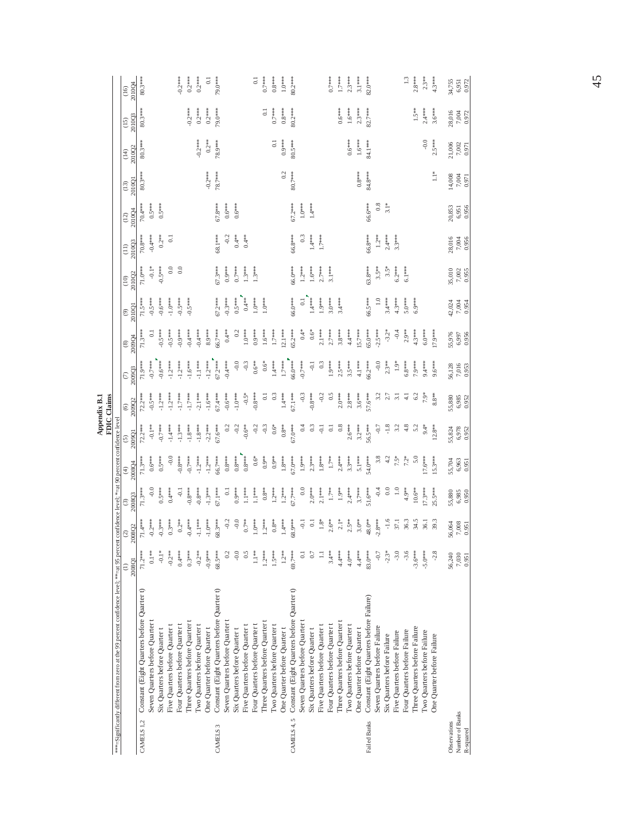|                       |                                                                                                                                                |                         |                                      |                   |                                          |                   | Appendix B.1<br><b>FDIC</b> Claims |                   |                                                                       |                          |                         |                           |                |                  |                        |                          |                |
|-----------------------|------------------------------------------------------------------------------------------------------------------------------------------------|-------------------------|--------------------------------------|-------------------|------------------------------------------|-------------------|------------------------------------|-------------------|-----------------------------------------------------------------------|--------------------------|-------------------------|---------------------------|----------------|------------------|------------------------|--------------------------|----------------|
|                       | ****=Significantly different from zero at the 99 percent confidence level; **=at 95 percent confidence level; *=at 90 percent confidence level |                         |                                      |                   |                                          |                   |                                    |                   |                                                                       |                          |                         |                           |                |                  |                        |                          |                |
|                       |                                                                                                                                                | 2008Q1<br>$\widehat{=}$ | 2008Q2<br>$\odot$                    | 2008Q3<br>$\odot$ | 2008Q4<br>$\widehat{\mathfrak{X}}$       | 2009Q1<br>$\odot$ | 2009Q2<br>$\circledcirc$           | 2009Q3<br>$\odot$ | 2009Q4<br>$\circledast$                                               | 2010Q1<br>$\circledcirc$ | 2010Q2<br>$\widehat{c}$ | 2010Q3<br>$\widehat{\Xi}$ | 2010Q4<br>(12) | 2010Q1<br>(13)   | 2010Q2<br>(14)         | 2010Q3<br>(15)           | 2010Q4<br>(16) |
| CAMELS <sub>1.2</sub> | Constant (Eight Quarters before Quarter t)                                                                                                     | 71.2***                 | 71.4***                              | 71.3***           | $71.3***$                                | $72.2***$         | $72.2***$                          | 71.9***           | $71.3***$                                                             | $71.5***$                | 71.0***                 | $70.8***$                 | $70.4***$      | $80.3***$        | 80.3***                | $80.3***$                | $80.3***$      |
|                       | Seven Quarters before Quarter                                                                                                                  | $0.1^{\ast\ast}$        | $-0.2***$                            |                   | $0.6***$                                 | $-0.1**$          | $-0.5***$                          | $-0.7***$         |                                                                       | $-0.5***$                | $-0.1*$                 | $-0.4***$                 | $0.5***$       |                  |                        |                          |                |
|                       | Six Quarters before Quarter t                                                                                                                  | $-0.1*$                 | $-0.3***$                            | $0.5***$          | $0.5***$                                 | $-0.7***$         | $-1.2***$                          | $-0.6***$         | $-0.5***$                                                             | $-0.6***$                | $-0.5***$               | $0.2***$                  | $0.5***$       |                  |                        |                          |                |
|                       | Five Quarters before Quarter t                                                                                                                 | $-0.2***$               | $0.3***$                             | $0.4***$          | $-0.0$                                   | $-1.4***$         | $-1.2***$                          | $-1.2***$         | $-0.5***$                                                             | $-1.0***$                | $_{0.0}$                | $\overline{0}$            |                |                  |                        |                          |                |
|                       | Four Quarters before Quarter t                                                                                                                 | $0.4***$                | $0.2***$                             | $-0.1$            | $-0.8***$                                | $-1.3***$         | $-1.7***$                          | $-1.2***$         | $-0.9***$                                                             | $-0.5***$                |                         |                           |                |                  |                        |                          | $-0.2***$      |
|                       | Three Quarters before Quarter t                                                                                                                | $0.3***$                | $-0.4***$                            | $-0.8***$         | $-0.7***$                                | $-1.8***$         | $-1.7***$                          | $-1.6***$         | $\scriptstyle{\ast\ast\ast\ast}$ 0.4 $\scriptstyle{\ast\ast\ast\ast}$ | $-0.5***$                |                         |                           |                |                  |                        | $-0.2***$                | $0.2***$       |
|                       | Two Quarters before Quarter t                                                                                                                  | $-0.2***$               | $-1.1***$                            | $-0.8***$         | $-1.2***$                                | $-1.8***$         | $-2.1***$                          | $-1.1***$         | $-0.4***$                                                             |                          |                         |                           |                |                  | $-0.2***$              | $0.2***$                 | $0.2***$       |
|                       | One Quarter before Quarter t                                                                                                                   | $-0.9***$               | $-1.0***$                            | $-1.3***$         | $-1.2***$                                | $-2.2***$         | $-1.6***$                          | $-1.2***$         | $8.9***$                                                              |                          |                         |                           |                | $-0.2***$        | $0.2***$               | $0.2***$                 | 0.1            |
| CAMELS <sub>3</sub>   | Constant (Eight Quarters before Quarter t)                                                                                                     | 68.5***                 | 68.3***                              | 67.1***           | 56.7***                                  | $67.6***$         | $67.4***$                          | $67.2***$         | 66.7***                                                               | $67.2***$                | 67.3***                 | 58.1***                   | $67.8***$      | 78.7***          | 78.9***                | 19.0***                  | 79.0***        |
|                       | Seven Quarters before Quarter t                                                                                                                | 0.2                     | $-0.2$                               | $\overline{c}$    | $0.8^{\scriptscriptstyle \text{stat}}$   | $\frac{0.2}{0.2}$ | $-0.6***$                          | $-0.4***$         | $0.4**$                                                               | $-0.3***$                | $0.9***$                | $-0.2$                    | $0.6***$       |                  |                        |                          |                |
|                       | Six Quarters before Quarter t                                                                                                                  | $-0.0$                  | $-0.0$                               | $0.9***$          | $0.8^{\scriptscriptstyle \text{3\#8\%}}$ | $-0.2$            | $-1.0***$                          | $-0.0$            | $\approx$                                                             | $0.5***$                 | $0.7***$                | $0.4**$                   | $0.6***$       |                  |                        |                          |                |
|                       | Five Quarters before Quarter t                                                                                                                 | $0.5\,$                 | $0.7**$                              | $1.1***$          | $0.8^{\scriptscriptstyle \text{stat}}$   | $-0.6**$          | $-0.5*$                            | $-0.3$            | $1.0***$                                                              | $0.4**$                  | $1.3***$                | $0.4**$                   |                |                  |                        |                          |                |
|                       | Four Quarters before Quarter t                                                                                                                 | $1.1**$                 | $1.0***$                             | $1.1***$          | $0.6\,*$                                 | $-0.2$            | $-0.8***$                          | $0.6**$           | $0.9***$                                                              | $1.0***$                 | $1.3***$                |                           |                |                  |                        |                          | $\overline{5}$ |
|                       | Three Quarters before Quarter t                                                                                                                | $1.2***$                | $1.2***$                             | $0.8^{\ast\ast}$  | $0.9***$                                 | $-0.3$            | $\overline{0}$ .                   | $0.6\,*$          | $1.6***$                                                              | $1.0***$                 |                         |                           |                |                  |                        | 5                        | $0.7***$       |
|                       | I'wo Quarters before Quarter t                                                                                                                 | $1.5***$                | $0.8^{\tiny \textcircled{\tiny{*}}}$ | $1.2***$          | $0.9^{**}$                               | $0.6*$            | 0.3                                | $1.4***$          | $1.7***$                                                              |                          |                         |                           |                |                  |                        | $0.7***$                 | $0.8***$       |
|                       | One Quarter before Quarter t                                                                                                                   | $1.2***$                | $1.4***$                             | $1.2***$          | $1.8^{\rm \, stat}$                      | $0.8^{\ast\ast}$  | $1.4***$                           | $1.7***$          | $12.1***$                                                             |                          |                         |                           |                | 0.2              | $0.9***$               | $0.8^{\ast\ast\ast}$     | $1.0***$       |
| CAMELS <sub>4,5</sub> | Constant (Eight Quarters before Quarter t)                                                                                                     | 69.7***                 | 68.9***                              | 57.7***           | $67.0***$                                | 67.0***           | 67.1***                            | $66.0***$         | 65.2***                                                               | 56.0***                  | 56.0***                 | 56.8***                   | 67.2***        | 80.7***          | $80.5***$              | 80.2***                  | $80.2***$      |
|                       | Seven Quarters before Quarter t                                                                                                                | $\overline{a}$          | $-0.1$                               | 0.0               | $1.9***$                                 | 0.4               | $-0.3$                             | $-0.7***$         | $0.4*$                                                                | $\overline{0}$           | $1.2***$                | 0.3                       | $1.0***$       |                  |                        |                          |                |
|                       | Six Quarters before Quarter t                                                                                                                  | $0.7\,$                 | $\overline{0}$                       | $2.0***$          | $2.3***$                                 | 0.3               | $-0.8***$                          | $-0.1$            | $0.6*$                                                                | $1.4***$                 | $1.6***$                | $1.4***$                  | $1.4***$       |                  |                        |                          |                |
|                       | Five Quarters before Quarter t                                                                                                                 | $\equiv$                | $1.8\,^*$                            | $2.1***$          | $1.8***$                                 | $-0.1$            | $-0.2$                             | 0.3               | $2.1***$                                                              | 1.9***                   | $2.7***$                | $1.7***$                  |                |                  |                        |                          |                |
|                       | Four Quarters before Quarter t                                                                                                                 | $3.4***$                | $2.6***$                             | $1.7***$          | $1.7***$                                 | $\overline{0}$ .  | 0.5                                | 1.9***            | $2.7***$                                                              | $3.0***$                 | $3.1***$                |                           |                |                  |                        |                          | $0.7***$       |
|                       | Three Quarters before Quarter t                                                                                                                | $4.4***$                | $2.1*$                               | $1.9**$           | $2.4***$                                 | $_{0.8}$          | $2.0***$                           | $2.5***$          | $3.8***$                                                              | $3.4***$                 |                         |                           |                |                  |                        | $0.6***$                 | $1.7***$       |
|                       | I'wo Quarters before Quarter t                                                                                                                 | $4.0***$                | $2.5***$                             | $2.4***$          | $3.3***$                                 | $2.6***$          | $2.8***$                           | $3.5***$          | $4.4***$                                                              |                          |                         |                           |                |                  | $0.6***$               | $1.6***$                 | $2.3***$       |
|                       | One Quarter before Quarter t                                                                                                                   | $4.4***$                | $3.0**$                              | $3.7***$          | $5.1***$                                 | $3.2***$          | $3.6***$                           | 4.1***            | $15.7***$                                                             |                          |                         |                           |                | $0.8***$         | $1.6***$               | $2.3***$                 | $3.1***$       |
| Failed Banks          | Constant (Eight Quarters before Failure)                                                                                                       | $83.0***$               | $48.0**$                             | $51.6***$         | 54.0***                                  | 56.5***           | 57.6***                            | 56.2***           | 65.0***                                                               | 56.5***                  | $63.8***$               | 56.8 <sup>***</sup>       | 66.6***        | $84.8***$        | 84.1***                | 82.7***                  | 82.0***        |
|                       | Seven Quarters before Failure                                                                                                                  | $-0.7$                  | $-2.8***$                            | $-0.4$            | 3.8                                      | $-0.7$            |                                    | $-0.0$            | $-2.5***$                                                             | $\frac{1}{10}$           | $3.5***$                | $1.2***$                  | 0.8            |                  |                        |                          |                |
|                       | Six Quarters before Failure                                                                                                                    | $-2.3*$                 | $-1.6$                               | $_{0.0}$          | 4.2                                      | $-1.8$            | $3.7$ $3.7$                        | $2.3***$          | $-3.2*$                                                               | $3.4***$                 | $3.5*$                  | $2.4***$                  |                |                  |                        |                          |                |
|                       | Five Quarters before Failure                                                                                                                   | $-3.0$                  | 37.1                                 | $\overline{1.0}$  | $7.5*$                                   | 3.2               |                                    | $1.9*$            | $-0.4$                                                                | $4.3***$                 | $6.2***$                | $3.3***$                  |                |                  |                        |                          |                |
|                       | Four Quarters before Failure                                                                                                                   | $-3.6$                  | 36.3                                 | 4.9**             | $7.2*$                                   | 4.8               | 국                                  | $6.8***$          | $2.9***$                                                              | $5.0***$                 | 6.1***                  |                           |                |                  |                        |                          |                |
|                       | Three Quarters before Failure                                                                                                                  | $-3.6***$               | 34.5                                 | $10.6***$         | 5.0                                      | 5.2               | $\frac{2}{6}$                      | 7.9***            | $4.3***$                                                              | 6.9***                   |                         |                           |                |                  |                        | $1.5**$                  | $2.8***$       |
|                       | I'wo Quarters before Failure                                                                                                                   | $-5.0***$               | 36.1                                 | $17.3***$         | $17.6***$                                | $9.4*$            |                                    | $9.4***$          | $6.0***$                                                              |                          |                         |                           |                |                  | $-0.0$                 | $2.4***$                 | $2.3***$       |
|                       | One Quarter before Failure                                                                                                                     | $-2.8$                  | 39.3                                 | $25.5***$         | $15.3***$                                | $12.8***$         | $8.8***$                           | $9.6***$          | <b>17.9***</b>                                                        |                          |                         |                           |                |                  | $2.5***$               | $3.6***$                 | $4.3***$       |
| Observations          |                                                                                                                                                | 56,240                  | 56,064                               | 55,880<br>6,985   | 55,704                                   | 55,824            | 55,880                             | 56,128            | 55,976                                                                | 12,024                   | 35,010                  | 28,016                    | 20,853         | 14,008           |                        |                          | 34,755         |
| Number of Banks       |                                                                                                                                                | 7,030                   |                                      |                   |                                          |                   |                                    |                   | 6,997                                                                 |                          |                         |                           | 6,951          |                  |                        |                          | 6,951          |
| R-squared             |                                                                                                                                                | 0.951                   | $7,008$<br>0.951                     | 0.950             | 6,963<br>0.951                           | 6,978<br>0.952    | 6,985<br>0.952                     | 7,016<br>0.953    | 0.956                                                                 | 7,004<br>0.954           | 7,002<br>0.955          | 7,004<br>0.956            | 0.956          | $7,004$<br>0.971 | $\frac{21,006}{7,002}$ | 28,016<br>7,004<br>0.972 | 0.972          |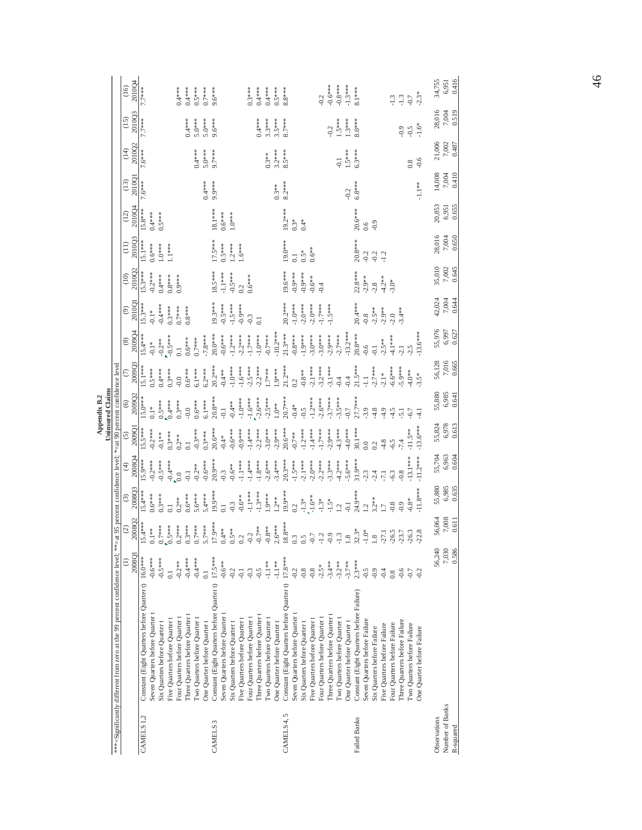|                       |                                                                                                                                               |                  |                                           |                      |                  |                | Uninsured Claims |                          |                  |                  |           |                          |           |                  |                |                          |           |
|-----------------------|-----------------------------------------------------------------------------------------------------------------------------------------------|------------------|-------------------------------------------|----------------------|------------------|----------------|------------------|--------------------------|------------------|------------------|-----------|--------------------------|-----------|------------------|----------------|--------------------------|-----------|
|                       | ***=Significantly different from zero at the 99 percent confidence level; **=at 95 percent confidence level; *=at 90 percent confidence level |                  |                                           |                      |                  |                |                  |                          |                  |                  |           |                          |           |                  |                |                          |           |
|                       |                                                                                                                                               | $\widehat{z}$    | $\odot$                                   | $\odot$              | $\oplus$         | $\odot$        | $\circledcirc$   | $\widehat{\in}$          | $\circledast$    | $\circledcirc$   | (10)      | (11)                     | (12)      | (13)             | (14)           | (15)                     | (16)      |
|                       |                                                                                                                                               | 200801           | 200802                                    | 200803               | 200804           | 200901         | 200902           | 2009Q3                   | 2009Q4           | 2010Q1           | 201002    | 2010Q3                   | 201004    | 2010O1           | 201002         | 2010Q3                   | 201004    |
| CAMELS <sub>1,2</sub> | Constant (Eight Quarters before Quarter t) 16.0***                                                                                            |                  | $15.4***$                                 | $15.4***$            | $15.9***$        | $15.5***$      | 15.0***          | $15.1***$                | $15.4***$        | $15.3***$        | $15.3***$ | 15.1***                  | $15.8***$ | $7.6***$         | $7.6***$       | $7.7***$                 | $7.7***$  |
|                       | Seven Quarters before Quarter                                                                                                                 | $-0.6***$        | $\ddot{1}$ **<br>$\circ$                  | $0.6***$             | $-0.2***$        | $-0.2***$      | $0.1*$           | $0.5***$                 | $-0.1*$          | $-0.1*$          | $-0.2***$ | $0.6***$                 | $0.4***$  |                  |                |                          |           |
|                       | Six Quarters before Quarter t                                                                                                                 | $-0.5***$        |                                           | $0.3***$             | $-0.5***$        | $-0.1**$       | $0.5***$         | $0.4***$                 | $-0.2**$         | $-0.4***$        | $0.4***$  | $1.0***$                 | $0.5***$  |                  |                |                          |           |
|                       | Five Quarters before Quarter t                                                                                                                | $\overline{0}$ . | $0.7***$<br>0.5***                        | $\overline{0}$ .     | $-0.4***$        | $0.3***$       | $0.4***$         | $0.3***$                 | $-0.5***$        | $0.3***$         | $0.8***$  | $1.1***$                 |           |                  |                |                          |           |
|                       | Four Quarters before Quarter t                                                                                                                | $-0.2***$        | $2***$<br>$\ddot{\circ}$                  | $0.2***$             | $\overline{0.0}$ | $0.2***$       | $0.3***$         | $\overline{0}$           | 0.1              | $0.7***$         | $0.9***$  |                          |           |                  |                |                          | $0.4***$  |
|                       | Three Quarters before Quarter t                                                                                                               | $-0.4***$        | $3***$<br>$\circ$                         | $0.6***$             | $-0.1$           | $\overline{c}$ | $-0.0$           | $0.6***$                 | $0.6***$         | $0.8***$         |           |                          |           |                  |                | $0.4***$                 | $0.4***$  |
|                       | I'wo Quarters before Quarter t                                                                                                                | $-0.4***$        | 7***<br>$\ddot{\circ}$                    | $5.6***$             | $-0.2**$         | $-0.3***$      | $0.6***$         | $6.1***$                 | $0.7***$         |                  |           |                          |           |                  | $0.4***$       | $5.0***$                 | $0.5***$  |
|                       | One Quarter before Quarter t                                                                                                                  | $\overline{0}$ . | $7***$<br>5.                              | $5.4***$             | $-0.6***$        | $0.3***$       | $6.1***$         | $6.2***$                 | $-7.8***$        |                  |           |                          |           | $0.4***$         | $5.0***$       | $5.0***$                 | $0.7***$  |
| CAMELS <sub>3</sub>   | Constant (Eight Quarters before Quarter t) 17.5***                                                                                            |                  | 17.9***                                   | 19.9***              | 20.9***          | $20.6***$      | $20.8***$        | $20.2***$                | $20.0***$        | $9.3***$         | $8.5***$  | $17.5***$                | 18.1***   | 9.9***           | 9.7***         | $9.6***$                 | $9.6***$  |
|                       | Seven Quarters before Quarter t                                                                                                               | $-0.6**$         | $0.4**$                                   | $\overline{0}$ .     | $0.\overline{3}$ | $0.4*$         | $\overline{0}$   | $-0.4**$                 | $0.6***$         | $-0.5***$        | $-1.1***$ | $0.5***$                 | $0.6***$  |                  |                |                          |           |
|                       | Six Quarters before Quarter t                                                                                                                 | $-0.2$           |                                           | $-0.3$               | $-0.6**$         | $-0.6***$      | $-0.4**$         | $-1.0***$                | $-1.2***$        | $-1.5***$        | $-0.5***$ | $1.2***$                 | $1.0***$  |                  |                |                          |           |
|                       | Five Quarters before Quarter t                                                                                                                | $-0.1$           | $0.5***$<br>$0.2$<br>$-0.2$               | $-0.6**$             | $1.1***$         | $-0.9***$      | $-1.0***$        | $-1.6***$                | $2.2***$         | $-0.9***$        | 0.2       | $1.6***$                 |           |                  |                |                          |           |
|                       | Four Quarters before Quarter t                                                                                                                | $-0.3$           |                                           | $-1.1***$            | $-1.4***$        | $-1.4***$      | $-1.6***$        | $-2.5***$                | $-1.7***$        | $-0.3$           | $0.6***$  |                          |           |                  |                |                          | $0.3***$  |
|                       | Three Quarters before Quarter t                                                                                                               | $-0.5$           | $-0.7**$                                  | $-1.3***$            | $-1.8***$        | $-2.2***$      | $-2.6***$        | $-2.2***$                | $-1.0***$        | $\overline{0}$ . |           |                          |           |                  |                | $0.4***$                 | $0.4***$  |
|                       | I'wo Quarters before Quarter t                                                                                                                | $-1.1**$         | $-0.8***$                                 | $1.9***$             | $-2.6***$        | $-3.0***$      | $2.5***$         | $1.7***$                 | $0.7***$         |                  |           |                          |           |                  | $0.3***$       | $3.3***$                 | $0.4***$  |
|                       | One Quarter before Quarter t                                                                                                                  | $-1.1**$         | $2.6***$                                  | $1.2***$             | $3.4***$         | $-2.9***$      | $1.0^{**}$       | $1.9***$                 | $-10.2***$       |                  |           |                          |           | $0.3***$         | $3.2***$       | $3.5***$                 | $0.5***$  |
| CAMELS4,5             | Constant (Eight Quarters before Quarter t)                                                                                                    | $17.8***$        | $18.8***$                                 | 19.9***              | $20.3***$        | $20.6***$      | 20.7***          | $21.2***$                | $21.3***$        | $20.2***$        | 19.6***   | 19.0***                  | $19.2***$ | $8.2***$         | $8.5***$       | $8.7***$                 | $8.8***$  |
|                       | Seven Quarters before Quarter t                                                                                                               | $-0.2$           | $\begin{array}{c} 0.3 \\ 0.5 \end{array}$ | 0.2                  | $-1.5***$        | $-0.7**$       | $0.4*$           | 0.2                      | $0.8***$         | $-1.0***$        | $-0.9***$ | $\overline{0}$ .         | $0.3*$    |                  |                |                          |           |
|                       | Six Quarters before Quarter t                                                                                                                 | $-0.8$           |                                           | $\frac{1.3}{1.6}$ ** | $2.1***$         | $-1.2***$      | $0.5^{\circ}$    | $-0.8**$                 | $1.9***$         | $-2.0***$        | $-0.9***$ | $0.5*$                   | $0.4*$    |                  |                |                          |           |
|                       | Five Quarters before Quarter t                                                                                                                | $-0.8$           | $-0.7$                                    |                      | $-2.0***$        | $-1.4***$      | $-1.2***$        | $-2.1***$                | $-3.0***$        | $-2.0***$        | $-0.6**$  | $0.6***$                 |           |                  |                |                          |           |
|                       | Four Quarters before Quarter t                                                                                                                | $-2.5*$          | $-1.2$                                    | $-1.3*$              | $-2.2***$        | $-1.7***$      | $-2.6***$        | $-3.2***$                | $3.0***$         | $-1.7***$        | 0.4       |                          |           |                  |                |                          | $-0.2$    |
|                       | Three Quarters before Quarter t                                                                                                               | $-3.4**$         |                                           | $-1.5*$              | $3.3***$         | $2.9***$       | $3.7***$         | $3.1***$                 | $2.9***$         | $-1.5***$        |           |                          |           |                  |                | $-0.2$                   | $-0.6***$ |
|                       | I'wo Quarters before Quarter t                                                                                                                | $-3.2**$         | $\substack{+1.3 \\ -1.8}$                 | 1.2                  | $-4.2***$        | $-4.3***$      | $3.5***$         | $\ddot{0}$ .4            | $2.7***$         |                  |           |                          |           |                  | $\overline{0}$ | $1.5***$                 | $-0.8***$ |
|                       | One Quarter before Quarter t                                                                                                                  | $-3.7**$         |                                           | $-0.1$               | $-5.6***$        | $4.0***$       | 0.7              | 0.4                      | $13.2***$        |                  |           |                          |           | $-0.2$           | $1.5***$       | $1.3***$                 | $-1.3***$ |
| Failed Banks          | Constant (Eight Quarters before Failure)                                                                                                      | $2.3***$         | $32.3*$                                   | 24.9***              | 31.9***          | 30.1***        | $27.7***$        | $21.5***$                | $20.8***$        | $20.4***$        | $22.8***$ | $20.8***$                | 20.6***   | $6.8***$         | $6.3***$       | $8.0***$                 | 8.1***    |
|                       | Seven Quarters before Failure                                                                                                                 | $-0.5$           | $\overset{-1.0^*}{_{1.8}}$                | 1.2                  | 2.3              | 0.0            | 3.9              | $\overline{a}$           | 0.6              | $-0.8$           | $-2.9**$  | $-0.2$                   | 0.6       |                  |                |                          |           |
|                       | Six Quarters before Failure                                                                                                                   | $-0.9$           |                                           | $3.2**$              | 2.4              | 0.2            | $-4.8$           | $2.7***$                 | $\overline{0}$ . | $-2.5**$         | 2.8       | $-0.2$                   | $-0.9$    |                  |                |                          |           |
|                       | Five Quarters before Failure                                                                                                                  | $-0.4$           | $-27.1$                                   | $\overline{C}$       | $\overline{7.1}$ | $-4.8$         | $-4.9$           | $2.1*$                   | $-2.5**$         | $-2.9**$         | $-4.2***$ |                          |           |                  |                |                          |           |
|                       | Four Quarters before Failure                                                                                                                  | 0.8              | $-26.5$<br>$-23.7$                        | $-0.8$               | 6.3              | $-6.5$         | $-4.5$           | $6.6***$                 | 4.1***           | 2.0              | $3.0*$    |                          |           |                  |                |                          | $-1.3$    |
|                       | Three Quarters before Failure                                                                                                                 | $-0.6$           |                                           | $-0.9$               | 0.8              | $-7.4$         | $-5.1$           | $-5.9***$                | $-2.1$           | $-3.4**$         |           |                          |           |                  |                | $-0.9$                   | $-1.3$    |
|                       | Two Quarters before Failure                                                                                                                   | $-0.7$           | $-26.3$                                   | $-6.8*$              | .13.1***         | $-11.5**$      | $-6.7$           | $-4.0**$                 | 2.5              |                  |           |                          |           |                  | 0.8            | $-0.5$                   | $-0.7$    |
|                       | One Quarter before Failure                                                                                                                    | $-0.2$           | $-22.8$                                   | $-11.8***$           | $-11.2***$       | $-13.6***$     | $-4.1$           | $-3.5*$                  | $-13.6***$       |                  |           |                          |           | $-1.1**$         | $-0.6$         | $-1.6*$                  | $2.3*$    |
| Observations          |                                                                                                                                               | 56,240           | 56,064                                    | 55,880               | 55,704           | 55,824         | 55,880           |                          | 55,976           |                  | 35,010    |                          | 20,853    | 14,008           | 21,006         |                          | 34,755    |
| Number of Banks       |                                                                                                                                               | 7,030            | 7,008                                     | 6,985                | 6,963            | 6,978          | 6,985            | 56,128<br>7,016<br>0.665 | 6,997            | 42,024<br>7,004  | 7,002     | 28,016<br>7,004<br>0.650 | 6,951     | $7,004$<br>0.410 | 7,002          | 28,016<br>7,004<br>0.519 | 6,951     |
| R-squared             |                                                                                                                                               | 0.586            | 0.611                                     | 0.635                | 0.604            | 0.613          | 0.641            |                          | 0.627            | 0.644            | 0.645     |                          | 0.655     |                  | 0.487          |                          | 0.416     |
|                       |                                                                                                                                               |                  |                                           |                      |                  |                |                  |                          |                  |                  |           |                          |           |                  |                |                          |           |
|                       |                                                                                                                                               |                  |                                           |                      |                  |                |                  |                          |                  |                  |           |                          |           |                  |                |                          |           |
|                       |                                                                                                                                               |                  |                                           |                      |                  |                |                  |                          |                  |                  |           |                          |           |                  |                |                          |           |